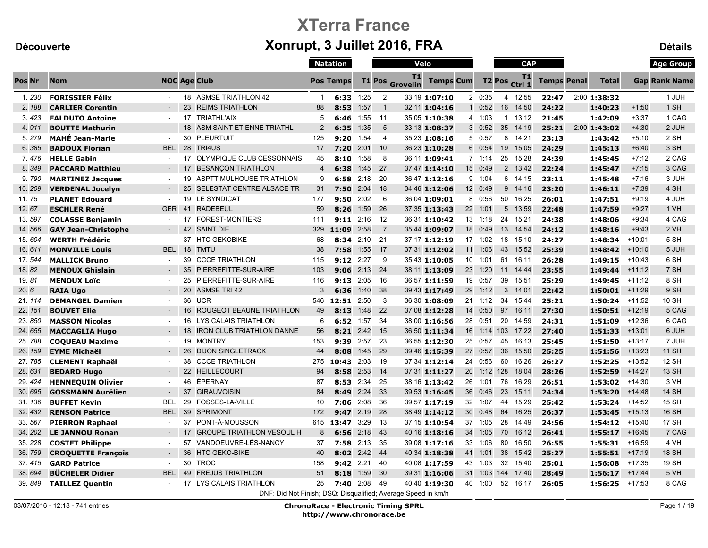## XTerra France Découverte **Souverte Community Contract Automobile Xonrupt, 3 Juillet 2016, FRA** Détails

|        |                            |            |    |                                                               |                | <b>Natation</b>  |           |                | Velo                  |                  |                 |                    | <b>CAP</b>      |                    |                  |          | <b>Age Group</b>     |
|--------|----------------------------|------------|----|---------------------------------------------------------------|----------------|------------------|-----------|----------------|-----------------------|------------------|-----------------|--------------------|-----------------|--------------------|------------------|----------|----------------------|
| Pos Nr | <b>Nom</b>                 |            |    | <b>NOC Age Club</b>                                           |                | <b>Pos Temps</b> |           | <b>T1 Pos</b>  | T1<br><b>Grovelin</b> | <b>Temps Cum</b> |                 | T <sub>2</sub> Pos | T1<br>Ctrl 1    | <b>Temps Penal</b> | <b>Total</b>     |          | <b>Gap Rank Name</b> |
| 1.230  | <b>FORISSIER Félix</b>     |            |    | 18 ASMSE TRIATHLON 42                                         | -1             | 6:33             | 1:25      | $\overline{2}$ |                       | 33:19 1:07:10    | 20:35           | 4                  | 12:55           | 22:47              | 2:00 1:38:32     |          | 1 JUH                |
| 2.188  | <b>CARLIER Corentin</b>    |            |    | 23 REIMS TRIATHLON                                            | 88             | 8:53             | 1:57      | $\overline{1}$ |                       | 32:11 1:04:16    | $1 \t0:52$      | 16 <sup>1</sup>    | 14:50           | 24:22              | 1:40:23          | $+1:50$  | 1 SH                 |
| 3.423  | <b>FALDUTO Antoine</b>     |            |    | 17 TRIATHL'AIX                                                | 5              | 6:46             | 1:55      | $-11$          |                       | 35:05 1:10:38    | 4 1:03          |                    | $1 \quad 13:12$ | 21:45              | 1:42:09          | $+3:37$  | 1 CAG                |
| 4.911  | <b>BOUTTE Mathurin</b>     |            | 18 | ASM SAINT ETIENNE TRIATHL                                     | $\overline{2}$ | 6:35             | 1:35      | 5              |                       | 33:13 1:08:37    | 30:52           | 35                 | 14:19           | 25:21              | 2:00 1:43:02     | $+4:30$  | 2 JUH                |
| 5.279  | <b>MAHÉ Jean-Marie</b>     | $\sim$     | 30 | <b>PLEURTUIT</b>                                              | 125            | 9:20             | 1:54      | $\overline{4}$ |                       | 35:23 1:08:16    | 5 0:57          |                    | 8 14:21         | 23:13              | 1:43:42          | $+5:10$  | 2 SH                 |
| 6.385  | <b>BADOUX Florian</b>      | <b>BEL</b> |    | 28 TRI4US                                                     | 17             | 7:20             | 2:01      | 10             |                       | 36:23 1:10:28    | 6 0:54          |                    | 19 15:05        | 24:29              | 1:45:13          | $+6:40$  | 3 SH                 |
| 7.476  | <b>HELLE Gabin</b>         |            |    | 17 OLYMPIQUE CLUB CESSONNAIS                                  | 45             | 8:10             | 1:58      | -8             |                       | 36:11 1:09:41    | $7 \t1:14$      |                    | 25 15:28        | 24:39              | 1:45:45          | $+7:12$  | 2 CAG                |
| 8.349  | <b>PACCARD Matthieu</b>    |            |    | 17 BESANCON TRIATHLON                                         | $\overline{4}$ | 6:38             | 1:45      | 27             |                       | 37:47 1:14:10    | 15 0:49         |                    | 2 13:42         | 22:24              | 1:45:47          | $+7:15$  | 3 CAG                |
| 9.790  | <b>MARTINEZ Jacques</b>    |            | 19 | ASPTT MULHOUSE TRIATHLON                                      | 9              | 6:58             | 2:18      | - 20           |                       | 36:47 1:12:16    | 9 1:04          |                    | 6 14:15         | 23:11              | 1:45:48          | $+7:16$  | 3 JUH                |
| 10.209 | <b>VERDENAL Jocelyn</b>    | $\sim$     |    | 25 SELESTAT CENTRE ALSACE TR                                  | 31             | 7:50             | 2:04      | 18             |                       | 34:46 1:12:06    | 12 0:49         |                    | $9 \quad 14:16$ | 23:20              | 1:46:11          | $+7:39$  | 4 SH                 |
| 11.75  | <b>PLANET Edouard</b>      |            | 19 | LE SYNDICAT                                                   | 177            | 9:50             | 2:02      | 6              |                       | 36:04 1:09:01    | 8 0:56          | 50                 | 16:25           | 26:01              | 1:47:51          | $+9:19$  | 4 JUH                |
| 12.67  | <b>ESCHLER René</b>        | <b>GER</b> | 41 | <b>RADEBEUL</b>                                               | 59             | 8:26             | 1:59      | 26             |                       | 37:35 1:13:43    | 22 1:01         | 5 <sup>5</sup>     | 13:59           | 22:48              | 1:47:59          | $+9:27$  | 1 VH                 |
| 13.597 | <b>COLASSE Benjamin</b>    |            | 17 | <b>FOREST-MONTIERS</b>                                        | 111            | 9:11             | 2:16      | -12            |                       | 36:31 1:10:42    | 13 1:18         | 24                 | 15:21           | 24:38              | 1:48:06          | $+9:34$  | 4 CAG                |
| 14.566 | <b>GAY Jean-Christophe</b> |            |    | 42 SAINT DIE                                                  | 329            | 11:09            | 2:58      | $\overline{7}$ |                       | 35:44 1:09:07    | 18 0:49         |                    | 13 14:54        | 24:12              | 1:48:16          | $+9:43$  | 2 VH                 |
| 15.604 | <b>WERTH Frédéric</b>      |            |    | 37 HTC GEKOBIKE                                               | 68             |                  | 8:34 2:10 | 21             |                       | 37:17 1:12:19    | 17 1:02         | 18                 | 15:10           | 24:27              | 1:48:34          | $+10:01$ | 5 SH                 |
| 16.611 | <b>MONVILLE Louis</b>      | <b>BEL</b> | 18 | <b>TMTU</b>                                                   | 38             | 7:58             | 1:55      | 17             |                       | 37:31 1:12:02    | 11 1:06         | 43                 | 15:52           | 25:39              | 1:48:42          | $+10:10$ | 5 JUH                |
| 17.544 | <b>MALLICK Bruno</b>       |            | 39 | <b>CCCE TRIATHLON</b>                                         | 115            | $9:12$ 2:27      |           | 9              |                       | 35:43 1:10:05    | 10 1:01         | 61                 | 16:11           | 26:28              | 1:49:15          | $+10:43$ | 6 SH                 |
| 18.82  | <b>MENOUX Ghislain</b>     |            | 35 | PIERREFITTE-SUR-AIRE                                          | 103            | 9:06             | 2:13      | - 24           |                       | 38:11 1:13:09    | 23 1:20         | 11                 | 14:44           | 23:55              | 1:49:44          | $+11:12$ | 7 SH                 |
| 19.81  | <b>MENOUX Loïc</b>         | $\sim$     | 25 | PIERREFITTE-SUR-AIRE                                          | 116            | 9:13             | 2:05      | 16             |                       | 36:57 1:11:59    | 19 0:57         | 39                 | 15:51           | 25:29              | 1:49:45          | $+11:12$ | 8 SH                 |
| 20.6   | <b>RAIA Ugo</b>            |            | 20 | <b>ASMSE TRI 42</b>                                           | 3              | 6:36             | 1:40      | 38             |                       | 39:43 1:17:49    | 29 1:12         | 3                  | 14:01           | 22:42              | 1:50:01          | +11:29   | 9 <sub>SH</sub>      |
| 21.114 | <b>DEMANGEL Damien</b>     | $\sim$     | 36 | <b>UCR</b>                                                    | 546            | 12:51 2:50       |           | -3             |                       | 36:30 1:08:09    | $21 \quad 1:12$ | 34                 | 15:44           | 25:21              | 1:50:24          | +11:52   | 10 SH                |
| 22.151 | <b>BOUVET Elie</b>         |            | 16 | <b>ROUGEOT BEAUNE TRIATHLON</b>                               | 49             | 8:13             | 1:48      | - 22           |                       | 37:08 1:12:28    | 14 0:50         | 97                 | 16:11           | 27:30              | 1:50:51          | $+12:19$ | 5 CAG                |
| 23.850 | <b>MASSON Nicolas</b>      |            | 16 | LYS CALAIS TRIATHLON                                          | 6              | 6:52             | 1:57      | -34            |                       | 38:00 1:16:56    | 28 0:51         | 20                 | 14:59           | 24:31              | 1:51:09          | $+12:36$ | 6 CAG                |
| 24.655 | <b>MACCAGLIA Hugo</b>      |            | 18 | <b>IRON CLUB TRIATHLON DANNE</b>                              | 56             | 8:21             | 2:42      | 15             |                       | 36:50 1:11:34    | 16 1:14         | 103                | 17:22           | 27:40              | 1:51:33          | $+13:01$ | 6 JUH                |
| 25.788 | <b>COQUEAU Maxime</b>      |            |    | 19 MONTRY                                                     | 153            | 9:39             | 2:57      | - 23           |                       | 36:55 1:12:30    | 25 0:57         | 45                 | 16:13           | 25:45              | 1:51:50          | $+13:17$ | 7 JUH                |
| 26.159 | <b>EYME Michaël</b>        |            | 26 | <b>DIJON SINGLETRACK</b>                                      | 44             | 8:08             | 1:45      | 29             |                       | 39:46 1:15:39    | 27 0:57         | 36                 | 15:50           | 25:25              | 1:51:56          | $+13:23$ | <b>11 SH</b>         |
| 27.785 | <b>CLEMENT Raphaël</b>     | $\sim$     | 38 | <b>CCCE TRIATHLON</b>                                         | 275            | 10:43            | 2:03      | 19             |                       | 37:34 1:12:14    | 24 0:56         | 60                 | 16:26           | 26:27              | 1:52:25          | $+13:52$ | <b>12 SH</b>         |
| 28.631 | <b>BEDARD Hugo</b>         | $\sim$     |    | 22 HEILLECOURT                                                | 94             |                  | 8:58 2:53 | 14             |                       | 37:31 1:11:27    | 20 1:12 128     |                    | 18:04           | 28:26              | 1:52:59          | $+14:27$ | <b>13 SH</b>         |
| 29.424 | <b>HENNEQUIN Olivier</b>   |            | 46 | ÉPERNAY                                                       | 87             |                  | 8:53 2:34 | - 25           |                       | 38:16 1:13:42    | 26 1:01         | 76                 | 16:29           | 26:51              | $1:53:02$ +14:30 |          | 3 VH                 |
| 30.695 | <b>GOSSMANN Aurélien</b>   | $\sim$     |    | 37 GIRAUVOISIN                                                | 84             | 8:49             | 2:24      | - 33           |                       | 39:53 1:16:45    | 36 0:46         | 23                 | 15:11           | 24:34              | 1:53:20          | $+14:48$ | <b>14 SH</b>         |
| 31.136 | <b>BUFFET Kevin</b>        | <b>BEL</b> | 29 | FOSSES-LA-VILLE                                               | 10             | 7:06             | 2:08      | 36             |                       | 39:57 1:17:19    | 32 1:07         | 44                 | 15:29           | 25:42              | 1:53:24          | $+14:52$ | <b>15 SH</b>         |
| 32.432 | <b>RENSON Patrice</b>      | <b>BEL</b> |    | 39 SPRIMONT                                                   | 172            | 9:47             | 2:19      | - 28           |                       | 38:49 1:14:12    | 30 0:48         | 64                 | 16:25           | 26:37              | 1:53:45          | $+15:13$ | <b>16 SH</b>         |
| 33.567 | <b>PIERRON Raphael</b>     |            | 37 | PONT-À-MOUSSON                                                | 615            | 13:47            | 3:29      | 13             |                       | 37:15 1:10:54    | 37 1:05         | 28                 | 14:49           | 24:56              | 1:54:12          | +15:40   | <b>17 SH</b>         |
| 34.202 | <b>LE JANNOU Ronan</b>     |            | 17 | <b>GROUPE TRIATHLON VESOUL H</b>                              | 8              | 6:56             | 2:18      | - 43           |                       | 40:16 1:18:16    | 34 1:05         | 70                 | 16:12           | 26:41              | 1:55:17          | $+16:45$ | 7 CAG                |
| 35.228 | <b>COSTET Philippe</b>     |            | 57 | VANDOEUVRE-LÈS-NANCY                                          | 37             | 7:58             | 2:13      | - 35           |                       | 39:08 1:17:16    | 33 1:06         | 80                 | 16:50           | 26:55              | 1:55:31          | +16:59   | 4 VH                 |
| 36.759 | <b>CROQUETTE François</b>  |            | 36 | <b>HTC GEKO-BIKE</b>                                          | 40             | 8:02             | 2:42      | 44             |                       | 40:34 1:18:38    | 41 1:01         | 38                 | 15:42           | 25:27              | 1:55:51          | $+17:19$ | <b>18 SH</b>         |
| 37.415 | <b>GARD Patrice</b>        |            | 30 | <b>TROC</b>                                                   | 158            | 9:42 2:21        |           | 40             |                       | 40:08 1:17:59    | 43 1:03         | 32                 | 15:40           | 25:01              | 1:56:08          | $+17:35$ | <b>19 SH</b>         |
| 38.694 | <b>BÜCHELER Didier</b>     | <b>BEL</b> | 49 | <b>FREJUS TRIATHLON</b>                                       | 51             | 8:18             | 1:59      | 30             |                       | 39:31 1:16:06    | 31 1:03         | 144                | 17:40           | 28:49              | 1:56:17          | $+17:44$ | 5 VH                 |
| 39.849 | <b>TAILLEZ Quentin</b>     |            |    | 17 LYS CALAIS TRIATHLON                                       | 25             | 7:40             | 2:08      | 49             |                       | 40:40 1:19:30    | 40 1:00         | 52                 | 16:17           | 26:05              | 1:56:25          | +17:53   | 8 CAG                |
|        |                            |            |    | DNF: Did Not Finish; DSQ: Disqualified; Average Speed in km/h |                |                  |           |                |                       |                  |                 |                    |                 |                    |                  |          |                      |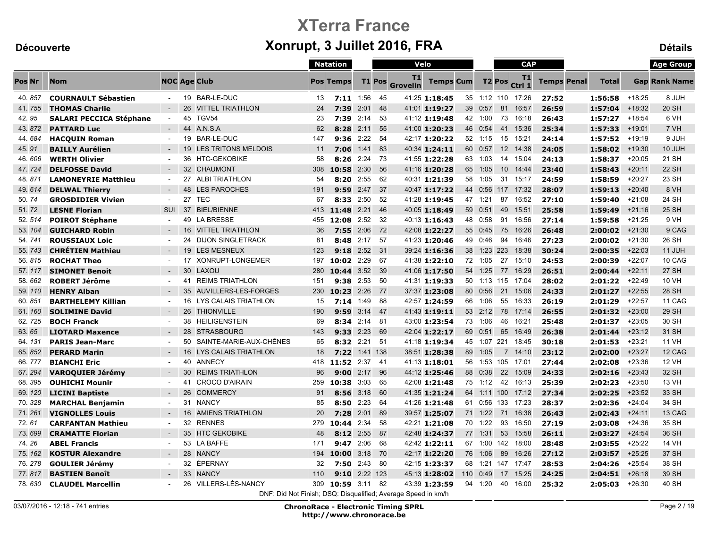|         |                                |                     |    |                                                               |     | <b>Natation</b>  |              |               | Velo                  |                  |          |                | <b>CAP</b>        |                    |              |          | <b>Age Group</b>     |
|---------|--------------------------------|---------------------|----|---------------------------------------------------------------|-----|------------------|--------------|---------------|-----------------------|------------------|----------|----------------|-------------------|--------------------|--------------|----------|----------------------|
| Pos Nr  | <b>Nom</b>                     | <b>NOC Age Club</b> |    |                                                               |     | <b>Pos Temps</b> |              | <b>T1 Pos</b> | T1<br><b>Grovelin</b> | <b>Temps Cum</b> |          | <b>T2 Pos</b>  | T1<br>Ctrl 1      | <b>Temps Penal</b> | <b>Total</b> |          | <b>Gap Rank Name</b> |
| 40.857  | <b>COURNAULT Sébastien</b>     | $\sim$              |    | 19 BAR-LE-DUC                                                 | 13  | $7:11$ 1:56      |              | 45            |                       | 41:25 1:18:45    |          |                | 35 1:12 110 17:26 | 27:52              | 1:56:58      | $+18:25$ | 8 JUH                |
| 41.755  | <b>THOMAS Charlie</b>          |                     | 26 | <b>VITTEL TRIATHLON</b>                                       | 24  | 7:39             | 2:01         | - 48          |                       | 41:01 1:19:27    | 39 0:57  | 81             | 16:57             | 26:59              | 1:57:04      | $+18:32$ | <b>20 SH</b>         |
| 42.95   | <b>SALARI PECCICA Stéphane</b> | $\sim$              | 45 | TGV54                                                         | 23  | 7:39             | 2:14         | - 53          |                       | 41:12 1:19:48    | 42 1:00  | 73             | 16:18             | 26:43              | 1:57:27      | $+18:54$ | 6 VH                 |
| 43.872  | <b>PATTARD Luc</b>             |                     | 44 | A.N.S.A                                                       | 62  | 8:28             | 2:11         | 55            |                       | 41:00 1:20:23    | 46 0:54  | 41             | 15:36             | 25:34              | 1:57:33      | $+19:01$ | 7 VH                 |
| 44.684  | <b>HACQUIN Roman</b>           |                     | 19 | BAR-LE-DUC                                                    | 147 | 9:36             | 2:22         | -54           |                       | 42:17 1:20:22    | 52 1:15  | 15             | 15:21             | 24:14              | 1:57:52      | $+19:19$ | 9 JUH                |
| 45.91   | <b>BAILLY Aurélien</b>         |                     |    | 19 LES TRITONS MELDOIS                                        | 11  | 7:06             | 1:41         | 83            |                       | 40:34 1:24:11    | 60 0:57  |                | 12 14:38          | 24:05              | 1:58:02      | $+19:30$ | 10 JUH               |
| 46.606  | <b>WERTH Olivier</b>           |                     |    | 36 HTC-GEKOBIKE                                               | 58  |                  | 8:26 2:24 73 |               |                       | 41:55 1:22:28    | 63 1:03  |                | 14 15:04          | 24:13              | 1:58:37      | $+20:05$ | 21 SH                |
| 47.724  | <b>DELFOSSE David</b>          | $\sim$              |    | 32 CHAUMONT                                                   | 308 | 10:58 2:30       |              | 56            |                       | 41:16 1:20:28    | 65 1:05  |                | 10 14:44          | 23:40              | 1:58:43      | $+20:11$ | <b>22 SH</b>         |
| 48.871  | <b>LAMONEYRIE Matthieu</b>     |                     |    | 27 ALBI TRIATHLON                                             | 54  | 8:20             | 2:55         | 62            |                       | 40:31 1:21:39    | 58 1:05  | 31             | 15:17             | 24:59              | 1:58:59      | $+20:27$ | 23 SH                |
| 49.614  | <b>DELWAL Thierry</b>          | $\sim$              |    | 48 LES PAROCHES                                               | 191 |                  | $9:59$ 2:47  | - 37          |                       | 40:47 1:17:22    | 44 0:56  |                | 117 17:32         | 28:07              | 1:59:13      | $+20:40$ | 8 VH                 |
| 50.74   | <b>GROSDIDIER Vivien</b>       | $\sim$              | 27 | TEC                                                           | 67  | 8:33             | 2:50         | -52           |                       | 41:28 1:19:45    | 47 1:21  | 87             | 16:52             | 27:10              | 1:59:40      | $+21:08$ | 24 SH                |
| 51.72   | <b>LESNE Florian</b>           | SUI                 | 37 | <b>BIEL/BIENNE</b>                                            | 413 | 11:48            | 2:21         | - 46          |                       | 40:05 1:18:49    | 59 0:51  | 49             | 15:51             | 25:58              | 1:59:49      | $+21:16$ | 25 SH                |
| 52.514  | <b>POIROT Stéphane</b>         |                     | 49 | <b>LA BRESSE</b>                                              | 455 | 12:08            | 2:52         | -32           |                       | 40:13 1:16:43    | 48 0:58  | 91             | 16:56             | 27:14              | 1:59:58      | $+21:25$ | 9 VH                 |
| 53.104  | <b>GUICHARD Robin</b>          |                     |    | 16 VITTEL TRIATHLON                                           | 36  |                  | $7:55$ 2:06  | 72            |                       | 42:08 1:22:27    | 55 0:45  | 75             | 16:26             | 26:48              | 2:00:02      | $+21:30$ | 9 CAG                |
| 54.741  | <b>ROUSSIAUX Loic</b>          |                     |    | 24 DIJON SINGLETRACK                                          | 81  |                  | 8:48 2:17 57 |               |                       | 41:23 1:20:46    | 49 0:46  | 94             | 16:46             | 27:23              | 2:00:02      | $+21:30$ | 26 SH                |
| 55.743  | <b>CHRÉTIEN Mathieu</b>        |                     |    | 19 LES MESNEUX                                                | 123 | 9:18             | 2:52         | 31            |                       | 39:24 1:16:36    | 38 1:23  | 223            | 18:38             | 30:24              | 2:00:35      | $+22:03$ | 11 JUH               |
| 56.815  | <b>ROCHAT Theo</b>             |                     |    | 17 XONRUPT-LONGEMER                                           | 197 | $10:02$ 2:29     |              | -67           |                       | 41:38 1:22:10    | 72 1:05  | 27             | 15:10             | 24:53              | 2:00:39      | $+22:07$ | 10 CAG               |
| 57.117  | <b>SIMONET Benoit</b>          |                     | 30 | LAXOU                                                         | 280 | 10:44            | 3:52         | 39            |                       | 41:06 1:17:50    | 54 1:25  | 77             | 16:29             | 26:51              | 2:00:44      | $+22:11$ | 27 SH                |
| 58.662  | <b>ROBERT Jérôme</b>           | $\sim$              | 41 | <b>REIMS TRIATHLON</b>                                        | 151 | 9:38             | 2:53         | -50           |                       | 41:31 1:19:33    |          |                | 50 1:13 115 17:04 | 28:02              | 2:01:22      | $+22:49$ | 10 VH                |
| 59.110  | <b>HENRY Alban</b>             |                     | 35 | AUVILLERS-LES-FORGES                                          | 230 | 10:23            | 2:26         | - 77          |                       | 37:37 1:23:08    | 80 0:56  | 21             | 15:06             | 24:33              | 2:01:27      | $+22:55$ | 28 SH                |
| 60.851  | <b>BARTHELEMY Killian</b>      |                     |    | 16 LYS CALAIS TRIATHLON                                       | 15  |                  | $7:14$ 1:49  | - 88          |                       | 42:57 1:24:59    | 66 1:06  |                | 55 16:33          | 26:19              | 2:01:29      | $+22:57$ | 11 CAG               |
| 61.160  | <b>SOLIMINE David</b>          |                     | 26 | <b>THIONVILLE</b>                                             | 190 | 9:59             | $3:14$ 47    |               |                       | 41:43 1:19:11    | 53 2:12  | 78             | 17:14             | 26:55              | 2:01:32      | $+23:00$ | 29 SH                |
| 62.725  | <b>BOCH Franck</b>             | $\sim$              | 38 | <b>HEILIGENSTEIN</b>                                          | 69  |                  | 8:34 2:14 81 |               |                       | 43:00 1:23:54    | 73 1:06  | 46             | 16:21             | 25:48              | 2:01:37      | $+23:05$ | 30 SH                |
| 63.65   | <b>LIOTARD Maxence</b>         |                     | 28 | <b>STRASBOURG</b>                                             | 143 | 9:33             | 2:23         | 69            |                       | 42:04 1:22:17    | 69 0:51  | 65             | 16:49             | 26:38              | 2:01:44      | $+23:12$ | 31 SH                |
| 64.131  | <b>PARIS Jean-Marc</b>         |                     | 50 | SAINTE-MARIE-AUX-CHÊNES                                       | 65  | 8:32             | 2:21         | - 51          |                       | 41:18 1:19:34    | 45 1:07  | 221            | 18:45             | 30:18              | 2:01:53      | $+23:21$ | <b>11 VH</b>         |
| 65, 852 | <b>PERARD Marin</b>            |                     | 16 | LYS CALAIS TRIATHLON                                          | 18  | 7:22             | 1:41 138     |               |                       | 38:51 1:28:38    | 89 1:05  | $\overline{7}$ | 14:10             | 23:12              | 2:02:00      | $+23:27$ | 12 CAG               |
| 66.777  | <b>BIANCHI Eric</b>            |                     | 40 | <b>ANNECY</b>                                                 | 418 | 11:52            | 2:37         | - 41          |                       | 41:13 1:18:01    | 56 1:53  | 105            | 17:01             | 27:44              | 2:02:08      | $+23:36$ | <b>12 VH</b>         |
| 67.294  | <b>VAROQUIER Jérémy</b>        |                     | 30 | <b>REIMS TRIATHLON</b>                                        | 96  |                  | $9:00$ 2:17  | 96            |                       | 44:12 1:25:46    | 88 0:38  | 22             | 15:09             | 24:33              | 2:02:16      | $+23:43$ | 32 SH                |
| 68.395  | <b>OUHICHI Mounir</b>          | $\sim$              | 41 | <b>CROCO D'AIRAIN</b>                                         | 259 | 10:38 3:03       |              | 65            |                       | 42:08 1:21:48    | 75 1:12  |                | 42 16:13          | 25:39              | 2:02:23      | $+23:50$ | <b>13 VH</b>         |
| 69.120  | <b>LICINI Baptiste</b>         | $\sim$              | 26 | <b>COMMERCY</b>                                               | 91  | 8:56             | 3:18         | - 60          |                       | 41:35 1:21:24    |          |                | 64 1:11 100 17:12 | 27:34              | 2:02:25      | $+23:52$ | 33 SH                |
| 70.328  | <b>MARCHAL Benjamin</b>        |                     | 31 | <b>NANCY</b>                                                  | 85  | 8:50             | 2:23         | 64            |                       | 41:26 1:21:48    |          |                | 61 0:56 133 17:23 | 28:37              | 2:02:36      | $+24:04$ | 34 SH                |
| 71.261  | <b>VIGNOLLES Louis</b>         | $\sim$              |    | 16 AMIENS TRIATHLON                                           | 20  |                  | $7:28$ 2:01  | 89            |                       | 39:57 1:25:07    | 71 1:22  | 71             | 16:38             | 26:43              | 2:02:43      | $+24:11$ | 13 CAG               |
| 72.61   | <b>CARFANTAN Mathieu</b>       |                     | 32 | <b>RENNES</b>                                                 | 279 | 10:44            | 2:34         | 58            |                       | 42:21 1:21:08    | 70 1:22  | 93             | 16:50             | 27:19              | 2:03:08      | $+24:36$ | 35 SH                |
| 73.699  | <b>CRAMATTE Florian</b>        |                     |    | 35 HTC GEKOBIKE                                               | 48  | 8:12             | 2:55         | 87            |                       | 42:48 1:24:37    | 77 1:31  | 53             | 15:58             | 26:11              | 2:03:27      | $+24:54$ | 36 SH                |
| 74.26   | <b>ABEL Francis</b>            |                     |    | 53 LA BAFFE                                                   | 171 | 9:47             | 2:06         | 68            |                       | 42:42 1:22:11    | 67 1:00  | 142            | 18:00             | 28:48              | 2:03:55      | $+25:22$ | <b>14 VH</b>         |
| 75.162  | <b>KOSTUR Alexandre</b>        |                     |    | 28 NANCY                                                      | 194 | 10:00            | 3:18         | - 70          |                       | 42:17 1:22:20    | 76 1:06  | 89             | 16:26             | 27:12              | 2:03:57      | $+25:25$ | 37 SH                |
| 76.278  | <b>GOULIER Jérémy</b>          |                     |    | 32 ÉPERNAY                                                    | 32  | $7:50$ 2:43      |              | - 80          |                       | 42:15 1:23:37    |          |                | 68 1:21 147 17:47 | 28:53              | 2:04:26      | $+25:54$ | 38 SH                |
| 77.817  | <b>BASTIEN Benoît</b>          |                     | 33 | <b>NANCY</b>                                                  | 110 | 9:10             |              | 2:22 123      |                       | 45:13 1:28:02    | 110 0:49 | 17             | 15:25             | 24:25              | 2:04:51      | $+26:18$ | 39 SH                |
| 78.630  | <b>CLAUDEL Marcellin</b>       |                     | 26 | VILLERS-LÈS-NANCY                                             | 309 | 10:59 3:11 82    |              |               |                       | 43:39 1:23:59    | 94 1:20  | 40             | 16:00             | 25:32              | 2:05:03      | $+26:30$ | 40 SH                |
|         |                                |                     |    | DNF: Did Not Finish; DSQ: Disqualified; Average Speed in km/h |     |                  |              |               |                       |                  |          |                |                   |                    |              |          |                      |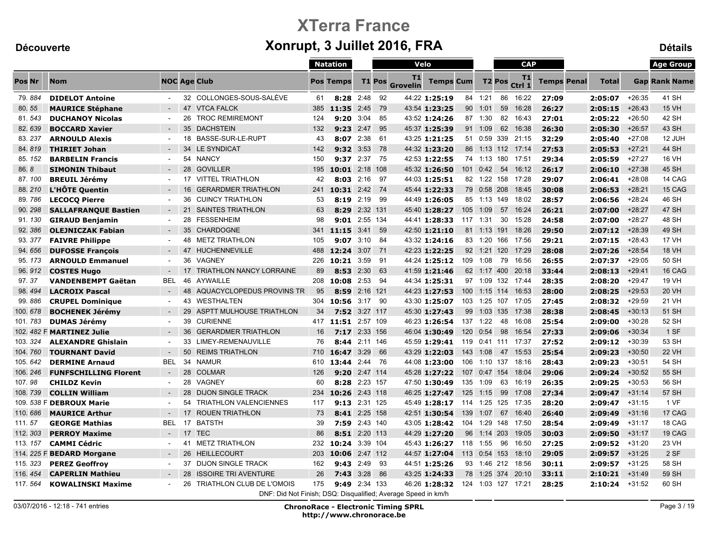|          |                                  |            |                                                               |     | <b>Natation</b>  |               |        | Velo                  |                        |          |              |                    | <b>CAP</b>         |                    |              |          | <b>Age Group</b>     |
|----------|----------------------------------|------------|---------------------------------------------------------------|-----|------------------|---------------|--------|-----------------------|------------------------|----------|--------------|--------------------|--------------------|--------------------|--------------|----------|----------------------|
| Pos Nr   | <b>Nom</b>                       |            | <b>NOC Age Club</b>                                           |     | <b>Pos Temps</b> |               | T1 Pos | T1<br><b>Grovelin</b> | <b>Temps Cum</b>       |          |              | T <sub>2</sub> Pos | T1<br>Ctrl 1       | <b>Temps Penal</b> | <b>Total</b> |          | <b>Gap Rank Name</b> |
| 79.884   | <b>DIDELOT Antoine</b>           |            | 32 COLLONGES-SOUS-SALÈVE                                      | 61  |                  | $8:28$ 2:48   | 92     |                       | 44:22 1:25:19          | 84       | 1:21         | 86                 | 16:22              | 27:09              | 2:05:07      | $+26:35$ | 41 SH                |
| 80.55    | <b>MAURICE Stéphane</b>          |            | 47 VTCA FALCK                                                 | 385 | 11.35            | 2:45          | - 79   |                       | 43:54 1:23:25          |          | 90 1:01      | 59                 | 16:28              | 26:27              | 2:05:15      | $+26:43$ | <b>15 VH</b>         |
| 81.543   | <b>DUCHANOY Nicolas</b>          |            | <b>TROC REMIREMONT</b><br>26                                  | 124 | 9:20             | 3:04          | 85     |                       | 43:52 1:24:26          |          | 87 1:30      |                    | 82 16:43           | 27:01              | 2:05:22      | $+26:50$ | 42 SH                |
| 82.639   | <b>BOCCARD Xavier</b>            |            | 35<br><b>DACHSTEIN</b>                                        | 132 | 9:23             | 2:47          | 95     |                       | 45:37 1:25:39          |          | 91 1:09      | 62                 | 16:38              | 26:30              | 2:05:30      | $+26:57$ | 43 SH                |
| 83.237   | <b>ARNOULD Alexis</b>            | $\sim$     | 18 BASSE-SUR-LE-RUPT                                          | 43  | 8:07             | 2:38          | -61    |                       | 43:25 1:21:25          |          | 51 0:59      |                    | 339 21:15          | 32:29              | 2:05:40      | $+27:08$ | 12 JUH               |
| 84.819   | <b>THIRIET Johan</b>             |            | 34 LE SYNDICAT                                                | 142 | 9:32             | 3:53          | - 78   |                       | 44:32 1:23:20          |          | 86 1:13      |                    | 112 17:14          | 27:53              | 2:05:53      | $+27:21$ | 44 SH                |
| 85.152   | <b>BARBELIN Francis</b>          | $\sim$     | 54 NANCY                                                      | 150 |                  | 9:37 2:37 75  |        |                       | 42:53 1:22:55          |          |              |                    | 74 1:13 180 17:51  | 29:34              | 2:05:59      | $+27:27$ | 16 VH                |
| 86.8     | <b>SIMONIN Thibaut</b>           |            | 28<br><b>GOVILLER</b>                                         | 195 | 10:01            | 2:18 108      |        |                       | 45:32 1:26:50          |          | 101 0:42     | 54                 | 16:12              | 26:17              | 2:06:10      | $+27:38$ | 45 SH                |
| 87.100   | <b>BREUIL Jérémy</b>             | $\sim$     | 17 VITTEL TRIATHLON                                           | 42  | 8:03             | 2:16          | 97     |                       | 44:03 1:25:51          |          |              |                    | 82 1:22 158 17:28  | 29:07              | 2:06:41      | $+28:08$ | 14 CAG               |
| 88.210   | <b>L'HÔTE Quentin</b>            |            | <b>GERARDMER TRIATHLON</b><br>16                              | 241 | 10:31            | $2:42$ 74     |        |                       | 45:44 1:22:33          |          | 79 0:58 208  |                    | 18:45              | 30:08              | 2:06:53      | $+28:21$ | 15 CAG               |
| 89.786   | <b>LECOCQ Pierre</b>             |            | <b>CUINCY TRIATHLON</b><br>36                                 | 53  | 8:19             | 2:19          | - 99   |                       | 44:49 1:26:05          |          |              |                    | 85 1:13 149 18:02  | 28:57              | 2:06:56      | $+28:24$ | 46 SH                |
| 90.298   | <b>SALLAFRANQUE Bastien</b>      |            | <b>SAINTES TRIATHLON</b><br>21                                | 63  |                  | 8:29 2:32 131 |        |                       | 45:40 1:28:27          | 105      | 1:09         | 57                 | 16:24              | 26:21              | 2:07:00      | $+28:27$ | <b>47 SH</b>         |
| 91.130   | <b>GIRAUD Benjamin</b>           |            | 28<br>FESSENHEIM                                              | 98  | 9:01             | 2:55 134      |        |                       | 44:41 1:28:33          | 117 1:31 |              | 30                 | 15:28              | 24:58              | 2:07:00      | $+28:27$ | 48 SH                |
| 92.386   | <b>OLEJNICZAK Fabian</b>         | $\sim$     | 35 CHARDOGNE                                                  | 341 | 11:15 3:41       |               | - 59   |                       | 42:50 1:21:10          |          | 81 1:13      | 191                | 18:26              | 29:50              | 2:07:12      | $+28:39$ | 49 SH                |
| 93.377   | <b>FAIVRE Philippe</b>           |            | 48 METZ TRIATHLON                                             | 105 | 9:07             | 3:10          | -84    |                       | 43:32 1:24:16          |          |              |                    | 83 1:20 166 17:56  | 29:21              | 2:07:15      | $+28:43$ | <b>17 VH</b>         |
| 94.656   | <b>DUFOSSE Francois</b>          |            | <b>HUCHENNEVILLE</b><br>47                                    | 488 | 12:24            | 3:07          | - 71   |                       | 42:23 1:22:25          |          | 92 1:21      |                    | 120 17:29          | 28:08              | 2:07:26      | $+28:54$ | <b>18 VH</b>         |
| 95.173   | <b>ARNOULD Emmanuel</b>          |            | VAGNEY<br>36                                                  | 226 | 10:21            | 3:59          | -91    |                       | 44:24 1:25:12          |          | 109 1:08     | 79                 | 16:56              | 26:55              | 2:07:37      | $+29:05$ | 50 SH                |
| 96.912   | <b>COSTES Hugo</b>               |            | <b>TRIATHLON NANCY LORRAINE</b><br>17                         | 89  | 8:53             | 2:30          | 63     |                       | 41:59 1:21:46          |          | 62 1:17      |                    | 400 20:18          | 33:44              | 2:08:13      | $+29:41$ | 16 CAG               |
| 97.37    | <b>VANDENBEMPT Gaëtan</b>        | <b>BEL</b> | 46<br>AYWAILLE                                                | 208 | 10:08            | 2:53          | - 94   |                       | 44:34 1:25:31          |          |              |                    | 97 1:09 132 17:44  | 28:35              | 2:08:20      | $+29:47$ | 19 VH                |
| 98.494   | <b>LACROIX Pascal</b>            |            | 48<br>AQUACYCLOPEDUS PROVINS TR                               | 95  | 8:59             | 2:16 121      |        |                       | 44:23 1:27:53          | 100      | 1:15         | 114                | 16:53              | 28:00              | 2:08:25      | $+29:53$ | <b>20 VH</b>         |
| 99.886   | <b>CRUPEL Dominique</b>          |            | 43 WESTHALTEN                                                 | 304 | 10:56 3:17 90    |               |        |                       | 43:30 1:25:07          |          | 103 1:25 107 |                    | 17:05              | 27:45              | 2:08:32      | $+29:59$ | 21 VH                |
| 100.678  | <b>BOCHENEK Jérémy</b>           |            | 29<br>ASPTT MULHOUSE TRIATHLON                                | 34  |                  | 7:52 3:27 117 |        |                       | 45:30 1:27:43          | 99       | 1:03         | 135                | 17:38              | 28:38              | 2:08:45      | $+30:13$ | 51 SH                |
| 101.783  | <b>DUMAS Jérémy</b>              | $\sim$     | <b>CURIENNE</b><br>39                                         | 417 | 11:51 2:57 109   |               |        |                       | 46:23 1:26:54          |          | 137 1:22     | 48                 | 16:08              | 25:54              | 2:09:00      | $+30:28$ | 52 SH                |
|          | 102. 482 F MARTINEZ Julie        |            | <b>GERARDMER TRIATHLON</b><br>36                              | 16  | 7:17             | 2:33 156      |        |                       | 46:04 1:30:49          | 120      | 0:54         | 98                 | 16:54              | 27:33              | 2:09:06      | $+30:34$ | 1 SF                 |
| 103.324  | <b>ALEXANDRE Ghislain</b>        |            | LIMEY-REMENAUVILLE<br>33                                      | 76  | 8:44             | 2:11 146      |        |                       | 45:59 1:29:41          |          |              |                    | 119 0:41 111 17:37 | 27:52              | 2:09:12      | $+30:39$ | 53 SH                |
| 104.760  | <b>TOURNANT David</b>            |            | <b>REIMS TRIATHLON</b><br>50                                  | 710 | 16:47            | 3:29          | 66     |                       | 43:29 1:22:03          |          | 143 1:08     | 47                 | 15:53              | 25:54              | 2:09:23      | $+30:50$ | <b>22 VH</b>         |
| 105.642  | <b>DERMINE Arnaud</b>            | BEL        | 34<br>NAMUR                                                   | 610 | 13:44            | 2:44 76       |        |                       | 44:08 1:23:00          | 106      | 1:10 137     |                    | 18:16              | 28:43              | 2:09:23      | $+30:51$ | 54 SH                |
| 106.246  | <b>FUNFSCHILLING Florent</b>     |            | 28<br><b>COLMAR</b>                                           | 126 | 9:20             | 2:47 114      |        |                       | 45:28 1:27:22          | 107      | 0:47         | 154                | 18:04              | 29:06              | 2:09:24      | $+30:52$ | 55 SH                |
| 107.98   | <b>CHILDZ Kevin</b>              |            | 28 VAGNEY                                                     | 60  |                  | 8:28 2:23 157 |        |                       | 47:50 1:30:49 135 1:09 |          |              | 63                 | 16:19              | 26:35              | 2:09:25      | $+30:53$ | 56 SH                |
| 108.739  | <b>COLLIN William</b>            |            | 28<br><b>DIJON SINGLE TRACK</b>                               | 234 | 10:26            | 2:43 118      |        |                       | 46:25 1:27:47          | 125      | 1:15         | 99                 | 17:08              | 27:34              | 2:09:47      | $+31:14$ | 57 SH                |
|          | 109. 538 F DEBROUX Marie         |            | <b>TRIATHLON VALENCIENNES</b><br>54                           | 117 | 9:13             | 2:31 125      |        |                       | 45:49 1:28:17          |          |              |                    | 114 1:25 125 17:35 | 28:20              | 2:09:47      | $+31:15$ | 1 VF                 |
| 110.686  | <b>MAURICE Arthur</b>            |            | 17 ROUEN TRIATHLON                                            | 73  |                  | 8:41 2:25 158 |        |                       | 42:51 1:30:54          | 139      | 1:07         | 67                 | 16:40              | 26:40              | 2:09:49      | $+31:16$ | 17 CAG               |
| 111.57   | <b>GEORGE Mathias</b>            | <b>BEL</b> | 17<br>BATSTH                                                  | 39  | 7:59             | 2:43 140      |        |                       | 43:05 1:28:42          |          |              |                    | 104 1:29 148 17:50 | 28:54              | 2:09:49      | $+31:17$ | 18 CAG               |
| 112.303  | <b>PERROY Maxime</b>             | $\sim$     | 17 TEC                                                        | 86  |                  | 8:51 2:20 113 |        |                       | 44:29 1:27:20          | 96       | 1:14         | 203                | 19:05              | 30:03              | 2:09:50      | $+31:17$ | 19 CAG               |
| 113, 157 | <b>CAMMI Cédric</b>              |            | 41 METZ TRIATHLON                                             | 232 | 10:24            | 3:39 104      |        |                       | 45:43 1:26:27          |          | 118 1:55     | 96                 | 16:50              | 27:25              | 2:09:52      | $+31:20$ | 23 VH                |
|          | 114. 225 F <b>BEDARD Morgane</b> | $\sim$     | 26 HEILLECOURT                                                | 203 | 10:06 2:47 112   |               |        |                       | 44:57 1:27:04          |          | 113 0:54 153 |                    | 18:10              | 29:05              | 2:09:57      | $+31:25$ | 2 SF                 |
| 115.323  | <b>PEREZ Geoffroy</b>            | $\sim$     | 37 DIJON SINGLE TRACK                                         | 162 | 9:43             | 2:49          | - 93   |                       | 44:51 1:25:26          |          |              |                    | 93 1:46 212 18:56  | 30:11              | 2:09:57      | $+31:25$ | 58 SH                |
| 116, 454 | <b>CAPERLIN Mathieu</b>          |            | <b>ISSOIRE TRI AVENTURE</b><br>28                             | 26  | 7:43             | 3:28          | - 86   |                       | 43:25 1:24:33          |          |              |                    | 78 1:25 374 20:10  | 33:11              | 2:10:21      | $+31:49$ | 59 SH                |
| 117.564  | <b>KOWALINSKI Maxime</b>         |            | TRIATHLON CLUB DE L'OMOIS<br>26                               | 175 | 9:49             | 2:34 133      |        |                       | 46:26 1:28:32          |          |              |                    | 124 1:03 127 17:21 | 28:25              | 2:10:24      | $+31:52$ | 60 SH                |
|          |                                  |            | DNF: Did Not Finish: DSQ: Disqualified: Average Speed in km/h |     |                  |               |        |                       |                        |          |              |                    |                    |                    |              |          |                      |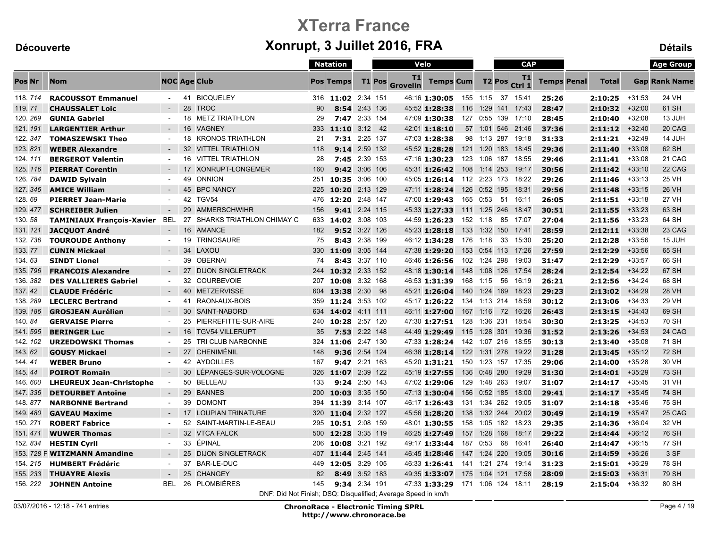|          |                                  |                     |    |                                                               |     | <b>Natation</b>    |               |    | Velo           |                        |     |              |                    | <b>CAP</b>         |                    |              |          | <b>Age Group</b>     |
|----------|----------------------------------|---------------------|----|---------------------------------------------------------------|-----|--------------------|---------------|----|----------------|------------------------|-----|--------------|--------------------|--------------------|--------------------|--------------|----------|----------------------|
| Pos Nr   | <b>Nom</b>                       | <b>NOC Age Club</b> |    |                                                               |     | <b>Pos Temps</b>   | <b>T1 Pos</b> |    | T1<br>Grovelin | <b>Temps Cum</b>       |     |              | T <sub>2</sub> Pos | T1<br>Ctrl 1       | <b>Temps Penal</b> | <b>Total</b> |          | <b>Gap Rank Name</b> |
| 118.714  | <b>RACOUSSOT Emmanuel</b>        | $\sim$              |    | 41 BICQUELEY                                                  |     | 316 11:02 2:34 151 |               |    |                | 46:16 1:30:05 155 1:15 |     |              | 37                 | 15:41              | 25:26              | 2:10:25      | $+31:53$ | 24 VH                |
| 119.71   | <b>CHAUSSALET Loic</b>           | $\sim$              | 28 | <b>TROC</b>                                                   | 90  | 8:54               | 2:43 136      |    |                | 45:52 1:28:38          | 116 | 1:29         | 141                | 17:43              | 28:47              | 2:10:32      | $+32:00$ | 61 SH                |
| 120.269  | <b>GUNIA Gabriel</b>             | $\sim$              | 18 | <b>METZ TRIATHLON</b>                                         | 29  |                    | 7:47 2:33 154 |    |                | 47:09 1:30:38          |     |              |                    | 127 0:55 139 17:10 | 28:45              | 2:10:40      | $+32:08$ | 13 JUH               |
| 121.191  | <b>LARGENTIER Arthur</b>         | $\sim$              | 16 | <b>VAGNEY</b>                                                 | 333 | 11:10              | $3:12$ 42     |    |                | 42:01 1:18:10          |     | 57 1:01      |                    | 546 21:46          | 37:36              | 2:11:12      | $+32:40$ | 20 CAG               |
| 122.347  | <b>TOMASZEWSKI Theo</b>          | $\sim$              | 18 | <b>KRONOS TRIATHLON</b>                                       | 21  |                    | 7:31 2:25 137 |    |                | 47:03 1:28:38          |     |              |                    | 98 1:13 287 19:18  | 31:33              | 2:11:21      | $+32:49$ | 14 JUH               |
| 123.821  | <b>WEBER Alexandre</b>           | $\sim$              |    | 32 VITTEL TRIATHLON                                           | 118 |                    | 9:14 2:59 132 |    |                | 45:52 1:28:28          |     | 121 1:20     | 183                | 18:45              | 29:36              | 2:11:40      | $+33:08$ | 62 SH                |
| 124.111  | <b>BERGEROT Valentin</b>         | $\blacksquare$      |    | <b>16 VITTEL TRIATHLON</b>                                    | 28  |                    | 7:45 2:39 153 |    |                | 47:16 1:30:23          |     |              |                    | 123 1:06 187 18:55 | 29:46              | 2:11:41      | $+33:08$ | 21 CAG               |
| 125.116  | <b>PIERRAT Corentin</b>          |                     | 17 | <b>XONRUPT-LONGEMER</b>                                       | 160 |                    | 9:42 3:06 106 |    |                | 45:31 1:26:42          |     | 108 1:14 253 |                    | 19:17              | 30:56              | 2:11:42      | $+33:10$ | 22 CAG               |
| 126.784  | <b>DAWID Sylvain</b>             | $\blacksquare$      |    | 49 ONNION                                                     | 251 | 10:35              | 3:06 100      |    |                | 45:05 1:26:14          |     | 112 2:23 173 |                    | 18:22              | 29:26              | 2:11:46      | $+33:13$ | <b>25 VH</b>         |
| 127.346  | <b>AMICE William</b>             | $\sim$              |    | 45 BPC NANCY                                                  | 225 | 10:20 2:13 129     |               |    |                | 47:11 1:28:24          |     | 126 0:52 195 |                    | 18:31              | 29:56              | 2:11:48      | $+33:15$ | <b>26 VH</b>         |
| 128.69   | <b>PIERRET Jean-Marie</b>        | $\blacksquare$      |    | 42 TGV54                                                      |     | 476 12:20 2:48 147 |               |    |                | 47:00 1:29:43          |     | 165 0:53     | 51                 | 16:11              | 26:05              | 2:11:51      | $+33:18$ | <b>27 VH</b>         |
| 129.477  | <b>SCHREIBER Julien</b>          | $\sim$              | 29 | AMMERSCHWIHR                                                  | 156 |                    | 9:41 2:24 115 |    |                | 45:33 1:27:33          | 111 |              |                    | 1:25 246 18:47     | 30:51              | 2:11:55      | $+33:23$ | 63 SH                |
| 130.58   | <b>TAMINIAUX François-Xavier</b> | <b>BEL</b>          | 27 | SHARKS TRIATHLON CHIMAY C                                     | 633 | 14:02 3:08 103     |               |    |                | 44:59 1:26:23          | 152 | 1:18         |                    | 85 17:07           | 27:04              | 2:11:56      | $+33:23$ | 64 SH                |
| 131.121  | <b>JACQUOT André</b>             | $\sim$              | 16 | AMANCE                                                        | 182 |                    | 9:52 3:27 126 |    |                | 45:23 1:28:18          |     |              |                    | 133 1:32 150 17:41 | 28:59              | 2:12:11      | $+33:38$ | 23 CAG               |
| 132.736  | <b>TOUROUDE Anthony</b>          | $\sim$              | 19 | TRINOSAURE                                                    | 75  |                    | 8:43 2:38 199 |    |                | 46:12 1:34:28          |     | 176 1:18     |                    | 33 15:30           | 25:20              | 2:12:28      | $+33:56$ | 15 JUH               |
| 133.77   | <b>CUNIN Mickael</b>             | $\sim$              |    | 34 LAXOU                                                      | 330 | 11:09              | 3:05 144      |    |                | 47:38 1:29:20          |     |              |                    | 153 0:54 113 17:26 | 27:59              | 2:12:29      | $+33:56$ | 65 SH                |
| 134, 63  | <b>SINDT Lionel</b>              | $\sim$              |    | 39 OBERNAI                                                    | 74  |                    | 8:43 3:37 110 |    |                | 46:46 1:26:56          |     | 102 1:24 298 |                    | 19:03              | 31:47              | 2:12:29      | $+33:57$ | 66 SH                |
| 135.796  | <b>FRANCOIS Alexandre</b>        |                     | 27 | <b>DIJON SINGLETRACK</b>                                      | 244 | 10:32 2:33 152     |               |    |                | 48:18 1:30:14          | 148 |              |                    | 1:08 126 17:54     | 28:24              | 2:12:54      | $+34:22$ | 67 SH                |
| 136.382  | <b>DES VALLIERES Gabriel</b>     | $\sim$              |    | 32 COURBEVOIE                                                 | 207 | 10:08 3:32 168     |               |    |                | 46:53 1:31:39          |     | 168 1:15     | 56                 | 16:19              | 26:21              | 2:12:56      | $+34:24$ | 68 SH                |
| 137.42   | <b>CLAUDE Frédéric</b>           | $\sim$              |    | 40 METZERVISSE                                                | 604 | 13:38              | 2:30          | 98 |                | 45:21 1:26:04          | 140 | 1:24 169     |                    | 18:23              | 29:23              | 2:13:02      | $+34:29$ | <b>28 VH</b>         |
| 138.289  | <b>LECLERC Bertrand</b>          | $\sim$              |    | 41 RAON-AUX-BOIS                                              | 359 | 11:24 3:53 102     |               |    |                | 45:17 1:26:22          |     | 134 1:13 214 |                    | 18:59              | 30:12              | 2:13:06      | $+34:33$ | 29 VH                |
| 139.186  | <b>GROSJEAN Aurélien</b>         | $\sim$              | 30 | SAINT-NABORD                                                  | 634 | 14:02 4:11 111     |               |    |                | 46:11 1:27:00          |     | 167 1:16     |                    | 72 16:26           | 26:43              | 2:13:15      | $+34:43$ | 69 SH                |
| 140.84   | <b>GERVAISE Pierre</b>           | $\sim$              | 25 | PIERREFITTE-SUR-AIRE                                          | 240 | 10:28 2:57 120     |               |    |                | 47:30 1:27:51          |     | 128 1:36 231 |                    | 18:54              | 30:30              | 2:13:25      | $+34:53$ | 70 SH                |
| 141.595  | <b>BERINGER Luc</b>              | $\sim$              | 16 | <b>TGV54 VILLERUPT</b>                                        | 35  |                    | 7:53 2:22 148 |    |                | 44:49 1:29:49          | 115 | 1:28 301     |                    | 19:36              | 31:52              | 2:13:26      | $+34:53$ | 24 CAG               |
| 142. 102 | <b>URZEDOWSKI Thomas</b>         | $\blacksquare$      | 25 | TRI CLUB NARBONNE                                             | 324 | 11:06 2:47 130     |               |    |                | 47:33 1:28:24          |     |              |                    | 142 1:07 216 18:55 | 30:13              | 2:13:40      | $+35:08$ | 71 SH                |
| 143.62   | <b>GOUSY Mickael</b>             | $\sim$              | 27 | CHENIMÉNIL                                                    | 148 |                    | 9:36 2:54 124 |    |                | 46:38 1:28:14          |     |              |                    | 122 1:31 278 19:22 | 31:28              | 2:13:45      | $+35:12$ | <b>72 SH</b>         |
| 144.41   | <b>WEBER Bruno</b>               | $\blacksquare$      |    | 42 AYDOILLES                                                  | 167 | 9:47               | 2:21 163      |    |                | 45:20 1:31:21          |     |              |                    | 150 1:23 157 17:35 | 29:06              | 2:14:00      | $+35:28$ | 30 VH                |
| 145.44   | <b>POIROT Romain</b>             | $\sim$              |    | 30 LÉPANGES-SUR-VOLOGNE                                       | 326 | 11:07 2:39 122     |               |    |                | 45:19 1:27:55          |     | 136 0:48 280 |                    | 19:29              | 31:30              | 2:14:01      | $+35:29$ | 73 SH                |
| 146.600  | <b>LHEUREUX Jean-Christophe</b>  | $\sim$              |    | 50 BELLEAU                                                    | 133 |                    | 9:24 2:50 143 |    |                | 47:02 1:29:06          |     |              |                    | 129 1:48 263 19:07 | 31:07              | 2:14:17      | $+35:45$ | 31 VH                |
| 147.336  | <b>DETOURBET Antoine</b>         | $\sim$              |    | 29 BANNES                                                     | 200 | 10:03 3:35 150     |               |    |                | 47:13 1:30:04          |     |              |                    | 156 0:52 185 18:00 | 29:41              | 2:14:17      | $+35:45$ | <b>74 SH</b>         |
| 148.877  | <b>NARBONNE Bertrand</b>         | $\blacksquare$      |    | 39 DOMONT                                                     | 394 | 11:39              | 3:14 107      |    |                | 46:17 1:26:43          |     |              |                    | 131 1:34 262 19:05 | 31:07              | 2:14:18      | $+35:46$ | 75 SH                |
| 149.480  | <b>GAVEAU Maxime</b>             | $\sim$              |    | 17 LOUPIAN TRINATURE                                          | 320 | 11:04 2:32 127     |               |    |                | 45:56 1:28:20          |     |              |                    | 138 1:32 244 20:02 | 30:49              | 2:14:19      | $+35:47$ | 25 CAG               |
| 150, 271 | <b>ROBERT Fabrice</b>            | $\sim$              |    | 52 SAINT-MARTIN-LE-BEAU                                       | 295 | 10:51 2:08 159     |               |    |                | 48:01 1:30:55          |     |              |                    | 158 1:05 182 18:23 | 29:35              | 2:14:36      | $+36:04$ | 32 VH                |
| 151.471  | <b>WUWER Thomas</b>              | $\sim$              |    | 32 VTCA FALCK                                                 | 500 | 12:28 3:35 119     |               |    |                | 46:25 1:27:49          |     | 157 1:28 168 |                    | 18:17              | 29:22              | 2:14:44      | $+36:12$ | 76 SH                |
| 152.834  | <b>HESTIN Cyril</b>              | $\blacksquare$      | 33 | ÉPINAL                                                        | 206 | 10:08              | 3:21 192      |    |                | 49:17 1:33:44          | 187 | 0:53         | 68                 | 16:41              | 26:40              | 2:14:47      | $+36:15$ | 77 SH                |
|          | 153. 728 F WITZMANN Amandine     | $\sim$              |    | 25 DIJON SINGLETRACK                                          | 407 | 11:44 2:45 141     |               |    |                | 46:45 1:28:46          |     |              |                    | 147 1:24 220 19:05 | 30:16              | 2:14:59      | $+36:26$ | 3 SF                 |
| 154, 215 | <b>HUMBERT Frédéric</b>          | $\sim$              |    | 37 BAR-LE-DUC                                                 | 449 | 12:05 3:29 105     |               |    |                | 46:33 1:26:41          |     |              |                    | 141 1:21 274 19:14 | 31:23              | 2:15:01      | $+36:29$ | 78 SH                |
| 155.233  | <b>THUAYRE Alexis</b>            | $\sim$              |    | 25 CHANGEY                                                    | 82  | 8:49               | 3:52 183      |    |                | 49:35 1:33:07          | 175 | 1:04 121     |                    | 17:58              | 28:09              | 2:15:03      | $+36:31$ | 79 SH                |
| 156.222  | <b>JOHNEN Antoine</b>            | <b>BEL</b>          |    | 26 PLOMBIÈRES                                                 | 145 |                    | 9:34 2:34 191 |    |                | 47:33 1:33:29          |     |              |                    | 171 1:06 124 18:11 | 28:19              | 2:15:04      | $+36:32$ | 80 SH                |
|          |                                  |                     |    | DNF: Did Not Finish; DSQ: Disqualified; Average Speed in km/h |     |                    |               |    |                |                        |     |              |                    |                    |                    |              |          |                      |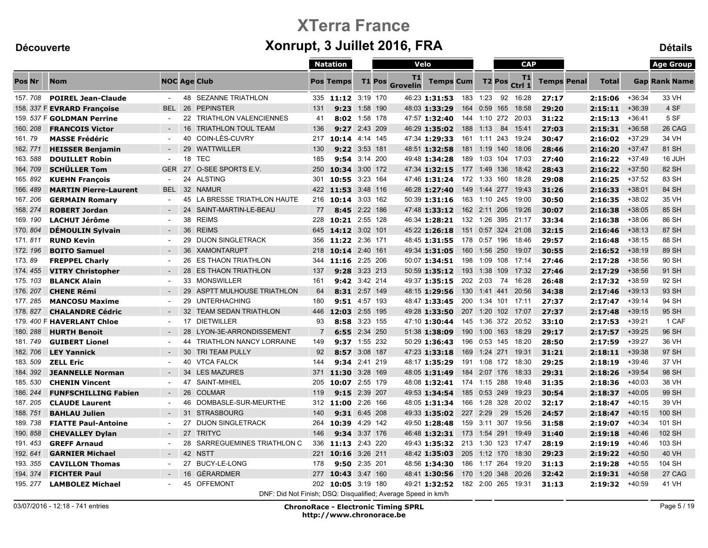|               |                              |                |                                       |                                                               | <b>Natation</b>    |               |               |                       | Velo                             |     |                    |     | <b>CAP</b>         |                    |              |          | <b>Age Group</b>     |
|---------------|------------------------------|----------------|---------------------------------------|---------------------------------------------------------------|--------------------|---------------|---------------|-----------------------|----------------------------------|-----|--------------------|-----|--------------------|--------------------|--------------|----------|----------------------|
| <b>Pos Nr</b> | <b>Nom</b>                   |                | <b>NOC Age Club</b>                   |                                                               | <b>Pos Temps</b>   |               | <b>T1 Pos</b> | T1<br><b>Grovelin</b> | <b>Temps Cum</b>                 |     | T <sub>2</sub> Pos |     | T1<br>Ctrl 1       | <b>Temps Penal</b> | <b>Total</b> |          | <b>Gap Rank Name</b> |
| 157.708       | <b>POIREL Jean-Claude</b>    |                | <b>48 SEZANNE TRIATHLON</b>           | 335                                                           | 11:12 3:19 170     |               |               |                       | 46:23 1:31:53 183 1:23           |     |                    | 92  | 16:28              | 27:17              | 2:15:06      | $+36:34$ | 33 VH                |
|               | 158. 337 F EVRARD Françoise  | <b>BEL</b>     | 26<br><b>PEPINSTER</b>                | 131                                                           | 9:23               | 1:58 190      |               |                       | 48:03 1:33:29                    |     | 164 0:59           | 165 | 18:58              | 29:20              | 2:15:11      | $+36:39$ | 4 SF                 |
|               | 159. 537 F GOLDMAN Perrine   |                | 22 TRIATHLON VALENCIENNES             | 41                                                            |                    | 8:02 1:58 178 |               |                       | 47:57 1:32:40                    |     | 144 1:10 272 20:03 |     |                    | 31:22              | 2:15:13      | $+36:41$ | 5 SF                 |
| 160, 208      | <b>FRANCOIS Victor</b>       |                | <b>TRIATHLON TOUL TEAM</b><br>16      | 136                                                           | 9:27               | 2:43 209      |               |                       | 46:29 1:35:02                    | 188 | 1:13               | 84  | 15:41              | 27:03              | 2:15:31      | $+36:58$ | 26 CAG               |
| 161.79        | <b>MASSE Frédéric</b>        | $\blacksquare$ | COIN-LÈS-CUVRY<br>40                  | 217                                                           | 10:14 4:14 145     |               |               |                       | 47:34 1:29:33                    |     | 161 1:11 243       |     | 19:24              | 30:47              | 2:16:02      | $+37:29$ | 34 VH                |
| 162.771       | <b>HEISSER Benjamin</b>      |                | 29 WATTWILLER                         | 130                                                           |                    | 9:22 3:53 181 |               |                       | 48:51 1:32:58                    |     | 181 1:19 140       |     | 18:06              | 28:46              | 2:16:20      | $+37:47$ | 81 SH                |
| 163.588       | <b>DOUILLET Robin</b>        | $\sim$         | 18<br>TEC                             | 185                                                           |                    | 9:54 3:14 200 |               |                       | 49:48 1:34:28                    |     | 189 1:03 104 17:03 |     |                    | 27:40              | 2:16:22      | $+37:49$ | 16 JUH               |
| 164.709       | <b>SCHÜLLER Tom</b>          | <b>GER</b>     | O-SEE SPORTS E.V.<br>27               | 250                                                           | 10:34 3:00 172     |               |               |                       | 47:34 1:32:15 177 1:49 136 18:42 |     |                    |     |                    | 28:43              | 2:16:22      | $+37:50$ | 82 SH                |
| 165.892       | <b>KUEHN François</b>        | $\sim$         | 24 ALSTING                            | 301                                                           | 10:55              | 3:23 164      |               |                       | 47:46 1:31:24                    |     | 172 1:33 160       |     | 18:28              | 29:08              | 2:16:25      | $+37:52$ | 83 SH                |
| 166.489       | <b>MARTIN Pierre-Laurent</b> | <b>BEL</b>     | 32 NAMUR                              |                                                               | 422 11:53 3:48 116 |               |               |                       | 46:28 1:27:40                    |     | 149 1:44 277 19:43 |     |                    | 31:26              | 2:16:33      | $+38:01$ | 84 SH                |
| 167.206       | <b>GERMAIN Romary</b>        |                | LA BRESSE TRIATHLON HAUTE<br>45       |                                                               | 216 10:14 3:03 162 |               |               |                       | 50:39 1:31:16                    |     | 163 1:10 245 19:00 |     |                    | 30:50              | 2:16:35      | $+38:02$ | 35 VH                |
| 168.274       | <b>ROBERT Jordan</b>         | $\sim$         | 24 SAINT-MARTIN-LE-BEAU               | 77                                                            | 8:45               | 2:22 186      |               |                       | 47:48 1:33:12                    |     | 162 2:11 206       |     | 19:26              | 30:07              | 2:16:38      | $+38:05$ | 85 SH                |
| 169.190       | <b>LACHUT Jérôme</b>         | $\sim$         | 38 REIMS                              | 228                                                           | 10:21 2:55 128     |               |               |                       | 46:34 1:28:21                    |     | 132 1:26 395 21:17 |     |                    | 33:34              | 2:16:38      | $+38:06$ | 86 SH                |
| 170, 804      | <b>DÉMOULIN Sylvain</b>      | $\sim$         | 36 REIMS                              | 645                                                           | 14:12 3:02 101     |               |               |                       | 45:22 1:26:18                    |     | 151 0:57 324 21:08 |     |                    | 32:15              | 2:16:46      | $+38:13$ | 87 SH                |
| 171.811       | <b>RUND Kevin</b>            |                | 29<br><b>DIJON SINGLETRACK</b>        | 356                                                           | 11:22 2:36 171     |               |               |                       | 48:45 1:31:55 178 0:57 196       |     |                    |     | 18:46              | 29:57              | 2:16:48      | $+38:15$ | 88 SH                |
| 172, 196      | <b>BOITO Samuel</b>          |                | 36 XAMONTARUPT                        | 218                                                           | 10:14 2:40 161     |               |               |                       | 49:34 1:31:05                    |     | 160 1:56 250       |     | 19:07              | 30:55              | 2:16:52      | $+38:19$ | 89 SH                |
| 173.89        | <b>FREPPEL Charly</b>        |                | <b>ES THAON TRIATHLON</b><br>26       | 344                                                           | 11:16 2:25 206     |               |               |                       | 50:07 1:34:51                    |     | 198 1:09 108 17:14 |     |                    | 27:46              | 2:17:28      | $+38:56$ | 90 SH                |
| 174.455       | <b>VITRY Christopher</b>     |                | 28 ES THAON TRIATHLON                 | 137                                                           | 9:28               | 3:23 213      |               |                       | 50:59 1:35:12                    |     | 193 1:38 109 17:32 |     |                    | 27:46              | 2:17:29      | $+38:56$ | 91 SH                |
| 175.103       | <b>BLANCK Alain</b>          | $\sim$         | 33 MONSWILLER                         | 161                                                           |                    | 9:42 3:42 214 |               |                       | 49:37 1:35:15 202 2:03           |     |                    | 74  | 16:28              | 26:48              | 2:17:32      | $+38:59$ | 92 SH                |
| 176.207       | <b>CHENE Rémi</b>            |                | ASPTT MULHOUSE TRIATHLON<br>29        | 64                                                            |                    | 8:31 2:57 149 |               |                       | 48:15 1:29:56                    | 130 | 1:41 441           |     | 20:56              | 34:38              | 2:17:46      | $+39:13$ | 93 SH                |
| 177.285       | <b>MANCOSU Maxime</b>        | $\sim$         | <b>UNTERHACHING</b><br>29             | 180                                                           |                    | 9:51 4:57 193 |               |                       | 48:47 1:33:45                    |     | 200 1:34 101 17:11 |     |                    | 27:37              | 2:17:47      | $+39:14$ | 94 SH                |
| 178.827       | <b>CHALANDRE Cédric</b>      |                | 32<br><b>TEAM SEDAN TRIATHLON</b>     |                                                               | 446 12:03          | 2:55 195      |               |                       | 49:28 1:33:50                    |     | 207 1:20 102 17:07 |     |                    | 27:37              | 2:17:48      | $+39:15$ | 95 SH                |
|               | 179. 400 F HAVERLANT Chloe   | $\sim$         | 17 DIETWILLER                         | 93                                                            | 8:58               | 3:23 155      |               |                       | 47:10 1:30:44                    |     |                    |     | 145 1:36 372 20:52 | 33:10              | 2:17:53      | $+39:21$ | 1 CAF                |
| 180, 288      | <b>HURTH Benoit</b>          |                | LYON-3E-ARRONDISSEMENT<br>28          | 7                                                             | 6:55               | 2:34 250      |               |                       | 51:38 1:38:09                    |     | 190 1:00 163       |     | 18:29              | 29:17              | 2:17:57      | $+39:25$ | 96 SH                |
| 181, 749      | <b>GUIBERT Lionel</b>        | $\sim$         | <b>TRIATHLON NANCY LORRAINE</b><br>44 | 149                                                           |                    | 9:37 1:55 232 |               |                       | 50:29 1:36:43                    |     | 196 0:53 145 18:20 |     |                    | 28:50              | 2:17:59      | $+39:27$ | 36 VH                |
| 182.706       | <b>LEY Yannick</b>           |                | <b>TRI TEAM PULLY</b><br>30           | 92                                                            |                    | 8:57 3:08 187 |               |                       | 47:23 1:33:18                    |     | 169 1:24 271 19:31 |     |                    | 31:21              | 2:18:11      | $+39:38$ | 97 SH                |
| 183.509       | <b>ZELL Eric</b>             | $\sim$         | 40<br><b>VTCA FALCK</b>               | 144                                                           | 9:34               | 2:41 219      |               |                       | 48:17 1:35:29                    |     | 191 1:08 172       |     | 18:30              | 29:25              | 2:18:19      | $+39:46$ | 37 VH                |
| 184, 392      | <b>JEANNELLE Norman</b>      |                | 34<br><b>LES MAZURES</b>              | 371                                                           | 11:30              | 3:28 169      |               |                       | 48:05 1:31:49                    |     | 184 2:07 176       |     | 18:33              | 29:31              | 2:18:26      | $+39:54$ | 98 SH                |
| 185.530       | <b>CHENIN Vincent</b>        | $\blacksquare$ | SAINT-MIHIEL<br>47                    | 205                                                           | 10:07 2:55 179     |               |               |                       | 48:08 1:32:41 174 1:15 288       |     |                    |     | 19:48              | 31:35              | 2:18:36      | $+40:03$ | 38 VH                |
| 186.244       | <b>FUNFSCHILLING Fabien</b>  | $\sim$         | 26<br><b>COLMAR</b>                   | 119                                                           |                    | 9:15 2:39 207 |               |                       | 49:53 1:34:54                    |     | 185 0:53 249       |     | 19:23              | 30:54              | 2:18:37      | $+40:05$ | 99 SH                |
| 187.205       | <b>CLAUDE Laurent</b>        | $\sim$         | DOMBASLE-SUR-MEURTHE<br>46            | 312                                                           | 11:00              | 2:26 166      |               |                       | 48:05 1:31:34                    |     | 166 1:28 328       |     | 20:02              | 32:17              | 2:18:47      | $+40:15$ | 39 VH                |
| 188.751       | <b>BAHLAU Julien</b>         | $\sim$         | 31 STRASBOURG                         | 140                                                           |                    | 9:31 6:45 208 |               |                       | 49:33 1:35:02                    |     | 227 2:29           | 29  | 15:26              | 24:57              | 2:18:47      | $+40:15$ | 100 SH               |
| 189.738       | <b>FIATTE Paul-Antoine</b>   | $\sim$         | <b>DIJON SINGLETRACK</b><br>27        | 264                                                           | 10:39 4:29 142     |               |               |                       | 49:50 1:28:48                    |     | 159 3:11 307       |     | 19:56              | 31:58              | 2:19:07      | $+40:34$ | 101 SH               |
| 190.858       | <b>CHEVALLEY Dylan</b>       | $\sim$         | 27 TRITYC                             | 146                                                           |                    | 9:34 3:37 176 |               |                       | 46:48 1:32:31                    |     | 173 1:54 291 19:49 |     |                    | 31:40              | 2:19:18      | $+40:46$ | 102 SH               |
| 191.453       | <b>GREFF Arnaud</b>          |                | SARREGUEMINES TRIATHLON C<br>28       | 336                                                           | 11:13              | 2:43 220      |               |                       | 49:43 1:35:32                    |     | 213 1:30 123       |     | 17:47              | 28:19              | 2:19:19      | $+40:46$ | 103 SH               |
| 192.641       | <b>GARNIER Michael</b>       | $\sim$         | 42 NSTT                               | 221                                                           | 10:16 3:26 211     |               |               |                       | 48:42 1:35:03                    |     | 205 1:12 170       |     | 18:30              | 29:23              | 2:19:22      | $+40:50$ | 40 VH                |
| 193.355       | <b>CAVILLON Thomas</b>       | $\sim$         | 27 BUCY-LE-LONG                       | 178                                                           |                    | 9:50 2:35 201 |               |                       | 48:56 1:34:30                    |     | 186 1:17 264       |     | 19:20              | 31:13              | 2:19:28      | $+40:55$ | 104 SH               |
| 194, 374      | <b>FICHTER Paul</b>          |                | GÉRARDMER<br>16                       | 277                                                           | 10:43              | 3:47 160      |               |                       | 48:41 1:30:56                    |     | 170 1:20 348 20:26 |     |                    | 32:42              | 2:19:31      | $+40:58$ | 27 CAG               |
| 195.277       | <b>LAMBOLEZ Michael</b>      |                | 45 OFFEMONT                           |                                                               | 202 10:05 3:19 180 |               |               |                       | 49:21 1:32:52                    |     | 182 2:00 265 19:31 |     |                    | 31:13              | 2:19:32      | +40:59   | 41 VH                |
|               |                              |                |                                       | DNF: Did Not Finish; DSQ: Disqualified; Average Speed in km/h |                    |               |               |                       |                                  |     |                    |     |                    |                    |              |          |                      |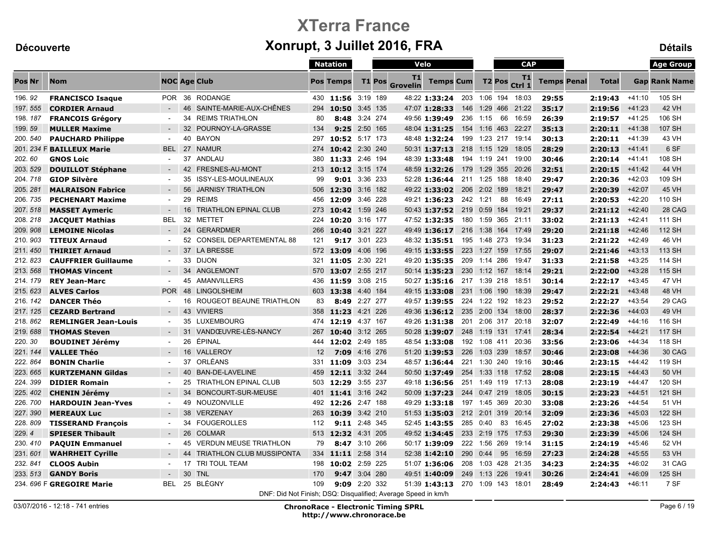|          |                             |                |    |                                                               |     | <b>Natation</b>      |          |                       | Velo                             |     |          |              | <b>CAP</b>         |                    |              |          | <b>Age Group</b>     |
|----------|-----------------------------|----------------|----|---------------------------------------------------------------|-----|----------------------|----------|-----------------------|----------------------------------|-----|----------|--------------|--------------------|--------------------|--------------|----------|----------------------|
| Pos Nr   | <b>Nom</b>                  |                |    | <b>NOC Age Club</b>                                           |     | <b>Pos Temps</b>     |          | T1<br>T1 Pos Grovelin | <b>Temps Cum</b>                 |     |          |              | T2 Pos Ctrl 1      | <b>Temps Penal</b> | <b>Total</b> |          | <b>Gap Rank Name</b> |
| 196.92   | <b>FRANCISCO Isaque</b>     | <b>POR</b>     |    | 36 RODANGE                                                    |     | 430 11:56 3:19 189   |          |                       | 48:22 1:33:24 203 1:06 194 18:03 |     |          |              |                    | 29:55              | 2:19:43      | $+41:10$ | 105 SH               |
| 197.555  | <b>CORDIER Arnaud</b>       |                | 46 | SAINTE-MARIE-AUX-CHÊNES                                       | 294 | 10:50                | 3:45 135 |                       | 47:07 1:28:33                    | 146 |          |              | 1:29 466 21:22     | 35:17              | 2:19:56      | $+41:23$ | <b>42 VH</b>         |
| 198.187  | <b>FRANCOIS Grégory</b>     | $\blacksquare$ |    | 34 REIMS TRIATHLON                                            | 80  | 8:48 3:24 274        |          |                       | 49:56 1:39:49 236                |     | 1:15     | 66           | 16:59              | 26:39              | 2:19:57      | $+41:25$ | 106 SH               |
| 199.59   | <b>MULLER Maxime</b>        |                | 32 | POURNOY-LA-GRASSE                                             | 134 | 9:25                 | 2:50 165 |                       | 48:04 1:31:25                    |     |          |              | 154 1:16 463 22:27 | 35:13              | 2:20:11      | $+41:38$ | 107 SH               |
| 200.540  | <b>PAUCHARD Philippe</b>    | $\blacksquare$ |    | 40 BAYON                                                      | 297 | 10:52 5:17 173       |          |                       | 48:48 1:32:24 199 1:23 217 19:14 |     |          |              |                    | 30:13              | 2:20:11      | $+41:39$ | 43 VH                |
|          | 201. 234 F BAILLEUX Marie   | <b>BEL</b>     | 27 | <b>NAMUR</b>                                                  | 274 | 10:42 2:30 240       |          |                       | 50:31 1:37:13 218 1:15 129 18:05 |     |          |              |                    | 28:29              | 2:20:13      | $+41:41$ | 6 SF                 |
| 202.60   | <b>GNOS Loic</b>            | $\sim$         |    | 37 ANDLAU                                                     | 380 | 11:33 2:46 194       |          |                       | 48:39 1:33:48 194 1:19 241 19:00 |     |          |              |                    | 30:46              | 2:20:14      | +41:41   | 108 SH               |
| 203.529  | <b>DOUILLOT Stéphane</b>    |                | 42 | FRESNES-AU-MONT                                               | 213 | 10:12 3:15 174       |          |                       | 48:59 1:32:26                    |     |          |              | 179 1:29 355 20:26 | 32:51              | 2:20:15      | $+41:42$ | 44 VH                |
| 204.718  | <b>GIOP Silvère</b>         | $\blacksquare$ | 35 | <b>ISSY-LES-MOULINEAUX</b>                                    | 99  | <b>9:01</b> 3:36 233 |          |                       | 52:28 1:36:44 211 1:25 188 18:40 |     |          |              |                    | 29:47              | 2:20:36      | $+42:03$ | 109 SH               |
| 205.281  | <b>MALRAISON Fabrice</b>    | $\sim$         | 56 | <b>JARNISY TRIATHLON</b>                                      | 506 | 12:30 3:16 182       |          |                       | 49:22 1:33:02 206 2:02 189 18:21 |     |          |              |                    | 29:47              | 2:20:39      | $+42:07$ | 45 VH                |
| 206, 735 | <b>PECHENART Maxime</b>     | $\sim$         | 29 | <b>REIMS</b>                                                  | 456 | 12:09 3:46 228       |          |                       | 49:21 1:36:23 242 1:21           |     |          | 88           | 16:49              | 27:11              | 2:20:53      | +42:20   | 110 SH               |
| 207.518  | <b>MASSET Aymeric</b>       | $\sim$         | 16 | <b>TRIATHLON EPINAL CLUB</b>                                  | 273 | 10:42                | 1:59 246 |                       | 50:43 1:37:52 219 0:59 184 19:21 |     |          |              |                    | 29:37              | 2:21:12      | $+42:40$ | 28 CAG               |
| 208.218  | <b>JACQUET Mathias</b>      | <b>BEL</b>     |    | 32 METTET                                                     | 224 | 10:20 3:16 177       |          |                       | 47:52 1:32:35 180 1:59 365 21:11 |     |          |              |                    | 33:02              | 2:21:13      | $+42:41$ | 111 SH               |
| 209.908  | <b>LEMOINE Nicolas</b>      | $\sim$         | 24 | <b>GERARDMER</b>                                              | 266 | 10:40 3:21 227       |          |                       | 49:49 1:36:17 216 1:38 164 17:49 |     |          |              |                    | 29:20              | 2:21:18      | $+42:46$ | 112 SH               |
| 210, 903 | <b>TITEUX Arnaud</b>        | $\sim$         |    | 52 CONSEIL DEPARTEMENTAL 88                                   | 121 | 9:17 3:01 223        |          |                       | 48:32 1:35:51 195 1:48 273 19:34 |     |          |              |                    | 31:23              | 2:21:22      | $+42:49$ | 46 VH                |
| 211.450  | <b>THIRIET Arnaud</b>       |                |    | 37 LA BRESSE                                                  |     | 572 13:09 4:06 196   |          |                       | 49:15 1:33:55 223 1:27 159 17:55 |     |          |              |                    | 29:07              | 2:21:46      | $+43:13$ | 113 SH               |
| 212, 823 | <b>CAUFFRIER Guillaume</b>  | $\blacksquare$ | 33 | <b>DIJON</b>                                                  | 321 | 11:05 2:30 221       |          |                       | 49:20 1:35:35 209 1:14 286 19:47 |     |          |              |                    | 31:33              | 2:21:58      | $+43:25$ | 114 SH               |
| 213.568  | <b>THOMAS Vincent</b>       |                | 34 | ANGLEMONT                                                     | 570 | 13:07 2:55 217       |          |                       | 50:14 1:35:23 230 1:12 167 18:14 |     |          |              |                    | 29:21              | 2:22:00      | $+43:28$ | 115 SH               |
| 214, 179 | <b>REY Jean-Marc</b>        | $\sim$         |    | 45 AMANVILLERS                                                | 436 | 11:59 3:08 215       |          |                       | 50:27 1:35:16 217 1:39 218 18:51 |     |          |              |                    | 30:14              | 2:22:17      | $+43:45$ | 47 VH                |
| 215.623  | <b>ALVES Carlos</b>         | POR            |    | 48 LINGOLSHEIM                                                | 603 | 13:38 4:40 184       |          |                       | 49:15 1:33:08 231 1:06 190 18:39 |     |          |              |                    | 29:47              | 2:22:21      | $+43:48$ | 48 VH                |
| 216, 142 | <b>DANCER Théo</b>          |                | 16 | ROUGEOT BEAUNE TRIATHLON                                      | 83  | 8:49 2:27 277        |          |                       | 49:57 1:39:55 224 1:22 192 18:23 |     |          |              |                    | 29:52              | 2:22:27      | $+43:54$ | 29 CAG               |
| 217.125  | <b>CEZARD Bertrand</b>      | $\sim$         | 43 | <b>VIVIERS</b>                                                | 358 | 11:23 4:21 226       |          |                       | 49:36 1:36:12 235 2:00 134 18:00 |     |          |              |                    | 28:37              | 2:22:36      | $+44:03$ | 49 VH                |
| 218, 862 | <b>REMLINGER Jean-Louis</b> | $\sim$         |    | 35 LUXEMBOURG                                                 |     | 474 12:19            | 4:37 167 |                       | 49:26 1:31:38 201 2:06 317 20:18 |     |          |              |                    | 32:07              | 2:22:49      | $+44:16$ | 116 SH               |
| 219.688  | <b>THOMAS Steven</b>        | $\sim$         | 31 | VANDŒUVRE-LÈS-NANCY                                           | 267 | 10:40 3:12 265       |          |                       | 50:28 1:39:07 248 1:19 131 17:41 |     |          |              |                    | 28:34              | 2:22:54      | $+44:21$ | <b>117 SH</b>        |
| 220.30   | <b>BOUDINET Jérémy</b>      | $\sim$         | 26 | ÉPINAL                                                        |     | 444 12:02 2:49 185   |          |                       | 48:54 1:33:08 192 1:08 411 20:36 |     |          |              |                    | 33:56              | 2:23:06      | $+44:34$ | 118 SH               |
| 221.144  | <b>VALLEE Théo</b>          | $\sim$         | 16 | VALLEROY                                                      | 12  | <b>7:09</b> 4:16 276 |          |                       | 51:20 1:39:53 226                |     |          |              | 1:03 239 18:57     | 30:46              | 2:23:08      | $+44:36$ | 30 CAG               |
| 222.864  | <b>BONIN Charlie</b>        | $\sim$         | 37 | ORLÉANS                                                       | 331 | 11:09                | 3:03 234 |                       | 48:57 1:36:44                    |     |          |              | 221 1:30 240 19:16 | 30:46              | 2:23:15      | $+44:42$ | 119 SH               |
| 223.665  | <b>KURTZEMANN Gildas</b>    | $\sim$         | 40 | <b>BAN-DE-LAVELINE</b>                                        |     | 459 12:11 3:32 244   |          |                       | 50:50 1:37:49 254 1:33 118 17:52 |     |          |              |                    | 28:08              | 2:23:15      | $+44:43$ | 50 VH                |
| 224.399  | <b>DIDIER Romain</b>        | $\sim$         | 25 | <b>TRIATHLON EPINAL CLUB</b>                                  | 503 | 12:29 3:55 237       |          |                       | 49:18 1:36:56 251 1:49 119 17:13 |     |          |              |                    | 28:08              | 2:23:19      | $+44:47$ | 120 SH               |
| 225.402  | <b>CHENIN Jérémy</b>        | $\sim$         | 34 | BONCOURT-SUR-MEUSE                                            | 401 | 11:41 3:16 242       |          |                       | 50:09 1:37:23                    |     |          |              | 244 0:47 219 18:05 | 30:15              | 2:23:23      | $+44:51$ | 121 SH               |
| 226.700  | <b>HARDOUIN Jean-Yves</b>   |                | 49 | NOUZONVILLE                                                   | 492 | 12:26 2:47 188       |          |                       | 49:29 1:33:18                    |     |          |              | 197 1:45 369 20:30 | 33:08              | 2:23:26      | $+44:54$ | 51 VH                |
| 227.390  | <b>MEREAUX Luc</b>          | $\blacksquare$ | 38 | <b>VERZENAY</b>                                               | 263 | 10:39 3:42 210       |          |                       | 51:53 1:35:03 212 2:01 319 20:14 |     |          |              |                    | 32:09              | 2:23:36      | $+45:03$ | 122 SH               |
| 228.809  | <b>TISSERAND François</b>   | $\sim$         |    | 34 FOUGEROLLES                                                | 112 | 9:11 2:48 345        |          |                       | 52:45 1:43:55 285 0:40           |     |          | 83           | 16:45              | 27:02              | 2:23:38      | $+45:06$ | 123 SH               |
| 229.4    | <b>SPIESER Thibault</b>     | $\sim$         | 26 | <b>COLMAR</b>                                                 | 513 | 12:32 4:31 205       |          |                       | 49:52 1:34:45                    |     |          |              | 233 2:19 175 17:53 | 29:30              | 2:23:39      | $+45:06$ | 124 SH               |
| 230.410  | <b>PAQUIN Emmanuel</b>      | $\sim$         | 45 | <b>VERDUN MEUSE TRIATHLON</b>                                 | 79  | 8:47 3:10 266        |          |                       | 50:17 1:39:09                    |     |          | 222 1:56 269 | 19:14              | 31:15              | 2:24:19      | $+45:46$ | 52 VH                |
| 231.601  | <b>WAHRHEIT Cyrille</b>     |                | 44 | <b>TRIATHLON CLUB MUSSIPONTA</b>                              | 334 | 11:11 2:58 314       |          |                       | 52:38 1:42:10                    |     | 290 0:44 | 95           | 16:59              | 27:23              | 2:24:28      | $+45:55$ | 53 VH                |
| 232.841  | <b>CLOOS Aubin</b>          | $\sim$         | 17 | TRI TOUL TEAM                                                 | 198 | 10:02 2:59 225       |          |                       | 51:07 1:36:06 208 1:03 428 21:35 |     |          |              |                    | 34:23              | 2:24:35      | $+46:02$ | 31 CAG               |
| 233.513  | <b>GANDY Boris</b>          |                | 30 | <b>TNL</b>                                                    | 170 | 9:47                 | 3:04 280 |                       | 49:51 1:40:09                    |     |          |              | 249 1:13 226 19:41 | 30:26              | 2:24:41      | $+46:09$ | 125 SH               |
|          | 234. 696 F GREGOIRE Marie   | <b>BEL</b>     |    | 25 BLÉGNY                                                     | 109 | 9:09 2:20 332        |          |                       | 51:39 1:43:13 270 1:09 143 18:01 |     |          |              |                    | 28:49              | 2:24:43      | $+46:11$ | 7 SF                 |
|          |                             |                |    | DNF: Did Not Finish; DSQ: Disqualified; Average Speed in km/h |     |                      |          |                       |                                  |     |          |              |                    |                    |              |          |                      |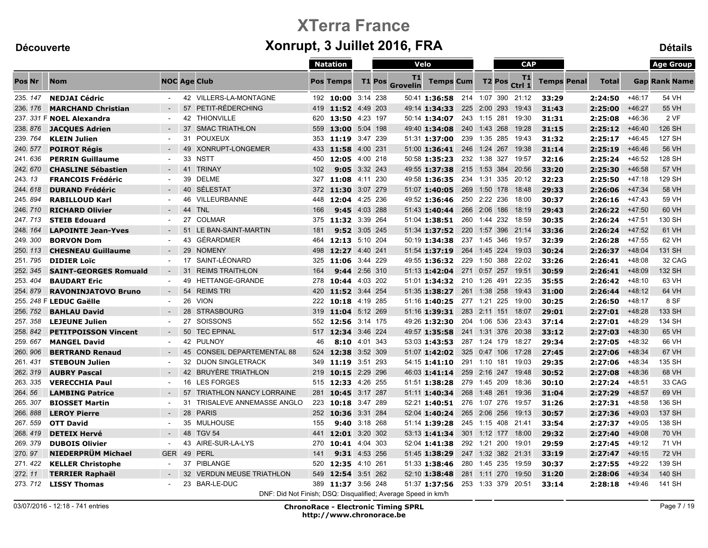|          |                              |                |    |                                                               |     | <b>Natation</b>      |          |               | Velo                  |                                  |                    | <b>CAP</b>         |                    |              |          | <b>Age Group</b>     |
|----------|------------------------------|----------------|----|---------------------------------------------------------------|-----|----------------------|----------|---------------|-----------------------|----------------------------------|--------------------|--------------------|--------------------|--------------|----------|----------------------|
| Pos Nr   | <b>Nom</b>                   |                |    | <b>NOC Age Club</b>                                           |     | <b>Pos Temps</b>     |          | <b>T1 Pos</b> | T1<br><b>Grovelin</b> | <b>Temps Cum</b>                 | T <sub>2</sub> Pos | T1<br>Ctrl 1       | <b>Temps Penal</b> | <b>Total</b> |          | <b>Gap Rank Name</b> |
| 235.147  | <b>NEDJAI Cédric</b>         | $\sim$         |    | 42 VILLERS-LA-MONTAGNE                                        |     | 192 10:00 3:14 238   |          |               |                       | 50:41 1:36:58 214 1:07 390 21:12 |                    |                    | 33:29              | 2:24:50      | $+46:17$ | 54 VH                |
| 236.176  | <b>MARCHAND Christian</b>    |                |    | 57 PETIT-RÉDERCHING                                           |     | 419 11:52 4:49 203   |          |               |                       | 49:14 1:34:33                    | 225 2:00 293       | 19:43              | 31:43              | 2:25:00      | $+46:27$ | 55 VH                |
|          | 237. 331 F NOEL Alexandra    |                | 42 | <b>THIONVILLE</b>                                             | 620 | 13:50 4:23 197       |          |               |                       | 50:14 1:34:07                    | 243 1:15 281       | 19:30              | 31:31              | 2:25:08      | $+46:36$ | 2 VF                 |
| 238.876  | <b>JACQUES Adrien</b>        |                | 37 | <b>SMAC TRIATHLON</b>                                         | 559 | 13:00 5:04 198       |          |               |                       | 49:40 1:34:08                    | 240 1:43 268       | 19:28              | 31:15              | 2:25:12      | +46:40   | 126 SH               |
| 239.764  | <b>KLEIN Julien</b>          |                | 31 | <b>POUXEUX</b>                                                | 353 | 11:19 3:47 239       |          |               |                       | 51:31 1:37:00                    |                    | 239 1:35 285 19:43 | 31:32              | 2:25:17      | $+46:45$ | 127 SH               |
| 240.577  | <b>POIROT Régis</b>          |                |    | 49 XONRUPT-LONGEMER                                           | 433 | 11:58 4:00 231       |          |               |                       | 51:00 1:36:41                    | 246 1:24 267       | 19:38              | 31:14              | 2:25:19      | $+46:46$ | 56 VH                |
| 241.636  | <b>PERRIN Guillaume</b>      | $\blacksquare$ | 33 | <b>NSTT</b>                                                   |     | 450 12:05 4:00 218   |          |               |                       | 50:58 1:35:23                    |                    | 232 1:38 327 19:57 | 32:16              | 2:25:24      | $+46:52$ | 128 SH               |
| 242.670  | <b>CHASLINE Sébastien</b>    | $\sim$         | 41 | <b>TRINAY</b>                                                 | 102 | 9:05 3:32 243        |          |               |                       | 49:55 1:37:38                    |                    | 215 1:53 384 20:56 | 33:20              | 2:25:30      | $+46:58$ | <b>57 VH</b>         |
| 243.13   | <b>FRANCOIS Frédéric</b>     |                | 39 | <b>DELME</b>                                                  | 327 | 11:08 4:11 230       |          |               |                       | 49:58 1:36:35                    |                    | 234 1:31 335 20:12 | 32:23              | 2:25:50      | $+47:18$ | 129 SH               |
| 244.618  | <b>DURAND Frédéric</b>       |                |    | 40 SÉLESTAT                                                   |     | 372 11:30 3:07 279   |          |               |                       | 51:07 1:40:05                    | 269 1:50 178       | 18:48              | 29:33              | 2:26:06      | $+47:34$ | 58 VH                |
| 245, 894 | <b>RABILLOUD Karl</b>        |                | 46 | VILLEURBANNE                                                  |     | 448 12:04 4:25 236   |          |               |                       | 49:52 1:36:46                    | 250 2:22 236       | 18:00              | 30:37              | 2:26:16      | $+47:43$ | 59 VH                |
| 246.710  | <b>RICHARD Olivier</b>       |                |    | 44 TNL                                                        | 166 | 9:45                 | 4:03 288 |               |                       | 51:43 1:40:44                    | 266 2:06 186       | 18:19              | 29:43              | 2:26:22      | +47:50   | 60 VH                |
| 247.713  | <b>STEIB Edouard</b>         |                |    | 27 COLMAR                                                     |     | 375 11:32 3:39 264   |          |               |                       | 51:04 1:38:51                    | 260 1:44 232       | 18:59              | 30:35              | 2:26:24      | $+47:51$ | 130 SH               |
| 248.164  | <b>LAPOINTE Jean-Yves</b>    |                |    | 51 LE BAN-SAINT-MARTIN                                        | 181 | 9:52 3:05 245        |          |               |                       | 51:34 1:37:52                    |                    | 220 1:57 396 21:14 | 33:36              | 2:26:24      | $+47:52$ | 61 VH                |
| 249.300  | <b>BORVON Dom</b>            |                |    | 43 GÉRARDMER                                                  |     | 464 12:13 5:10 204   |          |               |                       | 50:19 1:34:38                    | 237 1:45 346       | 19:57              | 32:39              | 2:26:28      | $+47:55$ | 62 VH                |
| 250.113  | <b>CHESNEAU Guillaume</b>    |                |    | 29 NOMENY                                                     | 498 | 12:27                | 4:40 241 |               |                       | 51:54 1:37:19                    | 264 1:45 224       | 19:03              | 30:24              | 2:26:37      | $+48:04$ | 131 SH               |
| 251, 795 | <b>DIDIER Loïc</b>           |                |    | 17 SAINT-LÉONARD                                              | 325 | 11:06 3:44 229       |          |               |                       | 49:55 1:36:32                    |                    | 229 1:50 388 22:02 | 33:26              | 2:26:41      | $+48:08$ | 32 CAG               |
| 252.345  | <b>SAINT-GEORGES Romuald</b> |                | 31 | <b>REIMS TRAITHLON</b>                                        | 164 | 9:44 2:56 310        |          |               |                       | 51:13 1:42:04                    | 271 0:57 257       | 19:51              | 30:59              | 2:26:41      | $+48:09$ | 132 SH               |
| 253.404  | <b>BAUDART Eric</b>          | $\sim$         | 49 | HETTANGE-GRANDE                                               | 278 | 10:44 4:03 202       |          |               |                       | 51:01 1:34:32 210 1:26 491       |                    | 22:35              | 35:55              | 2:26:42      | $+48:10$ | 63 VH                |
| 254.879  | <b>RAVONINJATOVO Bruno</b>   | $\sim$         | 54 | <b>REIMS TRI</b>                                              | 420 | 11:52 3:44 254       |          |               |                       | 51:35 1:38:27                    | 261 1:38 258       | 19:43              | 31:00              | 2:26:44      | $+48:12$ | 64 VH                |
|          | 255. 248 F LEDUC Gaëlle      | $\sim$         |    | 26 VION                                                       |     | 222 10:18 4:19 285   |          |               |                       | 51:16 1:40:25 277 1:21 225 19:00 |                    |                    | 30:25              | 2:26:50      | $+48:17$ | 8 SF                 |
| 256.752  | <b>BAHLAU David</b>          |                | 28 | <b>STRASBOURG</b>                                             |     | 319 11:04 5:12 269   |          |               |                       | 51:16 1:39:31                    | 283 2:11 151       | 18:07              | 29:01              | 2:27:01      | $+48:28$ | 133 SH               |
| 257, 358 | <b>LEJEUNE Julien</b>        | $\sim$         | 27 | SOISSONS                                                      | 552 | 12:56 3:14 175       |          |               |                       | 49:26 1:32:30                    |                    | 204 1:06 536 23:43 | 37:14              | 2:27:01      | $+48:29$ | 134 SH               |
| 258.842  | <b>PETITPOISSON Vincent</b>  | $\sim$         | 50 | <b>TEC EPINAL</b>                                             | 517 | 12:34 3:46 224       |          |               |                       | 49:57 1:35:58 241 1:31 376 20:38 |                    |                    | 33:12              | 2:27:03      | $+48:30$ | 65 VH                |
| 259.667  | <b>MANGEL David</b>          |                | 42 | PULNOY                                                        | 46  | 8:10 4:01 343        |          |               |                       | 53:03 1:43:53                    |                    | 287 1:24 179 18:27 | 29:34              | 2:27:05      | $+48:32$ | 66 VH                |
| 260.906  | <b>BERTRAND Renaud</b>       |                | 45 | <b>CONSEIL DEPARTEMENTAL 88</b>                               | 524 | 12:38 3:52 309       |          |               |                       | 51:07 1:42:02                    | 325 0:47 106       | 17:28              | 27:45              | 2:27:06      | $+48:34$ | 67 VH                |
| 261.431  | <b>STEBOUN Julien</b>        | $\sim$         | 32 | <b>DIJON SINGLETRACK</b>                                      | 349 | 11:19 3:51 293       |          |               |                       | 54:15 1:41:10                    | 291 1:10 181       | 19:03              | 29:35              | 2:27:06      | $+48:34$ | 135 SH               |
| 262, 319 | <b>AUBRY Pascal</b>          |                |    | 42 BRUYÈRE TRIATHLON                                          |     | 219 10:15 2:29 296   |          |               |                       | 46:03 1:41:14                    | 259 2:16 247       | 19:48              | 30:52              | 2:27:08      | $+48:36$ | 68 VH                |
| 263.335  | <b>VERECCHIA Paul</b>        | $\sim$         |    | 16 LES FORGES                                                 |     | 515 12:33 4:26 255   |          |               |                       | 51:51 1:38:28                    |                    | 279 1:45 209 18:36 | 30:10              | 2:27:24      | $+48:51$ | 33 CAG               |
| 264.56   | <b>LAMBING Patrice</b>       |                | 57 | <b>TRIATHLON NANCY LORRAINE</b>                               | 281 | 10:45 3:17 287       |          |               |                       | 51:11 1:40:34                    | 268 1:48 261       | 19:36              | 31:04              | 2:27:29      | $+48:57$ | 69 VH                |
| 265.307  | <b>BIOSSET Martin</b>        |                | 31 | TRISALEVE ANNEMASSE ANGLO                                     | 223 | 10:18 3:47 289       |          |               |                       | 52:21 1:40:51                    |                    | 276 1:07 276 19:57 | 31:26              | 2:27:31      | +48:58   | 136 SH               |
| 266.888  | <b>LEROY Pierre</b>          | $\sim$         |    | 28 PARIS                                                      |     | 252 10:36 3:31 284   |          |               |                       | 52:04 1:40:24                    |                    | 265 2:06 256 19:13 | 30:57              | 2:27:36      | $+49:03$ | 137 SH               |
| 267.559  | <b>OTT David</b>             |                | 35 | MULHOUSE                                                      | 155 | <b>9:40</b> 3:18 268 |          |               |                       | 51:14 1:39:28                    |                    | 245 1:15 408 21:41 | 33:54              | 2:27:37      | $+49:05$ | 138 SH               |
| 268, 419 | <b>DETEIX Hervé</b>          |                | 48 | <b>TGV 54</b>                                                 | 441 | 12:01 3:20 302       |          |               |                       | 53:13 1:41:34                    |                    | 301 1:12 177 18:00 | 29:32              | 2:27:40      | $+49:08$ | <b>70 VH</b>         |
| 269.379  | <b>DUBOIS Olivier</b>        | $\sim$         | 43 | AIRE-SUR-LA-LYS                                               | 270 | 10:41 4:04 303       |          |               |                       | 52:04 1:41:38                    | 292 1:21 200       | 19:01              | 29:59              | 2:27:45      | $+49:12$ | 71 VH                |
| 270.97   | NIEDERPRÜM Michael           | <b>GER</b>     |    | 49 PERL                                                       | 141 | 9:31 4:53 256        |          |               |                       | 51:45 1:38:29                    |                    | 247 1:32 382 21:31 | 33:19              | 2:27:47      | $+49:15$ | <b>72 VH</b>         |
| 271.422  | <b>KELLER Christophe</b>     | $\sim$         |    | 37 PIBLANGE                                                   | 520 | 12:35 4:10 261       |          |               |                       | 51:33 1:38:46                    |                    | 280 1:45 235 19:59 | 30:37              | 2:27:55      | $+49:22$ | 139 SH               |
| 272.11   | <b>TERRIER Raphaël</b>       |                |    | 32 VERDUN MEUSE TRIATHLON                                     | 549 | 12:54 3:51 262       |          |               |                       | 52:10 1:38:48                    | 281 1:11 270       | 19:50              | 31:20              | 2:28:06      | $+49:34$ | 140 SH               |
| 273.712  | <b>LISSY Thomas</b>          |                |    | 23 BAR-LE-DUC                                                 |     | 389 11:37 3:56 248   |          |               |                       | 51:37 1:37:56 253 1:33 379 20:51 |                    |                    | 33:14              | 2:28:18      | $+49:46$ | 141 SH               |
|          |                              |                |    | DNF: Did Not Finish; DSQ: Disqualified; Average Speed in km/h |     |                      |          |               |                       |                                  |                    |                    |                    |              |          |                      |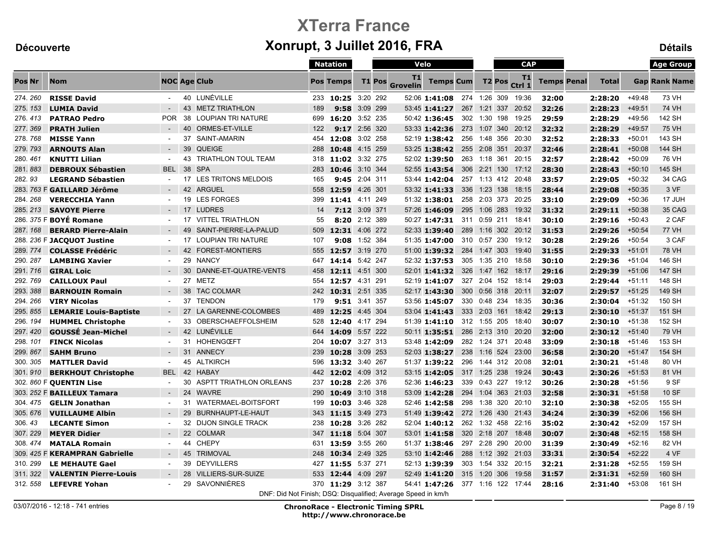|          |                                |                |    |                                                               |     | <b>Natation</b>    |          |               | Velo                  |                                  |     |                    | <b>CAP</b>         |                    |              |          | <b>Age Group</b>     |
|----------|--------------------------------|----------------|----|---------------------------------------------------------------|-----|--------------------|----------|---------------|-----------------------|----------------------------------|-----|--------------------|--------------------|--------------------|--------------|----------|----------------------|
| Pos Nr   | <b>Nom</b>                     |                |    | <b>NOC Age Club</b>                                           |     | <b>Pos Temps</b>   |          | <b>T1 Pos</b> | T1<br><b>Grovelin</b> | <b>Temps Cum</b>                 |     | T <sub>2</sub> Pos | T1<br>Ctrl 1       | <b>Temps Penal</b> | <b>Total</b> |          | <b>Gap Rank Name</b> |
| 274.260  | <b>RISSE David</b>             | $\sim$         |    | 40 LUNÉVILLE                                                  |     | 233 10:25 3:20 292 |          |               |                       | 52:06 1:41:08 274 1:26 309 19:36 |     |                    |                    | 32:00              | 2:28:20      | $+49:48$ | 73 VH                |
| 275.153  | <b>LUMIA David</b>             | $\sim$         |    | 43 METZ TRIATHLON                                             | 189 | 9:58               | 3:09 299 |               |                       | 53:45 1:41:27                    |     | 267 1:21           | 337 20:52          | 32:26              | 2:28:23      | $+49:51$ | <b>74 VH</b>         |
| 276.413  | <b>PATRAO Pedro</b>            | POR.           | 38 | <b>LOUPIAN TRI NATURE</b>                                     | 699 | 16:20 3:52 235     |          |               |                       | 50:42 1:36:45                    |     |                    | 302 1:30 198 19:25 | 29:59              | 2:28:29      | $+49:56$ | 142 SH               |
| 277.369  | <b>PRATH Julien</b>            |                | 40 | ORMES-ET-VILLE                                                | 122 | 9:17 2:56 320      |          |               |                       | 53:33 1:42:36                    |     |                    | 273 1:07 340 20:12 | 32:32              | 2:28:29      | $+49:57$ | <b>75 VH</b>         |
| 278.768  | <b>MISSE Yann</b>              |                | 37 | SAINT-AMARIN                                                  | 454 | 12:08 3:02 258     |          |               |                       | 52:19 1:38:42                    |     |                    | 256 1:48 356 20:30 | 32:52              | 2:28:33      | $+50:01$ | 143 SH               |
| 279.793  | <b>ARNOUTS Alan</b>            |                | 39 | <b>QUEIGE</b>                                                 | 288 | 10:48 4:15 259     |          |               |                       | 53:25 1:38:42                    |     |                    | 255 2:08 351 20:37 | 32:46              | 2:28:41      | $+50:08$ | 144 SH               |
| 280.461  | <b>KNUTTI Lilian</b>           | $\sim$         | 43 | <b>TRIATHLON TOUL TEAM</b>                                    |     | 318 11:02 3:32 275 |          |               |                       | 52:02 1:39:50                    |     |                    | 263 1:18 361 20:15 | 32:57              | 2:28:42      | $+50:09$ | 76 VH                |
| 281, 883 | <b>DEBROUX Sébastien</b>       | <b>BEL</b>     | 38 | <b>SPA</b>                                                    | 283 | 10:46 3:10 344     |          |               |                       | 52:55 1:43:54                    |     |                    | 306 2:21 130 17:12 | 28:30              | 2:28:43      | $+50:10$ | 145 SH               |
| 282.93   | <b>LEGRAND Sébastien</b>       |                | 17 | LES TRITONS MELDOIS                                           | 165 | 9:45 2:04 311      |          |               |                       | 53:44 1:42:04                    |     |                    | 257 1:13 412 20:48 | 33:57              | 2:29:05      | $+50:32$ | 34 CAG               |
|          | 283. 763 F GAILLARD Jérôme     |                |    | 42 ARGUEL                                                     |     | 558 12:59 4:26 301 |          |               |                       | 53:32 1:41:33                    |     |                    | 336 1:23 138 18:15 | 28:44              | 2:29:08      | $+50:35$ | 3 VF                 |
| 284, 268 | <b>VERECCHIA Yann</b>          |                | 19 | <b>LES FORGES</b>                                             | 399 | 11:41 4:11 249     |          |               |                       | 51:32 1:38:01                    |     |                    | 258 2:03 373 20:25 | 33:10              | 2:29:09      | $+50:36$ | 17 JUH               |
| 285.213  | <b>SAVOYE Pierre</b>           |                |    | 17 LUDRES                                                     | 14  | 7:12 3:09 371      |          |               |                       | 57:26 1:46:09                    |     |                    | 295 1:06 283 19:32 | 31:32              | 2:29:11      | $+50:38$ | 35 CAG               |
|          | 286. 375 F <b>BOYÉ Romane</b>  |                |    | 17 VITTEL TRIATHLON                                           | 55  | 8:20 2:12 389      |          |               |                       | 50:27 1:47:31                    |     | 311 0:59 211       | 18:41              | 30:10              | 2:29:16      | $+50:43$ | 2 CAF                |
| 287, 168 | <b>BERARD Pierre-Alain</b>     |                | 49 | SAINT-PIERRE-LA-PALUD                                         | 509 | 12:31 4:06 272     |          |               |                       | 52:33 1:39:40                    |     |                    | 289 1:16 302 20:12 | 31:53              | 2:29:26      | $+50:54$ | <b>77 VH</b>         |
|          | 288. 236 F JACQUOT Justine     |                |    | 17 LOUPIAN TRI NATURE                                         | 107 | 9:08 1:52 384      |          |               |                       | 51:35 1:47:00                    |     |                    | 310 0:57 230 19:12 | 30:28              | 2:29:26      | $+50:54$ | 3 CAF                |
| 289.774  | <b>COLASSE Frédéric</b>        |                |    | 42 FOREST-MONTIERS                                            | 555 | 12:57 3:19 270     |          |               |                       | 51:00 1:39:32                    |     | 284 1:47 303       | 19:40              | 31:55              | 2:29:33      | $+51:01$ | <b>78 VH</b>         |
| 290.287  | <b>LAMBING Xavier</b>          |                |    | 29 NANCY                                                      | 647 | 14:14 5:42 247     |          |               |                       | 52:32 1:37:53                    |     |                    | 305 1:35 210 18:58 | 30:10              | 2:29:36      | $+51:04$ | 146 SH               |
| 291.716  | <b>GIRAL Loic</b>              |                | 30 | DANNE-ET-QUATRE-VENTS                                         | 458 | 12:11 4:51 300     |          |               |                       | 52:01 1:41:32                    | 326 |                    | 1:47 162 18:17     | 29:16              | 2:29:39      | $+51:06$ | 147 SH               |
| 292.769  | <b>CAILLOUX Paul</b>           | $\sim$         |    | 27 METZ                                                       | 554 | 12:57 4:31 291     |          |               |                       | 52:19 1:41:07                    |     |                    | 327 2:04 152 18:14 | 29:03              | 2:29:44      | $+51:11$ | 148 SH               |
| 293.388  | <b>BARNOUIN Romain</b>         |                | 38 | <b>TAC COLMAR</b>                                             |     | 242 10:31 2:51 335 |          |               |                       | 52:17 1:43:30                    |     |                    | 300 0:56 318 20:11 | 32:07              | 2:29:57      | $+51:25$ | 149 SH               |
| 294.266  | <b>VIRY Nicolas</b>            | $\sim$         |    | 37 TENDON                                                     | 179 | 9:51 3:41 357      |          |               |                       | 53:56 1:45:07                    |     |                    | 330 0:48 234 18:35 | 30:36              | 2:30:04      | $+51:32$ | 150 SH               |
| 295.855  | <b>LEMARIE Louis-Baptiste</b>  | $\sim$         | 27 | LA GARENNE-COLOMBES                                           |     | 489 12:25 4:45 304 |          |               |                       | 53:04 1:41:43                    |     | 333 2:03 161       | 18:42              | 29:13              | 2:30:10      | $+51:37$ | 151 SH               |
| 296.194  | <b>HUMMEL Christophe</b>       | $\sim$         | 33 | OBERSCHAEFFOLSHEIM                                            | 528 | 12:40 4:17 294     |          |               |                       | 51:39 1:41:10                    |     |                    | 312 1:55 205 18:40 | 30:07              | 2:30:10      | +51:38   | 152 SH               |
| 297.420  | <b>GOUSSÉ Jean-Michel</b>      |                |    | 42 LUNÉVILLE                                                  |     | 644 14:09 5:57 222 |          |               |                       | 50:11 1:35:51                    |     |                    | 286 2:13 310 20:20 | 32:00              | 2:30:12      | +51:40   | <b>79 VH</b>         |
| 298.101  | <b>FINCK Nicolas</b>           |                | 31 | HOHENGCEFT                                                    | 204 | 10:07 3:27 313     |          |               |                       | 53:48 1:42:09                    |     |                    | 282 1:24 371 20:48 | 33:09              | 2:30:18      | $+51:46$ | 153 SH               |
| 299.867  | <b>SAHM Bruno</b>              |                |    | 31 ANNECY                                                     |     | 239 10:28 3:09 253 |          |               |                       | 52:03 1:38:27                    |     |                    | 238 1:16 524 23:00 | 36:58              | 2:30:20      | $+51:47$ | 154 SH               |
| 300.305  | <b>MATTLER David</b>           | $\sim$         | 45 | ALTKIRCH                                                      | 596 | 13:32 3:40 267     |          |               |                       | 51:37 1:39:22                    |     |                    | 296 1:44 312 20:08 | 32:01              | 2:30:21      | $+51:48$ | 80 VH                |
| 301.910  | <b>BERKHOUT Christophe</b>     | <b>BEL</b>     |    | 42 HABAY                                                      |     | 442 12:02 4:09 312 |          |               |                       | 53:15 1:42:05                    |     | 317 1:25 238       | 19:24              | 30:43              | 2:30:26      | $+51:53$ | 81 VH                |
|          | 302. 860 F QUENTIN Lise        | $\blacksquare$ | 30 | ASPTT TRIATHLON ORLEANS                                       | 237 | 10:28 2:26 376     |          |               |                       | 52:36 1:46:23                    |     |                    | 339 0:43 227 19:12 | 30:26              | 2:30:28      | $+51:56$ | 9 SF                 |
|          | 303. 252 F BAILLEUX Tamara     | $\sim$         |    | 24 WAVRE                                                      | 290 | 10:49 3:10 318     |          |               |                       | 53:09 1:42:28                    |     |                    | 294 1:04 363 21:03 | 32:58              | 2:30:31      | $+51:58$ | 10 SF                |
| 304.475  | <b>GELIN Jonathan</b>          | $\sim$         |    | 31 WATERMAEL-BOITSFORT                                        | 199 | 10:03 3:46 328     |          |               |                       | 52:46 1:42:58                    |     |                    | 298 1:38 320 20:10 | 32:10              | 2:30:38      | $+52:05$ | 155 SH               |
| 305.676  | <b>VUILLAUME Albin</b>         | $\sim$         |    | 29 BURNHAUPT-LE-HAUT                                          |     | 343 11:15 3:49 273 |          |               |                       | 51:49 1:39:42 272 1:26 430 21:43 |     |                    |                    | 34:24              | 2:30:39      | $+52:06$ | 156 SH               |
| 306.43   | <b>LECANTE Simon</b>           |                | 32 | <b>DIJON SINGLE TRACK</b>                                     | 238 | 10:28 3:26 282     |          |               |                       | 52:04 1:40:12 262 1:32 458 22:16 |     |                    |                    | 35:02              | 2:30:42      | $+52:09$ | 157 SH               |
| 307.229  | <b>MEYER Didier</b>            | $\sim$         |    | 22 COLMAR                                                     | 347 | 11:18 5:04 307     |          |               |                       | 53:01 1:41:58                    |     |                    | 320 2:18 207 18:48 | 30:07              | 2:30:48      | $+52:15$ | 158 SH               |
| 308.474  | <b>MATALA Romain</b>           |                |    | 44 CHEPY                                                      | 631 | 13:59 3:55 260     |          |               |                       | 51:37 1:38:46                    |     | 297 2:28 290       | 20:00              | 31:39              | 2:30:49      | $+52:16$ | 82 VH                |
|          | 309. 425 F KERAMPRAN Gabrielle |                | 45 | <b>TRIMOVAL</b>                                               | 248 | 10:34 2:49 325     |          |               |                       | 53:10 1:42:46                    |     |                    | 288 1:12 392 21:03 | 33:31              | 2:30:54      | $+52:22$ | 4 VF                 |
| 310.299  | <b>LE MEHAUTE Gael</b>         | $\sim$         | 39 | <b>DEYVILLERS</b>                                             | 427 | 11:55 5:37 271     |          |               |                       | 52:13 1:39:39                    |     |                    | 303 1:54 332 20:15 | 32:21              | 2:31:28      | $+52:55$ | 159 SH               |
| 311.322  | <b>VALENTIN Pierre-Louis</b>   |                |    | 28 VILLIERS-SUR-SUIZE                                         | 533 | 12:44 4:09 297     |          |               |                       | 52:49 1:41:20                    |     | 315 1:20 306       | 19:58              | 31:57              | 2:31:31      | $+52:59$ | 160 SH               |
| 312.558  | <b>LEFEVRE Yohan</b>           | $\sim$         |    | 29 SAVONNIÈRES                                                |     | 370 11:29 3:12 387 |          |               |                       | 54:41 1:47:26 377 1:16 122 17:44 |     |                    |                    | 28:16              | 2:31:40      | $+53:08$ | 161 SH               |
|          |                                |                |    | DNF: Did Not Finish; DSQ: Disqualified; Average Speed in km/h |     |                    |          |               |                       |                                  |     |                    |                    |                    |              |          |                      |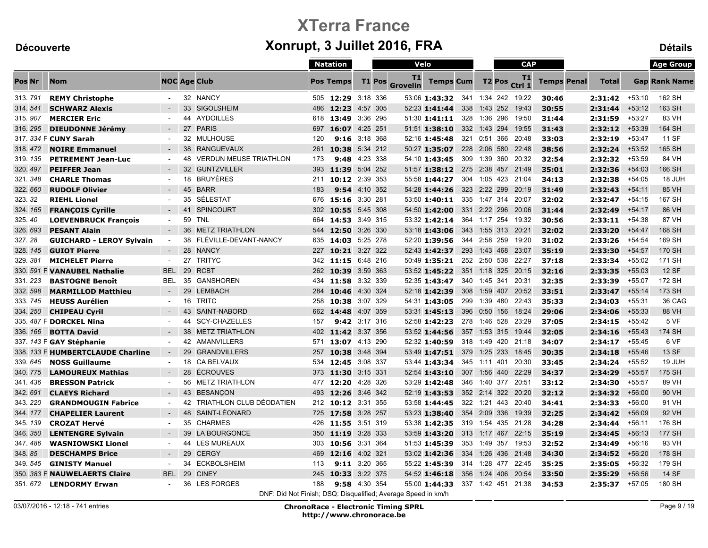|               |                                   |                |    |                                                               |     | <b>Natation</b>    |            |               | Velo                  |                                  |                    |              |               | <b>CAP</b>         |                    |              |          | <b>Age Group</b>     |
|---------------|-----------------------------------|----------------|----|---------------------------------------------------------------|-----|--------------------|------------|---------------|-----------------------|----------------------------------|--------------------|--------------|---------------|--------------------|--------------------|--------------|----------|----------------------|
| <b>Pos Nr</b> | <b>Nom</b>                        |                |    | <b>NOC Age Club</b>                                           |     | <b>Pos Temps</b>   |            | <b>T1 Pos</b> | T1<br><b>Grovelin</b> | <b>Temps Cum</b>                 |                    |              | <b>T2 Pos</b> | T1<br>Ctrl 1       | <b>Temps Penal</b> | <b>Total</b> |          | <b>Gap Rank Name</b> |
| 313.791       | <b>REMY Christophe</b>            | $\sim$         |    | 32 NANCY                                                      |     | 505 12:29 3:18 336 |            |               |                       | 53:06 1:43:32 341 1:34 242 19:22 |                    |              |               |                    | 30:46              | 2:31:42      | $+53:10$ | 162 SH               |
| 314.541       | <b>SCHWARZ Alexis</b>             |                |    | 33 SIGOLSHEIM                                                 |     | 486 12:23          | 4:57 305   |               |                       | 52:23 1:41:44                    | 338                |              |               | 1:43 252 19:43     | 30:55              | 2:31:44      | $+53:12$ | 163 SH               |
| 315, 907      | <b>MERCIER Eric</b>               | $\sim$         |    | 44 AYDOILLES                                                  | 618 | 13:49 3:36 295     |            |               |                       | $51:30$ <b>1:41:11</b>           |                    |              |               | 328 1:36 296 19:50 | 31:44              | 2:31:59      | $+53:27$ | 83 VH                |
| 316.295       | <b>DIEUDONNE Jérémy</b>           |                | 27 | <b>PARIS</b>                                                  | 697 | 16:07 4:25 251     |            |               |                       | $51:51$ 1:38:10                  |                    |              |               | 332 1:43 294 19:55 | 31:43              | 2:32:12      | $+53:39$ | 164 SH               |
|               | 317. 334 F CUNY Sarah             | $\blacksquare$ |    | 32 MULHOUSE                                                   | 120 | 9:16               | 3:18 368   |               |                       | 52:16 1:45:48                    |                    |              |               | 321 0:51 366 20:48 | 33:03              | 2:32:19      | $+53:47$ | 11 SF                |
| 318, 472      | <b>NOIRE Emmanuel</b>             | $\sim$         |    | 38 RANGUEVAUX                                                 | 261 | 10:38 5:34 212     |            |               |                       | 50:27 1:35:07                    |                    |              |               | 228 2:06 580 22:48 | 38:56              | 2:32:24      | $+53:52$ | 165 SH               |
| 319.135       | <b>PETREMENT Jean-Luc</b>         | $\blacksquare$ |    | 48 VERDUN MEUSE TRIATHLON                                     | 173 | 9:48 4:23 338      |            |               |                       | 54:10 1:43:45                    |                    |              |               | 309 1:39 360 20:32 | 32:54              | 2:32:32      | $+53:59$ | 84 VH                |
| 320, 497      | <b>PEIFFER Jean</b>               | $\sim$         |    | 32 GUNTZVILLER                                                | 393 | 11:39 5:04 252     |            |               |                       | 51:57 1:38:12 275 2:38 457 21:49 |                    |              |               |                    | 35:01              | 2:32:36      | $+54:03$ | 166 SH               |
| 321.348       | <b>CHARLE Thomas</b>              | $\blacksquare$ |    | 18 BRUYÈRES                                                   | 211 | 10:12 2:39 353     |            |               |                       | 55:58 1:44:27                    |                    |              |               | 304 1:05 423 21:04 | 34:13              | 2:32:38      | $+54:05$ | 18 JUH               |
| 322.660       | <b>RUDOLF Olivier</b>             | $\sim$         |    | 45 BARR                                                       | 183 | 9:54 4:10 352      |            |               |                       | 54:28 1:44:26                    |                    |              |               | 323 2:22 299 20:19 | 31:49              | 2:32:43      | $+54:11$ | 85 VH                |
| 323.32        | <b>RIEHL Lionel</b>               | $\sim$         | 35 | SÉLESTAT                                                      | 676 | 15:16 3:30 281     |            |               |                       | 53:50 1:40:11                    |                    |              |               | 335 1:47 314 20:07 | 32:02              | 2:32:47      | $+54:15$ | 167 SH               |
| 324.165       | <b>FRANÇOIS Cyrille</b>           | $\sim$         | 41 | <b>SPINCOURT</b>                                              | 302 | 10:55 5:45 308     |            |               |                       | 54:50 1:42:00                    |                    |              |               | 331 2:22 296 20:06 | 31:44              | 2:32:49      | $+54:17$ | 86 VH                |
| 325.40        | <b>LOEVENBRUCK François</b>       | $\sim$         |    | 59 TNL                                                        | 664 | 14:53 3:49 315     |            |               |                       | 53:32 1:42:14                    |                    | 364 1:17 254 |               | 19:32              | 30:56              | 2:33:11      | $+54:38$ | 87 VH                |
| 326, 693      | <b>PESANT Alain</b>               |                |    | 36 METZ TRIATHLON                                             | 544 | 12:50 3:26 330     |            |               |                       | 53:18 1:43:06                    |                    |              |               | 343 1:55 313 20:21 | 32:02              | 2:33:20      | $+54:47$ | 168 SH               |
| 327.28        | <b>GUICHARD - LEROY Sylvain</b>   | $\sim$         |    | 38 FLÉVILLE-DEVANT-NANCY                                      | 635 | 14:03 5:25 278     |            |               |                       | 52:20 1:39:56                    |                    |              |               | 344 2:58 259 19:20 | 31:02              | 2:33:26      | $+54:54$ | 169 SH               |
| 328.145       | <b>GUIOT Pierre</b>               | $\sim$         |    | 28 NANCY                                                      | 227 | 10:21              | $3:27$ 322 |               |                       | 52:43 1:42:37                    | 293                |              |               | 1:43 468 23:07     | 35:19              | 2:33:30      | $+54:57$ | 170 SH               |
| 329.381       | <b>MICHELET Pierre</b>            | $\sim$         |    | 27 TRITYC                                                     |     | 342 11:15 6:48 216 |            |               |                       | 50:49 1:35:21                    |                    |              |               | 252 2:50 538 22:27 | 37:18              | 2:33:34      | $+55:02$ | 171 SH               |
|               | 330. 591 F VANAUBEL Nathalie      | <b>BEL</b>     | 29 | <b>RCBT</b>                                                   | 262 | 10:39 3:59 363     |            |               |                       | 53:52 1:45:22                    |                    |              |               | 351 1:18 325 20:15 | 32:16              | 2:33:35      | $+55:03$ | <b>12 SF</b>         |
| 331.223       | <b>BASTOGNE Benoît</b>            | BEL            | 35 | <b>GANSHOREN</b>                                              | 434 | 11:58 3:32 339     |            |               |                       | 52:35 1:43:47                    |                    | 340 1:45 341 |               | 20:31              | 32:35              | 2:33:39      | $+55:07$ | 172 SH               |
| 332.598       | <b>MARMILLOD Matthieu</b>         | $\sim$         | 29 | LEMBACH                                                       | 284 | 10:46 4:30 324     |            |               |                       | 52:18 1:42:39                    | 308                | 1:59 407     |               | 20:52              | 33:51              | 2:33:47      | $+55:14$ | 173 SH               |
| 333.745       | <b>HEUSS Aurélien</b>             | $\sim$         |    | 16 TRITC                                                      | 258 | 10:38 3:07 329     |            |               |                       | 54:31 1:43:05 299 1:39 480 22:43 |                    |              |               |                    | 35:33              | 2:34:03      | $+55:31$ | 36 CAG               |
| 334.250       | <b>CHIPEAU Cyril</b>              | $\sim$         | 43 | SAINT-NABORD                                                  |     | 662 14:48 4:07 359 |            |               |                       | 53:31 1:45:13                    |                    |              |               | 396 0:50 156 18:24 | 29:06              | 2:34:06      | $+55:33$ | 88 VH                |
|               | 335. 487 F DORCKEL Nina           | $\sim$         | 44 | <b>SCY-CHAZELLES</b>                                          | 157 | 9:42 3:17 316      |            |               |                       | 52:58 1:42:23 278 1:46 528 23:29 |                    |              |               |                    | 37:05              | 2:34:15      | +55:42   | 5 VF                 |
| 336.166       | <b>BOTTA David</b>                | $\sim$         |    | 38 METZ TRIATHLON                                             |     | 402 11:42 3:37 356 |            |               |                       | 53:52 1:44:56                    |                    |              |               | 357 1:53 315 19:44 | 32:05              | 2:34:16      | $+55:43$ | 174 SH               |
|               | 337. 143 F GAY Stéphanie          | $\sim$         |    | 42 AMANVILLERS                                                |     | 571 13:07 4:13 290 |            |               |                       | 52:32 1:40:59                    |                    |              |               | 318 1:49 420 21:18 | 34:07              | 2:34:17      | $+55:45$ | 6 VF                 |
|               | 338. 133 F HUMBERTCLAUDE Charline | $\sim$         | 29 | <b>GRANDVILLERS</b>                                           | 257 | 10:38 3:48 394     |            |               |                       | 53:49 1:47:51                    | 379                |              |               | 1:25 233 18:45     | 30:35              | 2:34:18      | $+55:46$ | 13 SF                |
| 339.645       | <b>NOSS Guillaume</b>             | $\sim$         |    | 18 CA BELVAUX                                                 | 534 | 12:45              | 3:08 337   |               |                       | 53:44 1:43:34                    | 345                | 1:11 401     |               | 20:30              | 33:45              | 2:34:24      | $+55:52$ | 19 JUH               |
| 340, 775      | <b>LAMOUREUX Mathias</b>          | $\sim$         |    | 28 ÉCROUVES                                                   |     | 373 11:30 3:15 331 |            |               |                       | 52:54 1:43:10                    |                    |              |               | 307 1:56 440 22:29 | 34:37              | 2:34:29      | $+55:57$ | 175 SH               |
| 341.436       | <b>BRESSON Patrick</b>            | $\sim$         |    | 56 METZ TRIATHLON                                             |     | 477 12:20 4:28 326 |            |               |                       | 53:29 1:42:48 346 1:40 377 20:51 |                    |              |               |                    | 33:12              | 2:34:30      | $+55:57$ | 89 VH                |
| 342.691       | <b>CLAEYS Richard</b>             | $\sim$         |    | 43 BESANÇON                                                   | 493 | 12:26 3:46 342     |            |               |                       | 52:19 1:43:53                    |                    |              |               | 352 2:14 322 20:20 | 32:12              | 2:34:32      | $+56:00$ | 90 VH                |
| 343.220       | <b>GRANDMOUGIN Fabrice</b>        | $\sim$         |    | 42 TRIATHLON CLUB DÉODATIEN                                   | 212 | 10:12 3:31 355     |            |               |                       | 53:58 1:44:45                    |                    |              |               | 322 1:21 443 20:40 | 34:41              | 2:34:33      | $+56:00$ | 91 VH                |
| 344.177       | <b>CHAPELIER Laurent</b>          | $\sim$         |    | 48 SAINT-LÉONARD                                              |     | 725 17:58 3:28 257 |            |               |                       | 53:23 1:38:40                    |                    |              |               | 354 2:09 336 19:39 | 32:25              | 2:34:42      | $+56:09$ | 92 VH                |
| 345.139       | <b>CROZAT Hervé</b>               | $\sim$         |    | 35 CHARMES                                                    | 426 | 11:55 3:51 319     |            |               |                       | 53:38 1:42:35 319 1:54 435 21:28 |                    |              |               |                    | 34:28              | 2:34:44      | $+56:11$ | 176 SH               |
| 346.350       | <b>LENTENGRE Sylvain</b>          | $\sim$         |    | 39 LA BOURGONCE                                               | 350 | 11:19 3:28 333     |            |               |                       | 53:59 1:43:20                    |                    |              |               | 313 1:17 467 22:15 | 35:19              | 2:34:45      | $+56:13$ | <b>177 SH</b>        |
| 347.486       | <b>WASNIOWSKI Lionel</b>          | $\sim$         |    | 44 LES MUREAUX                                                | 303 | 10:56 3:31 364     |            |               |                       | 51:53 1:45:39                    |                    | 353 1:49 357 |               | 19:53              | 32:52              | 2:34:49      | $+56:16$ | 93 VH                |
| 348.85        | <b>DESCHAMPS Brice</b>            |                | 29 | <b>CERGY</b>                                                  | 469 | 12:16 4:02 321     |            |               |                       | 53:02 1:42:36                    |                    |              |               | 334 1:26 436 21:48 | 34:30              | 2:34:52      | $+56:20$ | 178 SH               |
| 349.545       | <b>GINISTY Manuel</b>             | $\sim$         | 34 | <b>ECKBOLSHEIM</b>                                            | 113 | 9:11 3:20 365      |            |               |                       | 55:22 1:45:39                    | 314 1:28 477 22:45 |              |               |                    | 35:25              | 2:35:05      | $+56:32$ | 179 SH               |
|               | 350. 383 F NAUWELAERTS Claire     | <b>BEL</b>     | 29 | <b>CINEY</b>                                                  | 245 | 10:33              | 3:22 375   |               |                       | 54:52 1:46:18                    |                    |              |               | 356 1:24 406 20:54 | 33:50              | 2:35:29      | $+56:56$ | 14 SF                |
|               | 351.672 LENDORMY Erwan            | $\sim$         |    | 36 LES FORGES                                                 | 188 | 9:58 4:30 354      |            |               |                       | 55:00 1:44:33 337 1:42 451 21:38 |                    |              |               |                    | 34:53              | 2:35:37      | $+57:05$ | 180 SH               |
|               |                                   |                |    | DNF: Did Not Finish; DSQ: Disqualified; Average Speed in km/h |     |                    |            |               |                       |                                  |                    |              |               |                    |                    |              |          |                      |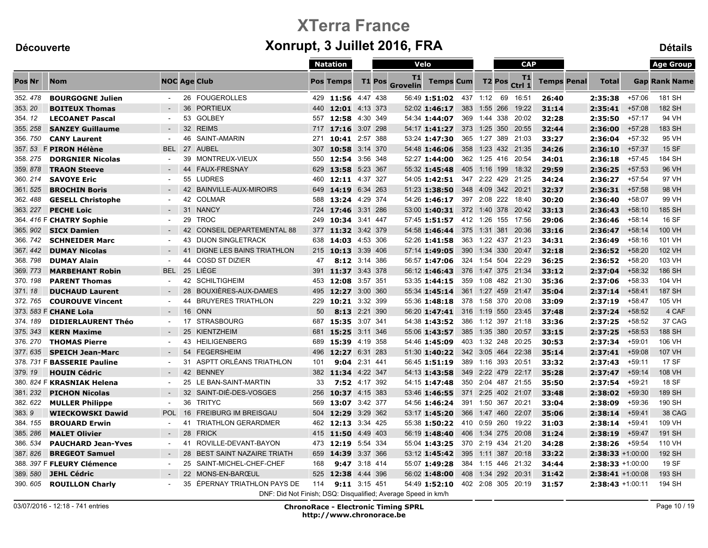|          |                             |                     |    |                                                               |     | <b>Natation</b>    |               |          | Velo                  |                                  |     |              |               | <b>CAP</b>            |                    |                     |          | <b>Age Group</b>     |
|----------|-----------------------------|---------------------|----|---------------------------------------------------------------|-----|--------------------|---------------|----------|-----------------------|----------------------------------|-----|--------------|---------------|-----------------------|--------------------|---------------------|----------|----------------------|
| Pos Nr   | <b>Nom</b>                  | <b>NOC Age Club</b> |    |                                                               |     | <b>Pos Temps</b>   |               | T1 Pos   | T1<br><b>Grovelin</b> | <b>Temps Cum</b>                 |     |              | <b>T2 Pos</b> | T1<br>Ctrl 1          | <b>Temps Penal</b> | <b>Total</b>        |          | <b>Gap Rank Name</b> |
| 352.478  | <b>BOURGOGNE Julien</b>     | $\sim$              |    | 26 FOUGEROLLES                                                |     | 429 11:56 4:47 438 |               |          |                       | 56:49 1:51:02 437 1:12           |     |              | 69            | 16:51                 | 26:40              | 2:35:38             | $+57:06$ | 181 SH               |
| 353.20   | <b>BOITEUX Thomas</b>       |                     | 36 | <b>PORTIEUX</b>                                               |     | 440 12:01 4:13 373 |               |          |                       | 52:02 1:46:17                    | 383 | 1:55 266     |               | 19:22                 | 31:14              | 2:35:41             | $+57:08$ | 182 SH               |
| 354.12   | <b>LECOANET Pascal</b>      | $\sim$              | 53 | GOLBEY                                                        |     | 557 12:58 4:30 349 |               |          |                       | 54:34 1:44:07                    |     |              |               | 369 1:44 338 20:02    | 32:28              | 2:35:50             | $+57:17$ | 94 VH                |
| 355.258  | <b>SANZEY Guillaume</b>     |                     |    | 32 REIMS                                                      |     | 717 17:16 3:07 298 |               |          |                       | 54:17 1:41:27                    |     |              |               | 373 1:25 350 20:55    | 32:44              | 2:36:00             | $+57:28$ | 183 SH               |
| 356.750  | <b>CANY Laurent</b>         | $\blacksquare$      | 46 | SAINT-AMARIN                                                  | 271 | 10:41 2:57 388     |               |          |                       | 53:24 1:47:30                    |     |              |               | 365 1:27 389 21:03    | 33:27              | 2:36:04             | $+57:32$ | 95 VH                |
| 357.53   | F PIRON Hélène              | <b>BEL</b>          |    | 27 AUBEL                                                      | 307 | 10:58 3:14 370     |               |          |                       | 54:48 1:46:06                    |     |              |               | 358 1:23 432 21:35    | 34:26              | 2:36:10             | $+57:37$ | 15 SF                |
| 358.275  | <b>DORGNIER Nicolas</b>     | $\sim$              | 39 | MONTREUX-VIEUX                                                |     | 550 12:54 3:56 348 |               |          |                       | 52:27 1:44:00                    |     |              |               | 362 1:25 416 20:54    | 34:01              | 2:36:18             | $+57:45$ | 184 SH               |
| 359.878  | <b>TRAON Steeve</b>         |                     | 44 | <b>FAUX-FRESNAY</b>                                           | 629 | 13:58 5:23 367     |               |          |                       | 55:32 1:45:48                    |     | 405 1:16 199 |               | 18:32                 | 29:59              | 2:36:25             | $+57:53$ | 96 VH                |
| 360.214  | <b>SAVOYE Eric</b>          |                     |    | 55 LUDRES                                                     | 460 | 12:11 4:37 327     |               |          |                       | 54:05 1:42:51                    |     |              |               | 347 2:22 429 21:25    | 34:24              | 2:36:27             | $+57:54$ | 97 VH                |
| 361.525  | <b>BROCHIN Boris</b>        | $\sim$              |    | 42 BAINVILLE-AUX-MIROIRS                                      |     | 649 14:19 6:34 263 |               |          |                       | 51:23 1:38:50                    |     |              |               | 348 4:09 342 20:21    | 32:37              | 2:36:31             | $+57:58$ | 98 VH                |
| 362.488  | <b>GESELL Christophe</b>    | $\sim$              |    | 42 COLMAR                                                     | 588 | 13:24 4:29 374     |               |          |                       | 54:26 1:46:17                    |     |              |               | 397 2:08 222 18:40    | 30:20              | 2:36:40             | $+58:07$ | 99 VH                |
| 363.227  | <b>PECHE Loic</b>           | $\sim$              |    | 31 NANCY                                                      | 724 | 17:46 3:31 286     |               |          |                       | 53:00 1:40:31                    |     |              |               | 372 1:40 378 20:42    | 33:13              | 2:36:43             | $+58:10$ | 185 SH               |
|          | 364. 416 F CHATRY Sophie    |                     | 29 | TROC                                                          | 249 | 10:34 3:41 447     |               |          |                       | 57:45 1:51:57 412 1:26 155 17:56 |     |              |               |                       | 29:06              | 2:36:46             | $+58:14$ | 16 SF                |
| 365.902  | <b>SICX Damien</b>          | $\sim$              |    | 42 CONSEIL DEPARTEMENTAL 88                                   |     | 377 11:32 3:42 379 |               |          |                       | 54:58 1:46:44                    |     |              |               | 375 1:31 381 20:36    | 33:16              | 2:36:47             | $+58:14$ | 100 VH               |
| 366, 742 | <b>SCHNEIDER Marc</b>       | $\sim$              | 43 | <b>DIJON SINGLETRACK</b>                                      |     | 638 14:03 4:53 306 |               |          |                       | 52:26 1:41:58                    |     |              |               | 363 1:22 437 21:23    | 34:31              | 2:36:49             | $+58:16$ | 101 VH               |
| 367.442  | <b>DUMAY Nicolas</b>        |                     | 41 | <b>DIGNE LES BAINS TRIATHLON</b>                              | 215 | 10:13              | 3:39 406      |          |                       | 57:14 1:49:05                    |     |              |               | 390 1:34 330 20:47    | 32:18              | 2:36:52             | $+58:20$ | 102 VH               |
| 368.798  | <b>DUMAY Alain</b>          |                     | 44 | <b>COSD ST DIZIER</b>                                         | 47  |                    | 8:12 3:14 386 |          |                       | 56:57 1:47:06                    |     |              |               | 324 1:54 504 22:29    | 36:25              | 2:36:52             | $+58:20$ | 103 VH               |
| 369, 773 | <b>MARBEHANT Robin</b>      | <b>BEL</b>          | 25 | LIÈGE                                                         | 391 | 11:37 3:43 378     |               |          |                       | 56:12 1:46:43                    |     |              |               | 376 1:47 375 21:34    | 33:12              | 2:37:04             | $+58:32$ | 186 SH               |
| 370.198  | <b>PARENT Thomas</b>        | $\sim$              |    | 42 SCHILTIGHEIM                                               | 453 | 12:08 3:57 351     |               |          |                       | 53:35 1:44:15                    |     |              |               | 359 1:08 482 21:30    | 35:36              | 2:37:06             | $+58:33$ | 104 VH               |
| 371.18   | <b>DUCHAUD Laurent</b>      |                     | 28 | BOUXIÈRES-AUX-DAMES                                           | 495 | 12:27              |               | 3:00 360 |                       | 55:34 1:45:14                    |     |              |               | 361 1:27 459 21:47    | 35:04              | 2:37:14             | $+58:41$ | <b>187 SH</b>        |
| 372.765  | <b>COUROUVE Vincent</b>     | $\sim$              | 44 | <b>BRUYERES TRIATHLON</b>                                     | 229 | 10:21 3:32 399     |               |          |                       | 55:36 1:48:18                    |     |              |               | 378 1:58 370 20:08    | 33:09              | 2:37:19             | $+58:47$ | 105 VH               |
|          | 373. 583 F CHANE Lola       |                     | 16 | ONN                                                           | 50  |                    | 8:13 2:21 390 |          |                       | 56:20 1:47:41                    |     |              |               | 316 1:19 550 23:45    | 37:48              | 2:37:24             | $+58:52$ | 4 CAF                |
| 374, 189 | <b>DIDIERLAURENT Théo</b>   | $\sim$              |    | 17 STRASBOURG                                                 | 687 | 15:35 3:07 341     |               |          |                       | 54:38 1:43:52                    |     |              |               | 386 1:12 397 21:18    | 33:36              | 2:37:25             | +58:52   | 37 CAG               |
| 375.343  | <b>KERN Maxime</b>          |                     |    | 25 KIENTZHEIM                                                 | 681 | 15:25              | 3:11 346      |          |                       | 55:06 1:43:57                    |     |              |               | 385 1:35 380 20:57    | 33:15              | 2:37:25             | $+58:53$ | 188 SH               |
| 376, 270 | <b>THOMAS Pierre</b>        | $\sim$              |    | 43 HEILIGENBERG                                               | 689 | 15:39 4:19 358     |               |          |                       | 54:46 1:45:09                    |     |              |               | 403 1:32 248 20:25    | 30:53              | 2:37:34             | $+59:01$ | 106 VH               |
| 377.635  | <b>SPEICH Jean-Marc</b>     | $\sim$              | 54 | <b>FEGERSHEIM</b>                                             |     | 496 12:27 6:31 283 |               |          |                       | 51:30 1:40:22                    |     | 342 3:05 464 |               | 22:38                 | 35:14              | 2:37:41             | $+59:08$ | 107 VH               |
|          | 378. 731 F BASSERIE Pauline | $\sim$              | 31 | ASPTT ORLÉANS TRIATHLON                                       | 101 | 9:04               | 2:31 441      |          |                       | 56:45 1:51:19                    |     |              |               | 389 1:16 393 20:51    | 33:32              | 2:37:43             | $+59:11$ | 17 SF                |
| 379.19   | <b>HOUIN Cédric</b>         |                     |    | 42 BENNEY                                                     |     | 382 11:34 4:22 347 |               |          |                       | 54:13 1:43:58                    |     |              |               | 349 2:22 479 22:17    | 35:28              | 2:37:47             | $+59:14$ | 108 VH               |
|          | 380. 824 F KRASNIAK Helena  | $\sim$              |    | 25 LE BAN-SAINT-MARTIN                                        | 33  |                    | 7:52 4:17 392 |          |                       | 54:15 1:47:48                    |     |              |               | 350 2:04 487 21:55    | 35:50              | 2:37:54             | $+59:21$ | 18 SF                |
| 381.232  | <b>PICHON Nicolas</b>       |                     |    | 32 SAINT-DIÉ-DES-VOSGES                                       | 256 | 10:37 4:15 383     |               |          |                       | 53:46 1:46:55                    |     |              |               | 371 2:25 402 21:07    | 33:48              | 2:38:02             | $+59:30$ | 189 SH               |
| 382.622  | <b>MULLER Philippe</b>      | $\sim$              | 36 | <b>TRITYC</b>                                                 | 569 | 13:07              | 3:42 377      |          |                       | 54:56 1:46:24                    |     | 391 1:50 367 |               | 20:21                 | 33:04              | 2:38:09             | $+59:36$ | 190 SH               |
| 383.9    | <b>WIECKOWSKI Dawid</b>     | POL                 | 16 | <b>FREIBURG IM BREISGAU</b>                                   |     | 504 12:29 3:29 362 |               |          |                       | 53:17 1:45:20                    |     |              |               | 366 1:47 460 22:07    | 35:06              | 2:38:14             | $+59:41$ | 38 CAG               |
| 384.155  | <b>BROUARD Erwin</b>        | $\sim$              | 41 | <b>TRIATHLON GERARDMER</b>                                    |     | 462 12:13 3:34 425 |               |          |                       | 55:38 1:50:22                    |     |              |               | 410  0:59  260  19:22 | 31:03              | 2:38:14             | $+59:41$ | 109 VH               |
| 385.286  | <b>MALET Olivier</b>        | $\sim$              |    | 28 FRICK                                                      |     | 415 11:50 4:49 403 |               |          |                       | 56:19 1:48:40                    |     |              |               | 406 1:34 275 20:08    | 31:24              | 2:38:19             | $+59:47$ | 191 SH               |
| 386.534  | <b>PAUCHARD Jean-Yves</b>   | $\sim$              |    | 41 ROVILLE-DEVANT-BAYON                                       | 473 | 12:19              | 5:54 334      |          |                       | 55:04 1:43:25                    | 370 | 2:19 434     |               | 21:20                 | 34:28              | 2:38:26             | $+59:54$ | 110 VH               |
| 387.826  | <b>BREGEOT Samuel</b>       |                     |    | 28 BEST SAINT NAZAIRE TRIATH                                  | 659 | 14:39 3:37 366     |               |          |                       | 53:12 1:45:42                    | 395 |              |               | 1:11 387 20:18        | 33:22              | 2:38:33 +1:00:00    |          | 192 SH               |
|          | 388. 397 F FLEURY Clémence  | $\sim$              |    | 25 SAINT-MICHEL-CHEF-CHEF                                     | 168 |                    | 9:47 3:18 414 |          |                       | 55:07 1:49:28                    |     |              |               | 384 1:15 446 21:32    | 34:44              | 2:38:33 +1:00:00    |          | 19 SF                |
| 389, 580 | <b>JEHL Cédric</b>          |                     |    | 22 MONS-EN-BARŒUL                                             | 525 | 12:38              | 4:44 396      |          |                       | 56:02 1:48:00                    |     |              |               | 408 1:34 292 20:31    | 31:42              | $2:38:41 + 1:00:08$ |          | 193 SH               |
| 390.605  | <b>ROUILLON Charly</b>      |                     | 35 | ÉPERNAY TRIATHLON PAYS DE                                     | 114 |                    | 9:11 3:15 451 |          |                       | 54:49 1:52:10 402 2:08 305 20:19 |     |              |               |                       | 31:57              | $2:38:43 + 1:00:11$ |          | 194 SH               |
|          |                             |                     |    | DNF: Did Not Finish; DSQ: Disqualified; Average Speed in km/h |     |                    |               |          |                       |                                  |     |              |               |                       |                    |                     |          |                      |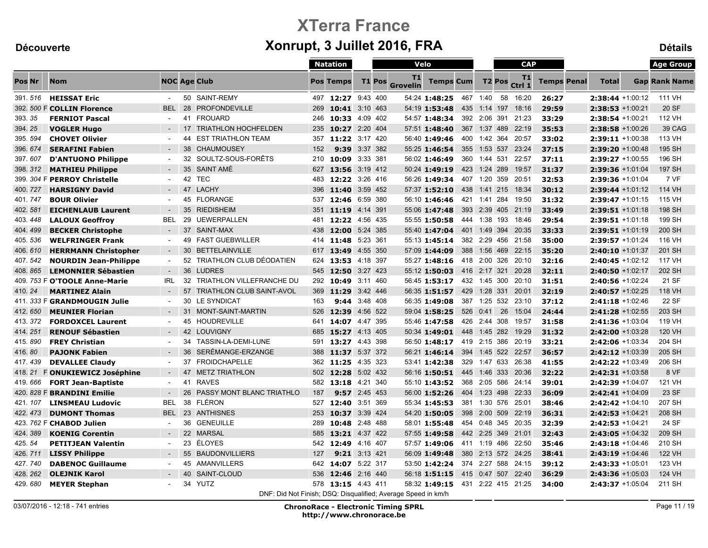|          |                               |                     |    |                                                               |     | <b>Natation</b>    |               |               | Velo                  |                                  |              |                    | <b>CAP</b>         |                    |                     | <b>Age Group</b>     |
|----------|-------------------------------|---------------------|----|---------------------------------------------------------------|-----|--------------------|---------------|---------------|-----------------------|----------------------------------|--------------|--------------------|--------------------|--------------------|---------------------|----------------------|
| Pos Nr   | <b>Nom</b>                    | <b>NOC Age Club</b> |    |                                                               |     | <b>Pos Temps</b>   |               | <b>T1 Pos</b> | T1<br><b>Grovelin</b> | <b>Temps Cum</b>                 |              | T <sub>2</sub> Pos | T1<br>Ctrl 1       | <b>Temps Penal</b> | <b>Total</b>        | <b>Gap Rank Name</b> |
| 391.516  | <b>HEISSAT Eric</b>           |                     |    | 50 SAINT-REMY                                                 |     | 497 12:27 9:43 400 |               |               |                       | 54:24 1:48:25 467 1:40           |              | 58                 | 16:20              | 26:27              | 2:38:44 +1:00:12    | 111 VH               |
|          | 392. 500 F COLLIN Florence    | <b>BEL</b>          | 28 | PROFONDEVILLE                                                 | 269 | 10:41 3:10 463     |               |               |                       | 54:19 1:53:48                    | 435 1:14 197 |                    | 18:16              | 29:59              | $2:38:53 + 1:00:21$ | 20 SF                |
| 393.35   | <b>FERNIOT Pascal</b>         |                     |    | 41 FROUARD                                                    |     | 246 10:33 4:09 402 |               |               |                       | 54:57 1:48:34                    |              |                    | 392 2:06 391 21:23 | 33:29              | 2:38:54 +1:00:21    | 112 VH               |
| 394.25   | <b>VOGLER Hugo</b>            |                     | 17 | <b>TRIATHLON HOCHFELDEN</b>                                   | 235 | 10:27 2:20 404     |               |               |                       | 57:51 1:48:40                    |              |                    | 367 1:37 489 22:19 | 35:53              | $2:38:58 + 1:00:26$ | 39 CAG               |
| 395.594  | <b>CHOVET Olivier</b>         |                     | 44 | <b>EST TRIATHLON TEAM</b>                                     | 357 | 11:22 3:17 420     |               |               |                       | 56:40 1:49:46                    |              |                    | 400 1:42 364 20:57 | 33:02              | 2:39:11 +1:00:38    | 113 VH               |
| 396.674  | <b>SERAFINI Fabien</b>        |                     | 38 | CHAUMOUSEY                                                    | 152 |                    | 9:39 3:37 382 |               |                       | 55:25 1:46:54                    |              |                    | 355 1:53 537 23:24 | 37:15              | $2:39:20 + 1:00:48$ | 195 SH               |
| 397.607  | <b>D'ANTUONO Philippe</b>     | $\blacksquare$      |    | 32 SOULTZ-SOUS-FORÊTS                                         |     | 210 10:09 3:33 381 |               |               |                       | 56:02 1:46:49                    | 360 1:44 531 |                    | 22:57              | 37:11              | 2:39:27 +1:00:55    | 196 SH               |
| 398.312  | <b>MATHIEU Philippe</b>       | $\sim$              |    | 35 SAINT AMÉ                                                  | 627 | 13:56 3:19 412     |               |               |                       | 50:24 1:49:19                    |              |                    | 423 1:24 289 19:57 | 31:37              | $2:39:36 + 1:01:04$ | 197 SH               |
|          | 399. 304 F PERROY Christelle  |                     |    | 42 TEC                                                        | 483 | 12:22 3:26 416     |               |               |                       | 56:26 1:49:34                    |              |                    | 407 1:20 359 20:51 | 32:53              | 2:39:36 +1:01:04    | 7 VF                 |
| 400.727  | <b>HARSIGNY David</b>         | $\sim$              |    | 47 LACHY                                                      | 396 | 11:40 3:59 452     |               |               |                       | 57:37 1:52:10                    |              |                    | 438 1:41 215 18:34 | 30:12              | $2:39:44 +1:01:12$  | 114 VH               |
| 401.747  | <b>BOUR Olivier</b>           |                     |    | 45 FLORANGE                                                   |     | 537 12:46 6:59 380 |               |               |                       | 56:10 1:46:46                    |              |                    | 421 1:41 284 19:50 | 31:32              | $2:39:47 + 1:01:15$ | 115 VH               |
| 402.581  | <b>EICHENLAUB Laurent</b>     |                     |    | 35 RIEDISHEIM                                                 | 351 | 11:19 4:14 391     |               |               |                       | 55:06 1:47:48                    |              |                    | 393 2:39 405 21:19 | 33:49              | $2:39:51$ +1:01:18  | 198 SH               |
| 403.448  | <b>LALOUX Geoffroy</b>        | <b>BEL</b>          | 29 | <b>UEWERPALLEN</b>                                            | 481 | 12:22 4:56 435     |               |               |                       | 55:55 1:50:58                    | 444 1:38 193 |                    | 18:46              | 29:54              | $2:39:51 + 1:01:18$ | 199 SH               |
| 404, 499 | <b>BECKER Christophe</b>      | $\sim$              |    | 37 SAINT-MAX                                                  | 438 | 12:00 5:24 385     |               |               |                       | 55:40 1:47:04                    |              |                    | 401 1:49 394 20:35 | 33:33              | $2:39:51 + 1:01:19$ | 200 SH               |
| 405.536  | <b>WELFRINGER Frank</b>       | $\sim$              | 49 | <b>FAST GUEBWILLER</b>                                        | 414 | 11:48 5:23 361     |               |               |                       | 55:13 1:45:14                    |              |                    | 382 2:29 456 21:58 | 35:00              | 2:39:57 +1:01:24    | 116 VH               |
| 406.610  | <b>HERRMANN Christopher</b>   |                     | 30 | <b>BETTELAINVILLE</b>                                         | 617 | 13:49 4:55 350     |               |               |                       | 57:09 1:44:09                    |              |                    | 388 1:56 469 22:15 | 35:20              | $2:40:10 + 1:01:37$ | 201 SH               |
| 407.542  | <b>NOURDIN Jean-Philippe</b>  | $\sim$              |    | 52 TRIATHLON CLUB DÉODATIEN                                   | 624 | 13:53 4:18 397     |               |               |                       | 55:27 1:48:16 418 2:00 326 20:10 |              |                    |                    | 32:16              | $2:40:45 + 1:02:12$ | 117 VH               |
| 408.865  | <b>LEMONNIER Sébastien</b>    |                     | 36 | <b>LUDRES</b>                                                 | 545 | 12:50 3:27 423     |               |               |                       | 55:12 1:50:03                    |              |                    | 416 2:17 321 20:28 | 32:11              | $2:40:50 + 1:02:17$ | 202 SH               |
|          | 409. 753 F O'TOOLE Anne-Marie | IRL                 | 32 | TRIATHLON VILLEFRANCHE DU                                     | 292 | 10:49 3:11 460     |               |               |                       | 56:45 1:53:17 432 1:45 300 20:10 |              |                    |                    | 31:51              | 2:40:56 +1:02:24    | 21 SF                |
| 410.24   | <b>MARTINEZ Alain</b>         |                     | 57 | <b>TRIATHLON CLUB SAINT-AVOL</b>                              | 369 | 11:29 3:42 446     |               |               |                       | 56:35 1:51:57 429 1:28 331       |              |                    | 20:01              | 32:19              | $2:40:57$ +1:02:25  | 118 VH               |
|          | 411. 333 F GRANDMOUGIN Julie  | $\sim$              |    | 30 LE SYNDICAT                                                | 163 | 9:44 3:48 408      |               |               |                       | 56:35 1:49:08                    |              |                    | 387 1:25 532 23:10 | 37:12              | $2:41:18 + 1:02:46$ | 22 SF                |
| 412.650  | <b>MEUNIER Florian</b>        |                     | 31 | MONT-SAINT-MARTIN                                             |     | 526 12:39 4:56 522 |               |               |                       | 59:04 1:58:25                    | 526 0:41     | 26                 | 15:04              | 24:44              | $2:41:28 + 1:02:55$ | 203 SH               |
| 413.372  | <b>FORDOXCEL Laurent</b>      | $\sim$              | 45 | HOUDREVILLE                                                   | 641 | 14:07 4:47 395     |               |               |                       | 55:46 1:47:58                    | 426 2:44 308 |                    | 19:57              | 31:58              | 2:41:36 +1:03:04    | 119 VH               |
| 414.251  | <b>RENOUF Sébastien</b>       | $\sim$              |    | 42 LOUVIGNY                                                   | 685 | 15:27 4:13 405     |               |               |                       | 50:34 1:49:01                    |              |                    | 448 1:45 282 19:29 | 31:32              | $2:42:00 + 1:03:28$ | 120 VH               |
| 415.890  | <b>FREY Christian</b>         |                     | 34 | TASSIN-LA-DEMI-LUNE                                           | 591 | 13:27 4:43 398     |               |               |                       | 56:50 1:48:17 419 2:15 386 20:19 |              |                    |                    | 33:21              | 2:42:06 +1:03:34    | 204 SH               |
| 416.80   | <b>PAJONK Fabien</b>          | $\sim$              | 36 | SERÉMANGE-ERZANGE                                             |     | 388 11:37 5:37 372 |               |               |                       | 56:21 1:46:14                    |              |                    | 394 1:45 522 22:57 | 36:57              | $2:42:12 + 1:03:39$ | 205 SH               |
| 417.439  | <b>DEVALLEE Claudy</b>        | $\blacksquare$      | 37 | <b>FROIDCHAPELLE</b>                                          | 362 | 11:25 4:35 323     |               |               |                       | 53:41 1:42:38                    |              |                    | 329 1:47 633 26:38 | 41:55              | 2:42:22 +1:03:49    | 206 SH               |
| 418.21   | F ONUKIEWICZ Joséphine        | $\sim$              |    | 47 METZ TRIATHLON                                             |     | 502 12:28 5:02 432 |               |               |                       | 56:16 1:50:51                    |              |                    | 445 1:46 333 20:36 | 32:22              | 2:42:31 +1:03:58    | 8 VF                 |
| 419.666  | <b>FORT Jean-Baptiste</b>     | $\sim$              | 41 | <b>RAVES</b>                                                  |     | 582 13:18 4:21 340 |               |               |                       | 55:10 1:43:52                    |              |                    | 368 2:05 586 24:14 | 39:01              | $2:42:39 +1:04:07$  | 121 VH               |
|          | 420. 828 F BRANDINI Emilie    | $\sim$              | 26 | <b>PASSY MONT BLANC TRIATHLO</b>                              | 187 |                    | 9:57 2:45 453 |               |                       | 56:00 1:52:26                    |              |                    | 404 1:23 498 22:33 | 36:09              | $2:42:41 + 1:04:09$ | 23 SF                |
| 421, 107 | <b>LINSMEAU Ludovic</b>       | <b>BEL</b>          | 38 | FLÉRON                                                        | 527 | 12:40 3:51 369     |               |               |                       | 55:34 1:45:53                    |              |                    | 381 1:30 576 25:01 | 38:46              | 2:42:42 +1:04:10    | 207 SH               |
| 422.473  | <b>DUMONT Thomas</b>          | <b>BEL</b>          |    | 23 ANTHISNES                                                  | 253 | 10:37 3:39 424     |               |               |                       | 54:20 1:50:05                    |              |                    | 398 2:00 509 22:19 | 36:31              | $2:42:53 + 1:04:21$ | 208 SH               |
|          | 423. 762 F CHABOD Julien      |                     | 36 | <b>GENEUILLE</b>                                              | 289 | 10:48 2:48 488     |               |               |                       | 58:01 1:55:48                    |              |                    | 454 0:48 345 20:35 | 32:39              | 2:42:53 +1:04:21    | 24 SF                |
| 424, 389 | <b>KOENIG Corentin</b>        | $\sim$              |    | 22 MARSAL                                                     | 585 | 13:21 4:37 422     |               |               |                       | 57:55 1:49:58                    |              |                    | 442 2:25 349 21:01 | 32:43              | $2:43:05 + 1:04:32$ | 209 SH               |
| 425.54   | <b>PETITJEAN Valentin</b>     |                     |    | 23 ÉLOYES                                                     |     | 542 12:49 4:16 407 |               |               |                       | 57:57 1:49:06 411 1:19 486       |              |                    | 22:50              | 35:46              | $2:43:18 + 1:04:46$ | 210 SH               |
| 426.711  | <b>LISSY Philippe</b>         |                     |    | 55 BAUDONVILLIERS                                             | 127 | 9:21 3:13 421      |               |               |                       | 56:09 1:49:48                    |              |                    | 380 2:13 572 24:25 | 38:41              | $2:43:19 + 1:04:46$ | <b>122 VH</b>        |
| 427.740  | <b>DABENOC Guillaume</b>      | $\sim$              |    | 45 AMANVILLERS                                                |     | 642 14:07 5:22 317 |               |               |                       | 53:50 1:42:24                    |              |                    | 374 2:27 588 24:15 | 39:12              | $2:43:33 + 1:05:01$ | 123 VH               |
| 428.262  | <b>OLEJNIK Karol</b>          |                     | 40 | SAINT-CLOUD                                                   | 536 | 12:46 2:16 440     |               |               |                       | 56:18 1:51:15                    |              |                    | 415 0:47 507 22:40 | 36:29              | 2:43:36 +1:05:03    | 124 VH               |
| 429.680  | <b>MEYER Stephan</b>          | $\sim$              |    | 34 YUTZ                                                       |     | 578 13:15 4:43 411 |               |               |                       | 58:32 1:49:15 431 2:22 415 21:25 |              |                    |                    | 34:00              | 2:43:37 +1:05:04    | 211 SH               |
|          |                               |                     |    | DNF: Did Not Finish; DSQ: Disqualified; Average Speed in km/h |     |                    |               |               |                       |                                  |              |                    |                    |                    |                     |                      |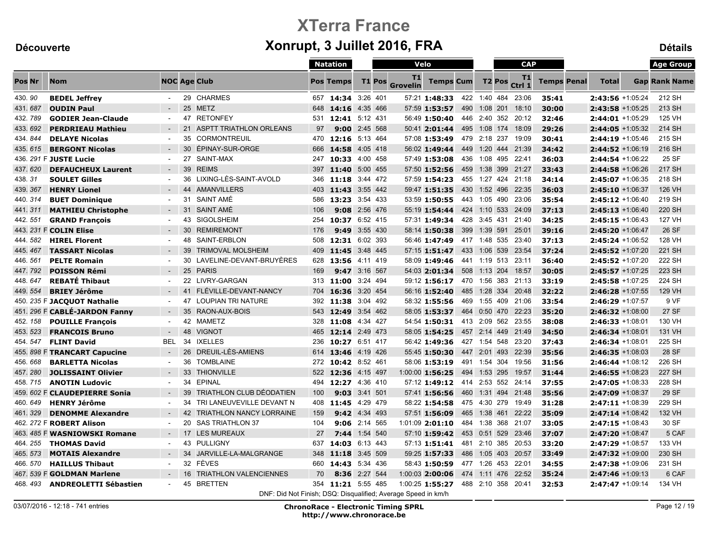|               |          |                               |                |    |                                                               |     | <b>Natation</b>    |                 |          | Velo                  |                                  |              |                    | <b>CAP</b>         |                    |                     | <b>Age Group</b>     |
|---------------|----------|-------------------------------|----------------|----|---------------------------------------------------------------|-----|--------------------|-----------------|----------|-----------------------|----------------------------------|--------------|--------------------|--------------------|--------------------|---------------------|----------------------|
| <b>Pos Nr</b> |          | <b>Nom</b>                    |                |    | <b>NOC Age Club</b>                                           |     | <b>Pos Temps</b>   |                 | T1 Pos   | T1<br><b>Grovelin</b> | <b>Temps Cum</b>                 |              | T <sub>2</sub> Pos | T1<br>Ctrl 1       | <b>Temps Penal</b> | <b>Total</b>        | <b>Gap Rank Name</b> |
| 430.90        |          | <b>BEDEL Jeffrey</b>          | $\sim$         |    | 29 CHARMES                                                    |     | 657 14:34 3:26 401 |                 |          |                       | 57:21 1:48:33 422 1:40 484 23:06 |              |                    |                    | 35:41              | 2:43:56 +1:05:24    | 212 SH               |
| 431.687       |          | <b>OUDIN Paul</b>             | $\sim$         |    | 25 METZ                                                       | 648 | 14:16              |                 | 4:35 466 |                       | 57:59 1:53:57                    | 490          | 1:08 201           | 18:10              | 30:00              | $2:43:58$ +1:05:25  | 213 SH               |
| 432.789       |          | <b>GODIER Jean-Claude</b>     | $\sim$         |    | 47 RETONFEY                                                   |     | 531 12:41 5:12 431 |                 |          |                       | 56:49 1:50:40                    |              |                    | 446 2:40 352 20:12 | 32:46              | $2:44:01 + 1:05:29$ | 125 VH               |
| 433.692       |          | <b>PERDRIEAU Mathieu</b>      | $\sim$         | 21 | <b>ASPTT TRIATHLON ORLEANS</b>                                | 97  |                    | $9:00$ 2:45 568 |          |                       | 50:41 2:01:44                    | 495          |                    | 1:08 174 18:09     | 29:26              | $2:44:05$ +1:05:32  | 214 SH               |
| 434.844       |          | <b>DELAYE Nicolas</b>         | $\sim$         | 35 | <b>CORMONTREUIL</b>                                           | 470 | 12:16 5:13 464     |                 |          |                       | 57:08 1:53:49 479 2:18 237       |              |                    | 19:09              | 30:41              | $2:44:19 + 1:05:46$ | 215 SH               |
|               | 435, 615 | <b>BERGONT Nicolas</b>        | $\sim$         | 30 | ÉPINAY-SUR-ORGE                                               | 666 | 14:58              |                 | 4:05 418 |                       | 56:02 1:49:44                    | 449          |                    | 1:20 444 21:39     | 34:42              | $2:44:52 + 1:06:19$ | 216 SH               |
|               |          | 436. 291 F JUSTE Lucie        | $\sim$         |    | 27 SAINT-MAX                                                  |     | 247 10:33 4:00 458 |                 |          |                       | 57:49 1:53:08 436 1:08 495 22:41 |              |                    |                    | 36:03              | 2:44:54 +1:06:22    | 25 SF                |
| 437.620       |          | <b>DEFAUCHEUX Laurent</b>     | $\sim$         | 39 | <b>REIMS</b>                                                  |     | 397 11:40 5:00 455 |                 |          |                       | 57:50 1:52:56                    |              |                    | 459 1:38 399 21:27 | 33:43              | $2:44:58$ +1:06:26  | 217 SH               |
| 438.31        |          | <b>SOULET Gilles</b>          | $\sim$         | 36 | LIXING-LÈS-SAINT-AVOLD                                        | 346 | 11:18              |                 | 3:44 472 |                       | 57:59 1:54:23                    |              |                    | 455 1:27 424 21:18 | 34:14              | 2:45:07 +1:06:35    | 218 SH               |
| 439.367       |          | <b>HENRY Lionel</b>           | $\sim$         | 44 | <b>AMANVILLERS</b>                                            | 403 | 11:43 3:55 442     |                 |          |                       | 59:47 1:51:35                    | 430          |                    | 1:52 496 22:35     | 36:03              | $2:45:10 + 1:06:37$ | 126 VH               |
| 440.314       |          | <b>BUET Dominique</b>         | $\sim$         | 31 | SAINT AMÉ                                                     | 586 | 13:23 3:54 433     |                 |          |                       | 53:59 1:50:55                    |              |                    | 443 1:05 490 23:06 | 35:54              | 2:45:12 +1:06:40    | 219 SH               |
| 441.311       |          | <b>MATHIEU Christophe</b>     |                | 31 | SAINT AMÉ                                                     | 106 | 9:08               |                 | 2:56 476 |                       | 55:19 1:54:44                    |              |                    | 424 1:10 533 24:09 | 37:13              | $2:45:13 + 1:06:40$ | 220 SH               |
| 442.551       |          | <b>GRAND Francois</b>         | $\sim$         |    | 43 SIGOLSHEIM                                                 | 254 | 10:37 6:52 415     |                 |          |                       | 57:31 1:49:34                    |              |                    | 428 3:45 431 21:40 | 34:25              | $2:45:15 + 1:06:43$ | <b>127 VH</b>        |
|               |          | 443. 231 F COLIN Elise        |                |    | 30 REMIREMONT                                                 | 176 |                    | 9:49 3:55 430   |          |                       | 58:14 1:50:38                    | 399          |                    | 1:39 591 25:01     | 39:16              | 2:45:20 +1:06:47    | 26 SF                |
| 444.582       |          | <b>HIREL Florent</b>          | $\blacksquare$ |    | 48 SAINT-ERBLON                                               |     | 508 12:31 6:02 393 |                 |          |                       | 56:46 1:47:49 417 1:48 535 23:40 |              |                    |                    | 37:13              | $2:45:24 + 1:06:52$ | 128 VH               |
| 445.467       |          | <b>TASSART Nicolas</b>        | $\sim$         | 39 | <b>TRIMOVAL MOLSHEIM</b>                                      | 409 | 11:45 3:48 445     |                 |          |                       | $57:15$ 1:51:47                  |              |                    | 433 1:06 539 23:54 | 37:24              | $2:45:52$ +1:07:20  | 221 SH               |
| 446.561       |          | <b>PELTE Romain</b>           | $\blacksquare$ |    | 30 LAVELINE-DEVANT-BRUYÈRES                                   | 628 | 13:56              |                 | 4:11 419 |                       | 58:09 1:49:46                    |              |                    | 441 1:19 513 23:11 | 36:40              | 2:45:52 +1:07:20    | 222 SH               |
| 447.792       |          | <b>POISSON Rémi</b>           | $\sim$         |    | 25 PARIS                                                      | 169 |                    | 9:47 3:16 567   |          |                       | 54:03 2:01:34                    |              |                    | 508 1:13 204 18:57 | 30:05              | $2:45:57 + 1:07:25$ | 223 SH               |
| 448.647       |          | <b>REBATÉ Thibaut</b>         | $\sim$         |    | 22 LIVRY-GARGAN                                               | 313 | 11:00 3:24 494     |                 |          |                       | 59:12 1:56:17 470 1:56 383 21:13 |              |                    |                    | 33:19              | 2:45:58 +1:07:25    | 224 SH               |
| 449.554       |          | <b>BRIEY Jérôme</b>           | $\sim$         |    | 41 FLÉVILLE-DEVANT-NANCY                                      | 704 | 16:36 3:20 454     |                 |          |                       | 56:16 1:52:40                    |              |                    | 485 1:28 334 20:48 | 32:22              | $2:46:28 + 1:07:55$ | 129 VH               |
|               |          | 450. 235 F JACQUOT Nathalie   | $\blacksquare$ |    | 47 LOUPIAN TRI NATURE                                         | 392 | 11:38              |                 | 3:04 492 |                       | 58:32 1:55:56                    |              |                    | 469 1:55 409 21:06 | 33:54              | 2:46:29 +1:07:57    | 9 VF                 |
|               |          | 451. 296 F CABLÉ-JARDON Fanny | $\sim$         |    | 35 RAON-AUX-BOIS                                              |     | 543 12:49 3:54 462 |                 |          |                       | 58:05 1:53:37                    |              |                    | 464 0:50 470 22:23 | 35:20              | $2:46:32 + 1:08:00$ | 27 SF                |
| 452.158       |          | <b>POUILLE François</b>       | $\sim$         |    | 42 MAMETZ                                                     | 328 | 11:08 4:34 427     |                 |          |                       | 54:54 1:50:31                    |              |                    | 413 2:09 562 23:55 | 38:08              | $2:46:33 + 1:08:01$ | 130 VH               |
| 453.523       |          | <b>FRANCOIS Bruno</b>         | $\sim$         | 48 | <b>VIGNOT</b>                                                 | 465 | 12:14 2:49 473     |                 |          |                       | 58:05 1:54:25                    |              |                    | 457 2:14 449 21:49 | 34:50              | $2:46:34 + 1:08:01$ | 131 VH               |
|               | 454.547  | <b>FLINT David</b>            | <b>BEL</b>     | 34 | <b>IXELLES</b>                                                | 236 | 10:27              |                 | 6:51 417 |                       | 56:42 1:49:36                    |              | 427 1:54 548       | 23:20              | 37:43              | 2:46:34 +1:08:01    | 225 SH               |
|               |          | 455. 898 F TRANCART Capucine  | $\sim$         |    | 26 DREUIL-LÈS-AMIENS                                          |     | 614 13:46 4:19 426 |                 |          |                       | 55:45 1:50:30                    |              |                    | 447 2:01 493 22:39 | 35:56              | $2:46:35 + 1:08:03$ | 28 SF                |
| 456.668       |          | <b>BARLETTA Nicolas</b>       | $\sim$         | 36 | <b>TOMBLAINE</b>                                              |     | 272 10:42 8:52 461 |                 |          |                       | 58:06 1:53:19                    | 491 1:54 304 |                    | 19:56              | 31:56              | $2:46:44 + 1:08:12$ | 226 SH               |
| 457.280       |          | <b>JOLISSAINT Olivier</b>     | $\sim$         |    | 33 THIONVILLE                                                 | 522 | 12:36              |                 | 4:15 497 |                       | $1:00:00$ 1:56:25                |              |                    | 494 1:53 295 19:57 | 31:44              | $2:46:55 + 1:08:23$ | 227 SH               |
|               | 458, 715 | <b>ANOTIN Ludovic</b>         | $\sim$         | 34 | <b>EPINAL</b>                                                 | 494 | 12:27              |                 | 4:36 410 |                       | 57:12 1:49:12                    |              |                    | 414 2:53 552 24:14 | 37:55              | $2:47:05 +1:08:33$  | 228 SH               |
|               |          | 459. 602 F CLAUDEPIERRE Sonia | $\sim$         | 39 | TRIATHLON CLUB DÉODATIEN                                      | 100 |                    | 9:03 3:41 501   |          |                       | 57:41 1:56:56                    |              |                    | 460 1:31 494 21:48 | 35:56              | 2:47:09 +1:08:37    | 29 SF                |
| 460, 649      |          | <b>HENRY Jérôme</b>           | $\sim$         | 34 | TRI LANEUVEVILLE DEVANT N                                     | 408 | 11:45 4:29 479     |                 |          |                       | 58:22 1:54:58 475 4:30 279 19:49 |              |                    |                    | 31:28              | $2:47:11 + 1:08:39$ | 229 SH               |
| 461.329       |          | <b>DENOMME Alexandre</b>      | $\sim$         | 42 | <b>TRIATHLON NANCY LORRAINE</b>                               | 159 |                    | 9:42 4:34 493   |          |                       | 57:51 1:56:09                    | 465          | 1:38 461           | 22:22              | 35:09              | $2:47:14 + 1:08:42$ | 132 VH               |
|               |          | 462. 272 F ROBERT Alison      | $\blacksquare$ | 20 | <b>SAS TRIATHLON 37</b>                                       | 104 | 9:06               |                 | 2:14 565 |                       | 1:01:09 2:01:10                  |              |                    | 484 1:38 368 21:07 | 33:05              | 2:47:15 +1:08:43    | 30 SF                |
|               |          | 463. 485 F WASNIOWSKI Romane  | $\sim$         |    | 17 LES MUREAUX                                                | 27  |                    | 7:44 1:54 540   |          |                       | 57:10 1:59:42 453 0:51 529 23:46 |              |                    |                    | 37:07              | 2:47:20 +1:08:47    | 5 CAF                |
| 464.255       |          | <b>THOMAS David</b>           | $\blacksquare$ |    | 43 PULLIGNY                                                   | 637 | 14:03              |                 | 6:13 443 |                       | 57:13 1:51:41                    |              |                    | 481 2:10 385 20:53 | 33:20              | 2:47:29 +1:08:57    | 133 VH               |
| 465, 573      |          | <b>MOTAIS Alexandre</b>       | $\sim$         | 34 | JARVILLE-LA-MALGRANGE                                         | 348 | 11:18              |                 | 3:45 509 |                       | 59:25 1:57:33                    | 486          |                    | 1:05 403 20:57     | 33:49              | $2:47:32 + 1:09:00$ | 230 SH               |
| 466.570       |          | <b>HAILLUS Thibaut</b>        | $\sim$         |    | 32 FÈVES                                                      | 660 | 14:43              |                 | 5:34 436 |                       | 58:43 1:50:59 477 1:26 453 22:01 |              |                    |                    | 34:55              | 2:47:38 +1:09:06    | 231 SH               |
|               |          | 467. 539 F GOLDMAN Marlene    |                | 16 | <b>TRIATHLON VALENCIENNES</b>                                 | 70  |                    | 8:36 2:27 544   |          |                       | $1:00:03$ 2:00:06                |              |                    | 474 1:11 476 22:52 | 35:24              | $2:47:46 + 1:09:13$ | 6 CAF                |
|               | 468, 493 | <b>ANDREOLETTI Sébastien</b>  |                |    | 45 BRETTEN                                                    |     | 354 11:21 5:55 485 |                 |          |                       | 1:00:25 1:55:27                  |              |                    | 488 2:10 358 20:41 | 32:53              | $2:47:47 + 1:09:14$ | 134 VH               |
|               |          |                               |                |    | DNE: Did Not Einigh: DSO: Disqualified: Average Speed in km/h |     |                    |                 |          |                       |                                  |              |                    |                    |                    |                     |                      |

DNF: Did Not Finish; DSQ: Disqualified; Average Speed in km/h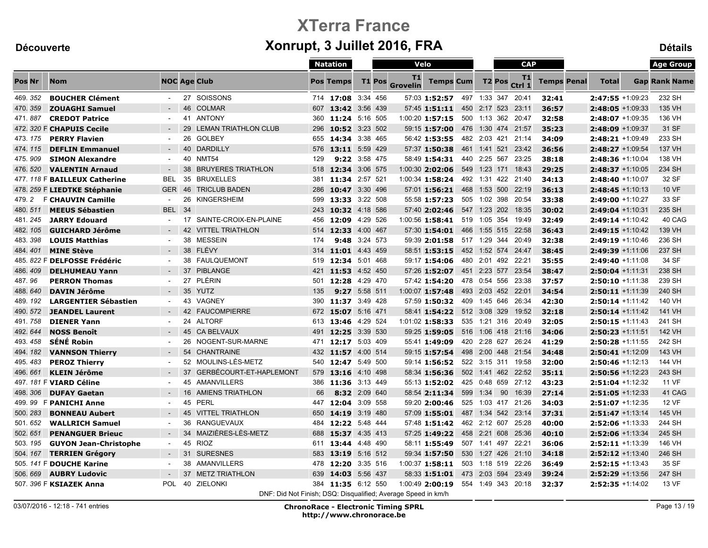|               |                               |                          |    |                                                               |     | <b>Natation</b>    | Velo     |        |                       |                                  | <b>CAP</b> |              |               |                    |                    | <b>Age Group</b>    |                      |
|---------------|-------------------------------|--------------------------|----|---------------------------------------------------------------|-----|--------------------|----------|--------|-----------------------|----------------------------------|------------|--------------|---------------|--------------------|--------------------|---------------------|----------------------|
| <b>Pos Nr</b> | <b>Nom</b>                    |                          |    | <b>NOC Age Club</b>                                           |     | <b>Pos Temps</b>   |          | T1 Pos | T1<br><b>Grovelin</b> | <b>Temps Cum</b>                 |            |              | <b>T2 Pos</b> | T1<br>Ctrl 1       | <b>Temps Penal</b> | <b>Total</b>        | <b>Gap Rank Name</b> |
| 469.352       | <b>BOUCHER Clément</b>        | $\sim$                   |    | 27 SOISSONS                                                   |     | 714 17:08 3:34 456 |          |        |                       | 57:03 1:52:57 497 1:33 347 20:41 |            |              |               |                    | 32:41              | 2:47:55 +1:09:23    | 232 SH               |
| 470.359       | <b>ZOUAGHI Samuel</b>         | $\sim$                   |    | 46 COLMAR                                                     | 607 | 13:42 3:56 439     |          |        |                       | 57:45 1:51:11                    |            | 450 2:17 523 |               | 23:11              | 36:57              | $2:48:05 +1:09:33$  | 135 VH               |
| 471.887       | <b>CREDOT Patrice</b>         | $\blacksquare$           |    | 41 ANTONY                                                     | 360 | 11:24 5:16 505     |          |        |                       | $1:00:20$ 1:57:15                |            |              |               | 500 1:13 362 20:47 | 32:58              | $2:48:07 +1:09:35$  | 136 VH               |
|               | 472. 320 F CHAPUIS Cecile     | $\sim$                   | 29 | LEMAN TRIATHLON CLUB                                          | 296 | 10:52 3:23 502     |          |        |                       | 59:15 1:57:00                    |            |              |               | 476 1:30 474 21:57 | 35:23              | 2:48:09 +1:09:37    | 31 SF                |
| 473.175       | <b>PERRY Flavien</b>          | $\blacksquare$           | 26 | GOLBEY                                                        | 655 | 14:34 3:38 465     |          |        |                       | 56:42 1:53:55                    |            |              |               | 482 2:03 421 21:14 | 34:09              | $2:48:21 + 1:09:49$ | 233 SH               |
| 474, 115      | <b>DEFLIN Emmanuel</b>        | $\sim$                   |    | 40 DARDILLY                                                   |     | 576 13:11 5:59 429 |          |        |                       | 57:37 1:50:38                    |            |              |               | 461 1:41 521 23:42 | 36:56              | 2:48:27 +1:09:54    | <b>137 VH</b>        |
| 475.909       | <b>SIMON Alexandre</b>        | $\sim$                   |    | 40 NMT54                                                      | 129 | 9:22 3:58 475      |          |        |                       | 58:49 1:54:31                    |            |              |               | 440 2:25 567 23:25 | 38:18              | 2:48:36 +1:10:04    | 138 VH               |
| 476, 520      | <b>VALENTIN Arnaud</b>        | $\overline{\phantom{a}}$ |    | 38 BRUYERES TRIATHLON                                         |     | 518 12:34 3:06 575 |          |        |                       | $1:00:30$ 2:02:06                |            |              |               | 549 1:23 171 18:43 | 29:25              | $2:48:37 + 1:10:05$ | 234 SH               |
|               | 477. 118 F BAILLEUX Catherine | <b>BEL</b>               | 35 | <b>BRUXELLES</b>                                              | 381 | 11:34 2:57 521     |          |        |                       | 1:00:34 1:58:24                  |            |              |               | 492 1:31 422 21:40 | 34:13              | 2:48:40 +1:10:07    | 32 SF                |
|               | 478. 259 F LIEDTKE Stéphanie  | <b>GER</b>               | 46 | <b>TRICLUB BADEN</b>                                          | 286 | 10:47 3:30 496     |          |        |                       | 57:01 1:56:21                    |            |              |               | 468 1:53 500 22:19 | 36:13              | $2:48:45 +1:10:13$  | <b>10 VF</b>         |
| 479.2         | <b>F CHAUVIN Camille</b>      | $\sim$                   | 26 | KINGERSHEIM                                                   | 599 | 13:33 3:22 508     |          |        |                       | 55:58 1:57:23                    |            |              |               | 505 1:02 398 20:54 | 33:38              | 2:49:00 +1:10:27    | 33 SF                |
| 480.511       | <b>MEEUS Sébastien</b>        | <b>BEL</b>               | 34 |                                                               | 243 | 10:32 4:18 586     |          |        |                       | 57:40 2:02:46                    |            |              |               | 547 1:23 202 18:35 | 30:02              | $2:49:04 +1:10:31$  | 235 SH               |
| 481.245       | <b>JARRY Edouard</b>          | $\blacksquare$           | 17 | SAINTE-CROIX-EN-PLAINE                                        | 456 | 12:09              | 4:29 526 |        |                       | 1:00:56 1:58:41                  |            | 519 1:05 354 |               | 19:49              | 32:49              | 2:49:14 +1:10:42    | 40 CAG               |
| 482, 105      | <b>GUICHARD Jérôme</b>        |                          |    | <b>42 VITTEL TRIATHLON</b>                                    | 514 | 12:33 4:00 467     |          |        |                       | 57:30 1:54:01                    | 466        |              |               | 1:55 515 22:58     | 36:43              | $2:49:15 + 1:10:42$ | 139 VH               |
| 483.398       | <b>LOUIS Matthias</b>         | $\sim$                   |    | 38 MESSEIN                                                    | 174 | 9:48 3:24 573      |          |        |                       | 59:39 2:01:58 517 1:29 344 20:49 |            |              |               |                    | 32:38              | 2:49:19 +1:10:46    | 236 SH               |
| 484.401       | <b>MINE Stève</b>             | $\sim$                   |    | 38 FLÉVY                                                      | 314 | 11:01              | 4:43 459 |        |                       | 58:51 1:53:15                    |            |              |               | 452 1:52 574 24:47 | 38:45              | $2:49:39 + 1:11:06$ | 237 SH               |
|               | 485, 822 F DELFOSSE Frédéric  | $\blacksquare$           |    | 38 FAULQUEMONT                                                | 519 | 12:34 5:01 468     |          |        |                       | 59:17 1:54:06                    |            |              |               | 480 2:01 492 22:21 | 35:55              | 2:49:40 +1:11:08    | 34 SF                |
| 486.409       | <b>DELHUMEAU Yann</b>         | $\sim$                   |    | 37 PIBLANGE                                                   | 421 | 11:53 4:52 450     |          |        |                       | 57:26 1:52:07                    |            |              |               | 451 2:23 577 23:54 | 38:47              | $2:50:04 +1:11:31$  | 238 SH               |
| 487.96        | <b>PERRON Thomas</b>          | $\sim$                   |    | 27 PLÉRIN                                                     | 501 | 12:28 4:29 470     |          |        |                       | 57:42 1:54:20                    |            |              |               | 478 0:54 556 23:38 | 37:57              | $2:50:10 + 1:11:38$ | 239 SH               |
| 488.640       | <b>DAVIN Jérôme</b>           | $\sim$                   | 35 | <b>YUTZ</b>                                                   | 135 | 9:27               | 5:58 511 |        |                       | 1:00:07 1:57:48                  |            |              |               | 493 2:03 452 22:01 | 34:54              | $2:50:11 + 1:11:39$ | 240 SH               |
| 489.192       | <b>LARGENTIER Sébastien</b>   | $\sim$                   |    | 43 VAGNEY                                                     | 390 | 11:37 3:49 428     |          |        |                       | 57:59 1:50:32                    |            |              |               | 409 1:45 646 26:34 | 42:30              | $2:50:14 + 1:11:42$ | 140 VH               |
| 490.572       | <b>JEANDEL Laurent</b>        | $\sim$                   |    | 42 FAUCOMPIERRE                                               |     | 672 15:07 5:16 471 |          |        |                       | 58:41 1:54:22                    |            |              |               | 512 3:08 329 19:52 | 32:18              | $2:50:14 + 1:11:42$ | 141 VH               |
| 491, 758      | <b>DIENER Yann</b>            | $\sim$                   |    | 24 ALTORF                                                     | 613 | 13:46              | 4:29 524 |        |                       | $1:01:02$ 1:58:33                |            |              |               | 535 1:21 316 20:49 | 32:05              | $2:50:15 + 1:11:43$ | 241 SH               |
| 492.644       | <b>NOSS Benoît</b>            | $\sim$                   |    | 45 CA BELVAUX                                                 | 491 | 12:25 3:39 530     |          |        |                       | 59:25 1:59:05                    |            |              |               | 516 1:06 418 21:16 | 34:06              | $2:50:23 +1:11:51$  | 142 VH               |
| 493.458       | <b>SÉNÉ Robin</b>             | $\sim$                   | 26 | NOGENT-SUR-MARNE                                              |     | 471 12:17 5:03 409 |          |        |                       | 55:41 1:49:09                    |            |              |               | 420 2:28 627 26:24 | 41:29              | $2:50:28 +1:11:55$  | 242 SH               |
| 494.182       | <b>VANNSON Thierry</b>        | $\sim$                   | 54 | <b>CHANTRAINE</b>                                             |     | 432 11:57 4:00 514 |          |        |                       | 59:15 1:57:54                    |            |              |               | 498 2:00 448 21:54 | 34:48              | $2:50:41 + 1:12:09$ | 143 VH               |
| 495.483       | <b>PEROZ Thierry</b>          | $\overline{\phantom{a}}$ |    | 52 MOULINS-LÈS-METZ                                           | 540 | 12:47              | 5:49 500 |        |                       | 59:14 1:56:52                    |            |              |               | 522 3:15 311 19:58 | 32:00              | $2:50:46 + 1:12:13$ | 144 VH               |
| 496.661       | <b>KLEIN Jérôme</b>           | $\sim$                   |    | 37 GERBÉCOURT-ET-HAPLEMONT                                    | 579 | 13:16 4:10 498     |          |        |                       | 58:34 1:56:36                    |            |              |               | 502 1:41 462 22:52 | 35:11              | $2:50:56 +1:12:23$  | 243 SH               |
|               | 497. 181 F VIARD Céline       | $\blacksquare$           |    | 45 AMANVILLERS                                                |     | 386 11:36 3:13 449 |          |        |                       | 55:13 1:52:02                    |            |              |               | 425 0:48 659 27:12 | 43:23              | $2:51:04 +1:12:32$  | <b>11 VF</b>         |
| 498.306       | <b>DUFAY Gaetan</b>           | $\sim$                   |    | 16 AMIENS TRIATHLON                                           | 66  | 8:32 2:09 640      |          |        |                       | 58:54 2:11:34                    | 599        | 1:34         |               | 90 16:39           | 27:14              | $2:51:05 +1:12:33$  | 41 CAG               |
| 499.99        | <b>F PANICHI Anne</b>         | $\blacksquare$           |    | 45 PERL                                                       | 447 | 12:04 3:09 558     |          |        |                       | 59:20 2:00:46                    |            |              |               | 525 1:03 417 21:26 | 34:03              | $2:51:07$ +1:12:35  | 12 VF                |
| 500.283       | <b>BONNEAU Aubert</b>         | $\sim$                   |    | <b>45 VITTEL TRIATHLON</b>                                    | 650 | 14:19 3:19 480     |          |        |                       | 57:09 1:55:01                    |            |              |               | 487 1:34 542 23:14 | 37:31              | $2:51:47 + 1:13:14$ | 145 VH               |
| 501.652       | <b>WALLRICH Samuel</b>        | $\sim$                   | 36 | <b>RANGUEVAUX</b>                                             | 484 | 12:22 5:48 444     |          |        |                       | 57:48 1:51:42                    |            |              |               | 462 2:12 607 25:28 | 40:00              | $2:52:06 + 1:13:33$ | 244 SH               |
| 502.651       | <b>PENANGUER Brieuc</b>       | $\sim$                   |    | 34 MAIZIÈRES-LÈS-METZ                                         | 688 | 15:37 4:35 413     |          |        |                       | 57:25 1:49:22 458 2:21 608 25:36 |            |              |               |                    | 40:10              | 2:52:06 +1:13:34    | 245 SH               |
| 503.195       | <b>GUYON Jean-Christophe</b>  | $\sim$                   |    | 45 RIOZ                                                       |     | 611 13:44 4:48 490 |          |        |                       | 58:11 1:55:49                    |            | 507 1:41 497 |               | 22:21              | 36:06              | 2:52:11 +1:13:39    | 146 VH               |
| 504.167       | <b>TERRIEN Grégory</b>        | $\sim$                   |    | 31 SURESNES                                                   | 583 | 13:19 5:16 512     |          |        |                       | 59:34 1:57:50                    |            |              |               | 530 1:27 426 21:10 | 34:18              | $2:52:12 + 1:13:40$ | 246 SH               |
|               | 505. 141 F DOUCHE Karine      | $\blacksquare$           |    | 38 AMANVILLERS                                                | 478 | 12:20 3:35 516     |          |        |                       | $1:00:37$ 1:58:11                |            |              |               | 503 1:18 519 22:26 | 36:49              | $2:52:15 + 1:13:43$ | 35 SF                |
| 506.669       | <b>AUBRY Ludovic</b>          | $\sim$                   | 37 | <b>METZ TRIATHLON</b>                                         | 639 | 14:03              | 5:56 437 |        |                       | $58:33$ 1:51:01                  |            |              |               | 473 2:03 594 23:49 | 39:24              | 2:52:29 +1:13:56    | 247 SH               |
|               | 507. 396 F KSIAZEK Anna       | <b>POL</b>               |    | 40 ZIELONKI                                                   |     | 384 11:35 6:12 550 |          |        |                       | 1:00:49 2:00:19                  |            |              |               | 554 1:49 343 20:18 | 32:37              | 2:52:35 +1:14:02    | 13 VF                |
|               |                               |                          |    | DNF: Did Not Finish; DSQ: Disqualified; Average Speed in km/h |     |                    |          |        |                       |                                  |            |              |               |                    |                    |                     |                      |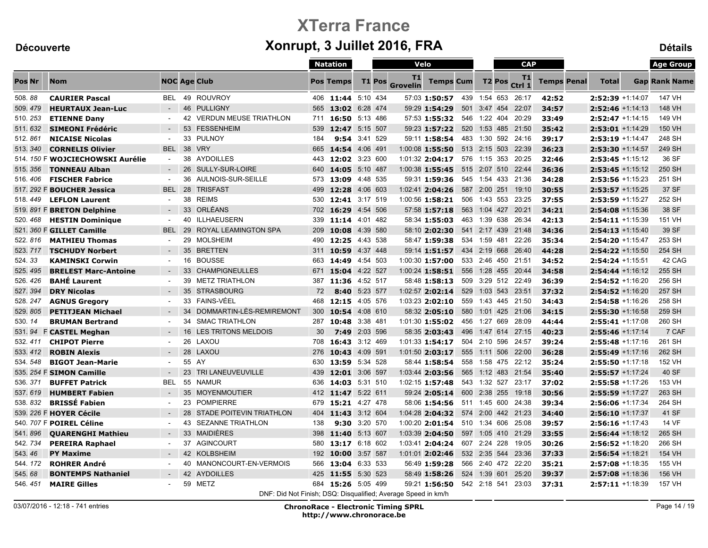|          |                                  |                     |                                                               |     | <b>Natation</b>    |               | Velo          |                |                                    |     | <b>CAP</b>   |               |                    |                    |                     | <b>Age Group</b>     |
|----------|----------------------------------|---------------------|---------------------------------------------------------------|-----|--------------------|---------------|---------------|----------------|------------------------------------|-----|--------------|---------------|--------------------|--------------------|---------------------|----------------------|
| Pos Nr   | <b>Nom</b>                       | <b>NOC Age Club</b> |                                                               |     | <b>Pos Temps</b>   |               | <b>T1 Pos</b> | T1<br>Grovelin | <b>Temps Cum</b>                   |     |              | <b>T2 Pos</b> | T1<br>Ctrl 1       | <b>Temps Penal</b> | <b>Total</b>        | <b>Gap Rank Name</b> |
| 508.88   | <b>CAURIER Pascal</b>            | <b>BEL</b>          | 49 ROUVROY                                                    |     | 406 11:44 5:10 434 |               |               |                | 57:03 1:50:57 439 1:54 653 26:17   |     |              |               |                    | 42:52              | $2:52:39$ +1:14:07  | 147 VH               |
| 509.479  | <b>HEURTAUX Jean-Luc</b>         | $\sim$              | 46 PULLIGNY                                                   |     | 565 13:02 6:28 474 |               |               |                | 59:29 1:54:29                      |     | 501 3:47 454 |               | 22:07              | 34:57              | $2:52:46 +1:14:13$  | 148 VH               |
| 510.253  | <b>ETIENNE Dany</b>              | $\sim$              | 42 VERDUN MEUSE TRIATHLON                                     | 711 | 16:50 5:13 486     |               |               |                | 57:53 1:55:32 546 1:22 404 20:29   |     |              |               |                    | 33:49              | $2:52:47 + 1:14:15$ | 149 VH               |
| 511.632  | <b>SIMEONI Frédéric</b>          | $\sim$              | 53<br><b>FESSENHEIM</b>                                       | 539 | 12:47 5:15 507     |               |               |                | 59:23 1:57:22                      |     |              |               | 520 1:53 485 21:50 | 35:42              | $2:53:01 + 1:14:29$ | 150 VH               |
| 512.861  | <b>NICAISE Nicolas</b>           | $\sim$              | 33 PULNOY                                                     | 184 |                    | 9:54 3:41 529 |               |                | 59:11 1:58:54                      |     |              |               | 483 1:30 592 24:16 | 39:17              | $2:53:19$ +1:14:47  | 248 SH               |
| 513, 340 | <b>CORNELIS Olivier</b>          | <b>BEL</b>          | 38 VRY                                                        |     | 665 14:54 4:06 491 |               |               |                | 1:00:08 1:55:50                    |     |              |               | 513 2:15 503 22:39 | 36:23              | $2:53:30 + 1:14:57$ | 249 SH               |
|          | 514. 150 F WOJCIECHOWSKI Aurélie | $\sim$              | 38 AYDOILLES                                                  |     | 443 12:02 3:23 600 |               |               |                | 1:01:32 2:04:17 576 1:15 353 20:25 |     |              |               |                    | 32:46              | $2:53:45 + 1:15:12$ | 36 SF                |
| 515, 356 | <b>TONNEAU Alban</b>             | $\sim$              | 26 SULLY-SUR-LOIRE                                            | 640 | 14:05 5:10 487     |               |               |                | $1:00:38$ 1:55:45                  |     |              |               | 515 2:07 510 22:44 | 36:36              | $2:53:45$ +1:15:12  | 250 SH               |
| 516, 406 | <b>FISCHER Fabrice</b>           | $\blacksquare$      | 36 AULNOIS-SUR-SEILLE                                         | 573 | 13:09              | 4:48 535      |               |                | 59:31 1:59:36                      |     |              |               | 545 1:54 433 21:36 | 34:28              | $2:53:56 + 1:15:23$ | 251 SH               |
|          | 517. 292 F BOUCHER Jessica       | <b>BEL</b>          | 28 TRISFAST                                                   |     | 499 12:28 4:06 603 |               |               |                | $1:02:41$ 2:04:26                  |     | 587 2:00 251 |               | 19:10              | 30:55              | $2:53:57 +1:15:25$  | 37 SF                |
| 518, 449 | <b>LEFLON Laurent</b>            |                     | 38 REIMS                                                      |     | 530 12:41 3:17 519 |               |               |                | 1:00:56 1:58:21                    |     |              |               | 506 1:43 553 23:25 | 37:55              | 2:53:59 +1:15:27    | 252 SH               |
|          | 519. 891 F BRETON Delphine       | $\sim$              | 33 ORLÉANS                                                    | 702 | 16:29 4:54 506     |               |               |                | 57:58 1:57:18                      |     |              |               | 563 1:04 427 20:21 | 34:21              | $2:54:08 + 1:15:36$ | 38 SF                |
| 520.468  | <b>HESTIN Dominique</b>          | $\sim$              | <b>ILLHAEUSERN</b><br>40                                      | 339 | 11:14 4:01 482     |               |               |                | 58:34 1:55:03                      |     | 463 1:39 638 |               | 26:34              | 42:13              | $2:54:11 + 1:15:39$ | 151 VH               |
|          | 521. 360 F GILLET Camille        | <b>BEL</b>          | 29 ROYAL LEAMINGTON SPA                                       | 209 | 10:08 4:39 580     |               |               |                | 58:10 2:02:30                      |     |              |               | 541 2:17 439 21:48 | 34:36              | $2:54:13 + 1:15:40$ | 39 SF                |
| 522.816  | <b>MATHIEU Thomas</b>            | $\blacksquare$      | 29 MOLSHEIM                                                   | 490 | 12:25 4:43 538     |               |               |                | 58:47 1:59:38                      |     |              |               | 534 1:59 481 22:26 | 35:34              | $2:54:20 + 1:15:47$ | 253 SH               |
| 523.717  | <b>TSCHUDY Norbert</b>           |                     | 35 BRETTEN                                                    | 311 | 10:59              | 4:37 448      |               |                | 59:14 1:51:57                      |     |              |               | 434 2:19 668 26:40 | 44:28              | $2:54:22 + 1:15:50$ | 254 SH               |
| 524.33   | <b>KAMINSKI Corwin</b>           | $\blacksquare$      | 16 BOUSSE                                                     | 663 | 14:49 4:54 503     |               |               |                | $1:00:30$ 1:57:00                  |     |              |               | 533 2:46 450 21:51 | 34:52              | 2:54:24 +1:15:51    | 42 CAG               |
| 525.495  | <b>BRELEST Marc-Antoine</b>      | $\sim$              | <b>CHAMPIGNEULLES</b><br>33                                   | 671 | 15:04 4:22 527     |               |               |                | 1:00:24 1:58:51                    |     |              |               | 556 1:28 455 20:44 | 34:58              | $2:54:44 + 1:16:12$ | 255 SH               |
| 526.426  | <b>BAHÉ Laurent</b>              | $\sim$              | <b>METZ TRIATHLON</b><br>39                                   | 387 | 11:36 4:52 517     |               |               |                | 58:48 1:58:13                      |     |              |               | 509 3:29 512 22:49 | 36:39              | $2:54:52 + 1:16:20$ | 256 SH               |
| 527.394  | <b>DRY Nicolas</b>               | $\sim$              | 35 STRASBOURG                                                 | 72  | 8:40               | 5:23 577      |               |                | 1:02:57 2:02:14                    |     |              |               | 529 1:03 543 23:51 | 37:32              | 2:54:52 +1:16:20    | 257 SH               |
| 528.247  | <b>AGNUS Gregory</b>             | $\sim$              | 33 FAINS-VÉEL                                                 | 468 | 12:15 4:05 576     |               |               |                | 1:03:23 2:02:10                    |     |              |               | 559 1:43 445 21:50 | 34:43              | $2:54:58 + 1:16:26$ | 258 SH               |
| 529.805  | <b>PETITJEAN Michael</b>         | $\sim$              | DOMMARTIN-LÈS-REMIREMONT<br>34                                | 300 | 10:54 4:08 610     |               |               |                | 58:32 2:05:10                      |     |              |               | 580 1:01 425 21:06 | 34:15              | $2:55:30 +1:16:58$  | 259 SH               |
| 530.14   | <b>BRUMAN Bertrand</b>           | $\sim$              | <b>SMAC TRIATHLON</b><br>34                                   | 287 | 10:48 3:38 481     |               |               |                | $1:01:30$ 1:55:02                  |     |              |               | 456 1:27 669 28:09 | 44:44              | $2:55:41$ +1:17:08  | 260 SH               |
| 531.94   | <b>F CASTEL Meghan</b>           |                     | LES TRITONS MELDOIS<br>16                                     | 30  | 7:49               | 2:03 596      |               |                | 58:35 2:03:43                      | 496 |              |               | 1:47 614 27:15     | 40:23              | $2:55:46 + 1:17:14$ | 7 CAF                |
| 532.411  | <b>CHIPOT Pierre</b>             | $\sim$              | 26 LAXOU                                                      | 708 | 16:43 3:12 469     |               |               |                | $1:01:33$ 1:54:17                  |     |              |               | 504 2:10 596 24:57 | 39:24              | $2:55:48 + 1:17:16$ | 261 SH               |
| 533, 412 | <b>ROBIN Alexis</b>              | $\sim$              | 28 LAXOU                                                      | 276 | 10:43              | 4:09 591      |               |                | $1:01:50$ 2:03:17                  | 555 |              |               | 1:11 506 22:00     | 36:28              | $2:55:49 +1:17:16$  | 262 SH               |
| 534.548  | <b>BIGOT Jean-Marie</b>          | $\blacksquare$      | 55 AY                                                         | 630 | 13:59              | 5:34 528      |               |                | 58:44 1:58:54                      |     |              |               | 558 1:58 475 22:12 | 35:24              | $2:55:50 + 1:17:18$ | 152 VH               |
|          | 535. 254 F SIMON Camille         | $\sim$              | 23 TRI LANEUVEUVILLE                                          |     | 439 12:01 3:06 597 |               |               |                | 1:03:44 2:03:56                    |     |              |               | 565 1:12 483 21:54 | 35:40              | 2:55:57 +1:17:24    | 40 SF                |
| 536.371  | <b>BUFFET Patrick</b>            | <b>BEL</b>          | 55 NAMUR                                                      |     | 636 14:03 5:31 510 |               |               |                | 1:02:15 1:57:48                    |     |              |               | 543 1:32 527 23:17 | 37:02              | $2:55:58 +1:17:26$  | 153 VH               |
| 537.619  | <b>HUMBERT Fabien</b>            | $\sim$              | 35 MOYENMOUTIER                                               |     | 412 11:47 5:22 611 |               |               |                | 59:24 2:05:14                      |     |              |               | 600 2:38 255 19:18 | 30:56              | $2:55:59$ +1:17:27  | 263 SH               |
| 538, 832 | <b>BRISSÉ Fabien</b>             | $\sim$              | 23 POMPIERRE                                                  | 679 | 15:21 4:27 478     |               |               |                | 58:06 1:54:56                      |     |              |               | 511 1:45 600 24:38 | 39:34              | 2:56:06 +1:17:34    | 264 SH               |
|          | 539. 226 F <b>HOYER Cécile</b>   | $\sim$              | 28 STADE POITEVIN TRIATHLON                                   | 404 | 11:43 3:12 604     |               |               |                | 1:04:28 2:04:32                    |     |              |               | 574 2:00 442 21:23 | 34:40              | $2:56:10 + 1:17:37$ | 41 SF                |
|          | 540. 707 F POIREL Céline         | $\sim$              | <b>SEZANNE TRIATHLON</b><br>43                                | 138 | 9:30               | 3:20 570      |               |                | 1:00:20 2:01:54                    |     |              |               | 510 1:34 606 25:08 | 39:57              | $2:56:16 + 1:17:43$ | 14 VF                |
| 541.896  | <b>OUARENGHI Mathieu</b>         | $\sim$              | 33 MAIDIÈRES                                                  | 398 | 11:40 5:13 607     |               |               |                | 1:03:39 2:04:50                    |     |              |               | 597 1:05 410 21:29 | 33:55              | $2:56:44 + 1:18:12$ | 265 SH               |
| 542.734  | <b>PEREIRA Raphael</b>           | $\sim$              | 37 AGINCOURT                                                  | 580 | 13:17 6:18 602     |               |               |                | 1:03:41 2:04:24                    |     | 607 2:24 228 |               | 19:05              | 30:26              | 2:56:52 +1:18:20    | 266 SH               |
| 543.46   | <b>PY Maxime</b>                 |                     | 42 KOLBSHEIM                                                  | 192 | 10:00 3:57 587     |               |               |                | 1:01:01 2:02:46                    |     |              |               | 532 2:35 544 23:36 | 37:33              | $2:56:54 +1:18:21$  | 154 VH               |
| 544.172  | <b>ROHRER André</b>              | $\sim$              | MANONCOURT-EN-VERMOIS<br>40                                   | 566 | 13:04 6:33 533     |               |               |                | 56:49 1:59:28                      |     |              |               | 566 2:40 472 22:20 | 35:21              | $2:57:08 +1:18:35$  | 155 VH               |
| 545.68   | <b>BONTEMPS Nathaniel</b>        |                     | 42 AYDOILLES                                                  | 425 | 11:55              | 5:30 523      |               |                | 58:49 1:58:26                      |     | 524 1:39 601 |               | 25:20              | 39:37              | 2:57:08 +1:18:36    | 156 VH               |
| 546.451  | <b>MAIRE Gilles</b>              | $\sim$              | 59 METZ                                                       |     | 684 15:26 5:05 499 |               |               |                | 59:21 1:56:50                      |     |              |               | 542 2:18 541 23:03 | 37:31              | $2:57:11 + 1:18:39$ | 157 VH               |
|          |                                  |                     | DNF: Did Not Finish; DSQ: Disqualified; Average Speed in km/h |     |                    |               |               |                |                                    |     |              |               |                    |                    |                     |                      |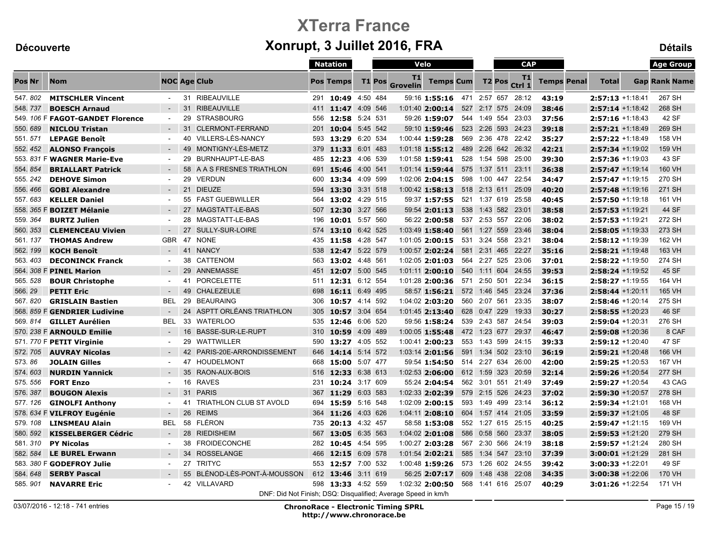|               |                                  |                          |    |                                                               |     | <b>Natation</b>    |            |        |                       | Velo                               |     | <b>CAP</b>   |                    |                    |                    |                     | <b>Age Group</b>    |                      |
|---------------|----------------------------------|--------------------------|----|---------------------------------------------------------------|-----|--------------------|------------|--------|-----------------------|------------------------------------|-----|--------------|--------------------|--------------------|--------------------|---------------------|---------------------|----------------------|
| <b>Pos Nr</b> | <b>Nom</b>                       |                          |    | <b>NOC Age Club</b>                                           |     | <b>Pos Temps</b>   |            | T1 Pos | T1<br><b>Grovelin</b> | <b>Temps Cum</b>                   |     |              | T <sub>2</sub> Pos | T1<br>Ctrl 1       | <b>Temps Penal</b> | <b>Total</b>        |                     | <b>Gap Rank Name</b> |
| 547.802       | <b>MITSCHLER Vincent</b>         |                          |    | 31 RIBEAUVILLE                                                | 291 | 10:49 4:50 484     |            |        |                       | 59:16 1:55:16 471 2:57 657 28:12   |     |              |                    |                    | 43:19              | 2:57:13 +1:18:41    |                     | 267 SH               |
| 548, 737      | <b>BOESCH Arnaud</b>             |                          |    | 31 RIBEAUVILLE                                                |     | 411 11:47          | 4:09 546   |        |                       | $1:01:40$ 2:00:14                  |     | 527 2:17     |                    | 575 24:09          | 38:46              |                     | $2:57:14 + 1:18:42$ | 268 SH               |
|               | 549. 106 F FAGOT-GANDET Florence | $\blacksquare$           | 29 | <b>STRASBOURG</b>                                             | 556 | 12:58 5:24 531     |            |        |                       | 59:26 1:59:07                      |     |              |                    | 544 1:49 554 23:03 | 37:56              | $2:57:16 + 1:18:43$ |                     | 42 SF                |
| 550.689       | <b>NICLOU Tristan</b>            | $\sim$                   | 31 | CLERMONT-FERRAND                                              | 201 | 10:04 5:45 542     |            |        |                       | 59:10 1:59:46                      |     |              |                    | 523 2:26 593 24:23 | 39:18              |                     | $2:57:21$ +1:18:49  | 269 SH               |
| 551.571       | <b>LEPAGE Benoît</b>             | $\blacksquare$           |    | 40 VILLERS-LÈS-NANCY                                          | 593 | 13:29              | 6:20 534   |        |                       | 1:00:44 1:59:28                    |     |              |                    | 569 2:36 478 22:42 | 35:27              |                     | $2:57:22 + 1:18:49$ | 158 VH               |
| 552.452       | <b>ALONSO François</b>           | $\sim$                   |    | 49 MONTIGNY-LÈS-METZ                                          | 379 | 11:33 6:01 483     |            |        |                       | $1:01:18$ 1:55:12                  |     |              |                    | 489 2:26 642 26:32 | 42:21              |                     | $2:57:34 +1:19:02$  | 159 VH               |
|               | 553. 831 F WAGNER Marie-Eve      | $\sim$                   | 29 | BURNHAUPT-LE-BAS                                              |     | 485 12:23 4:06 539 |            |        |                       | 1:01:58 1:59:41                    |     |              |                    | 528 1:54 598 25:00 | 39:30              |                     | 2:57:36 +1:19:03    | 43 SF                |
| 554, 854      | <b>BRIALLART Patrick</b>         | $\overline{\phantom{a}}$ |    | 58 A A S FRESNES TRIATHLON                                    | 691 | 15:46 4:00 541     |            |        |                       | $1:01:14$ 1:59:44                  | 575 |              |                    | 1:37 511 23:11     | 36:38              |                     | $2:57:47$ +1:19:14  | 160 VH               |
| 555.242       | <b>DEHOVE Simon</b>              | $\sim$                   |    | 29 VERDUN                                                     | 600 | 13:34 4:09 599     |            |        |                       | 1:02:06 2:04:15                    |     | 598 1:00 447 |                    | 22:54              | 34:47              |                     | $2:57:47 + 1:19:15$ | 270 SH               |
| 556, 466      | <b>GOBI Alexandre</b>            | $\sim$                   |    | 21 DIEUZE                                                     | 594 | 13:30 3:31 518     |            |        |                       | $1:00:42$ 1:58:13                  |     |              |                    | 518 2:13 611 25:09 | 40:20              |                     | $2:57:48 + 1:19:16$ | 271 SH               |
| 557.683       | <b>KELLER Daniel</b>             | $\blacksquare$           |    | 55 FAST GUEBWILLER                                            | 564 | 13:02 4:29 515     |            |        |                       | 59:37 1:57:55                      |     |              |                    | 521 1:37 619 25:58 | 40:45              |                     | $2:57:50 +1:19:18$  | 161 VH               |
|               | 558. 365 F BOIZET Mélanie        | $\sim$                   |    | 27 MAGSTATT-LE-BAS                                            | 507 | 12:30              | 3:27 566   |        |                       | 59:54 2:01:13                      | 538 |              |                    | 1:43 582 23:01     | 38:58              | $2:57:53 + 1:19:21$ |                     | 44 SF                |
| 559.364       | <b>BURTZ Julien</b>              | $\sim$                   |    | 28 MAGSTATT-LE-BAS                                            | 196 | 10:01              | 5:57 560   |        |                       | 56:22 2:00:58                      |     | 537 2:53 557 |                    | 22:06              | 38:02              | $2:57:53 + 1:19:21$ |                     | 272 SH               |
| 560, 353      | <b>CLEMENCEAU Vivien</b>         |                          |    | 27 SULLY-SUR-LOIRE                                            | 574 | 13:10 6:42 525     |            |        |                       | 1:03:49 1:58:40                    |     |              |                    | 561 1:27 559 23:46 | 38:04              |                     | $2:58:05 +1:19:33$  | 273 SH               |
| 561.137       | <b>THOMAS Andrew</b>             | <b>GBR</b>               |    | 47 NONE                                                       | 435 | 11:58 4:28 547     |            |        |                       | 1:01:05 2:00:15                    |     |              |                    | 531 3:24 558 23:21 | 38:04              | 2:58:12 +1:19:39    |                     | 162 VH               |
| 562.199       | <b>KOCH Benoît</b>               | $\blacksquare$           |    | 41 NANCY                                                      | 538 | 12:47 5:22 579     |            |        |                       | $1:00:57$ 2:02:24                  |     |              |                    | 581 2:31 465 22:27 | 35:16              | $2:58:21 + 1:19:48$ |                     | 163 VH               |
| 563.403       | <b>DECONINCK Franck</b>          | $\blacksquare$           | 38 | CATTENOM                                                      | 563 | 13:02 4:48 561     |            |        |                       | $1:02:05$ 2:01:03                  |     |              |                    | 564 2:27 525 23:06 | 37:01              |                     | 2:58:22 +1:19:50    | 274 SH               |
|               | 564. 308 F PINEL Marion          | $\sim$                   | 29 | ANNEMASSE                                                     | 451 | 12:07 5:00 545     |            |        |                       | $1:01:11$ 2:00:10                  | 540 |              |                    | 1:11 604 24:55     | 39:53              |                     | $2:58:24 +1:19:52$  | 45 SF                |
| 565.528       | <b>BOUR Christophe</b>           | $\sim$                   | 41 | PORCELETTE                                                    | 511 | 12:31 6:12 554     |            |        |                       | 1:01:28 2:00:36                    |     | 571 2:50 501 |                    | 22:34              | 36:15              |                     | $2:58:27 +1:19:55$  | 164 VH               |
| 566.29        | <b>PETIT Eric</b>                | $\sim$                   |    | 49 CHALEZEULE                                                 | 698 | 16:11 6:49 495     |            |        |                       | 58:57 1:56:21                      |     |              |                    | 572 1:46 545 23:24 | 37:36              | $2:58:44 + 1:20:11$ |                     | 165 VH               |
| 567.820       | <b>GRISLAIN Bastien</b>          | <b>BEL</b>               | 29 | <b>BEAURAING</b>                                              | 306 | 10:57 4:14 592     |            |        |                       | 1:04:02 2:03:20                    |     |              |                    | 560 2:07 561 23:35 | 38:07              |                     | $2:58:46 + 1:20:14$ | 275 SH               |
|               | 568. 859 F GENDRIER Ludivine     | $\blacksquare$           | 24 | ASPTT ORLÉANS TRIATHLON                                       | 305 | 10:57 3:04 654     |            |        |                       | 1:01:45 2:13:40                    |     |              |                    | 628 0:47 229 19:33 | 30:27              | 2:58:55 +1:20:23    |                     | 46 SF                |
| 569.814       | <b>GILLET Aurélien</b>           | <b>BEL</b>               | 33 | <b>WATERLOO</b>                                               | 535 | 12:46 6:06 520     |            |        |                       | 59:56 1:58:24                      |     | 539 2:43 587 |                    | 24:54              | 39:03              |                     | 2:59:04 +1:20:31    | 276 SH               |
|               | 570. 238 F ARNOULD Emilie        | $\sim$                   | 16 | BASSE-SUR-LE-RUPT                                             | 310 | 10:59 4:09 489     |            |        |                       | 1:00:05 1:55:48                    |     |              |                    | 472 1:23 677 29:37 | 46:47              | $2:59:08 + 1:20:36$ |                     | 8 CAF                |
|               | 571. 770 F PETIT Virginie        | $\blacksquare$           | 29 | <b>WATTWILLER</b>                                             | 590 | 13:27 4:05 552     |            |        |                       | 1:00:41 2:00:23                    |     |              |                    | 553 1:43 599 24:15 | 39:33              |                     | 2:59:12 +1:20:40    | 47 SF                |
| 572.705       | <b>AUVRAY Nicolas</b>            | $\sim$                   |    | 42 PARIS-20E-ARRONDISSEMENT                                   | 646 | 14:14 5:14 572     |            |        |                       | 1:03:14 2:01:56                    |     |              |                    | 591 1:34 502 23:10 | 36:19              |                     | $2:59:21 + 1:20:48$ | 166 VH               |
| 573.86        | <b>JOLAIN Gilles</b>             | $\blacksquare$           |    | 47 HOUDELMONT                                                 | 668 | 15:00              | 5:07 477   |        |                       | 59:54 1:54:50                      |     | 514 2:27 634 |                    | 26:00              | 42:00              | 2:59:25 +1:20:53    |                     | 167 VH               |
| 574.603       | <b>NURDIN Yannick</b>            | $\sim$                   |    | 35 RAON-AUX-BOIS                                              |     | 516 12:33 6:38 613 |            |        |                       | 1:02:53 2:06:00                    |     |              |                    | 612 1:59 323 20:59 | 32:14              | 2:59:26 +1:20:54    |                     | 277 SH               |
| 575.556       | <b>FORT Enzo</b>                 | $\blacksquare$           |    | 16 RAVES                                                      |     | 231 10:24 3:17 609 |            |        |                       | 55:24 2:04:54                      |     |              |                    | 562 3:01 551 21:49 | 37:49              | 2:59:27 +1:20:54    |                     | 43 CAG               |
| 576.387       | <b>BOUGON Alexis</b>             | $\sim$                   | 31 | <b>PARIS</b>                                                  | 367 | 11:29 6:03 583     |            |        |                       | $1:02:33$ 2:02:39                  |     |              |                    | 579 2:15 526 24:23 | 37:02              | $2:59:30 + 1:20:57$ |                     | 278 SH               |
| 577.126       | <b>GINOLFI Anthony</b>           | $\sim$                   | 41 | <b>TRIATHLON CLUB ST AVOLD</b>                                | 694 | 15:59              | 5:16 548   |        |                       | $1:02:09$ 2:00:15                  |     |              |                    | 593 1:49 499 23:14 | 36:12              | 2:59:34 +1:21:01    |                     | 168 VH               |
|               | 578. 634 F VILFROY Eugénie       | $\overline{\phantom{a}}$ | 26 | <b>REIMS</b>                                                  | 364 | 11:26 4:03 626     |            |        |                       | $1:04:11$ 2:08:10                  |     |              |                    | 604 1:57 414 21:05 | 33:59              |                     | $2:59:37 + 1:21:05$ | 48 SF                |
| 579, 108      | <b>LINSMEAU Alain</b>            | <b>BEL</b>               |    | 58 FLÉRON                                                     | 735 | 20:13 4:32 457     |            |        |                       | 58:58 1:53:08                      |     |              |                    | 552 1:27 615 25:15 | 40:25              |                     | $2:59:47 + 1:21:15$ | 169 VH               |
| 580.592       | <b>KISSELBERGER Cédric</b>       | $\sim$                   |    | 28 RIEDISHEIM                                                 | 567 | 13:05 6:35 563     |            |        |                       | $1:04:02$ 2:01:08                  |     |              |                    | 586 0:58 560 23:37 | 38:05              |                     | $2:59:53 + 1:21:20$ | 279 SH               |
| 581.310       | <b>PY Nicolas</b>                | $\sim$                   |    | 38 FROIDECONCHE                                               | 282 | 10:45 4:54 595     |            |        |                       | 1:00:27 2:03:28                    |     | 567 2:30 566 |                    | 24:19              | 38:18              | 2:59:57 +1:21:24    |                     | 280 SH               |
| 582.584       | <b>LE BUREL Erwann</b>           |                          |    | 34 ROSSELANGE                                                 | 466 | 12:15 6:09 578     |            |        |                       | 1:01:54 2:02:21                    | 585 |              |                    | 1:34 547 23:10     | 37:39              |                     | $3:00:01 + 1:21:29$ | 281 SH               |
|               | 583. 380 F GODEFROY Julie        | $\sim$                   |    | 27 TRITYC                                                     |     | 553 12:57 7:00 532 |            |        |                       | 1:00:48 1:59:26 573 1:26 602 24:55 |     |              |                    |                    | 39:42              | $3:00:33 + 1:22:01$ |                     | 49 SF                |
| 584.648       | <b>SERBY Pascal</b>              |                          |    | 55 BLÉNOD-LÈS-PONT-À-MOUSSON                                  | 612 | 13:46              | $3:11$ 619 |        |                       | 56:25 2:07:17                      | 609 |              |                    | 1:48 438 22:08     | 34:35              |                     | $3:00:38 + 1:22:06$ | 170 VH               |
| 585.901       | <b>NAVARRE Eric</b>              | $\sim$                   |    | 42 VILLAVARD                                                  | 598 | 13:33 4:52 559     |            |        |                       | 1:02:32 2:00:50                    |     |              |                    | 568 1:41 616 25:07 | 40:29              | 3:01:26 +1:22:54    |                     | 171 VH               |
|               |                                  |                          |    | DNF: Did Not Finish; DSQ: Disqualified; Average Speed in km/h |     |                    |            |        |                       |                                    |     |              |                    |                    |                    |                     |                     |                      |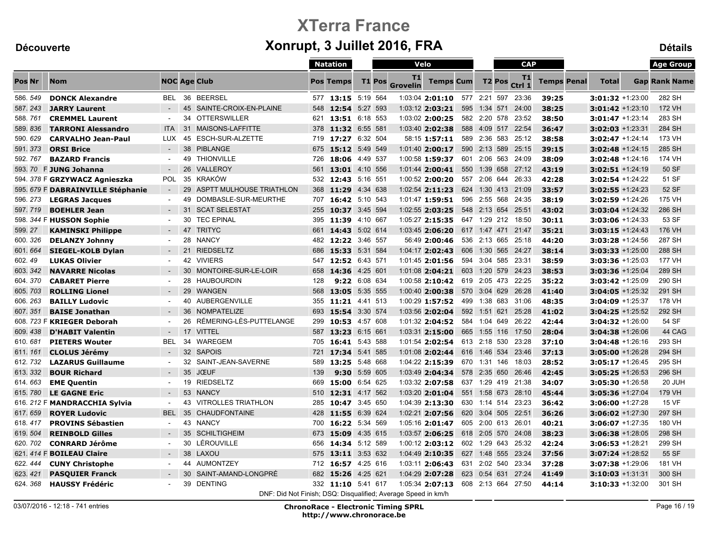|          |                                   |                     |    |                                                               |     | <b>Natation</b>    |          | Velo   |                       |                                    |     |              | <b>CAP</b> |                     |                    |                     | <b>Age Group</b>     |
|----------|-----------------------------------|---------------------|----|---------------------------------------------------------------|-----|--------------------|----------|--------|-----------------------|------------------------------------|-----|--------------|------------|---------------------|--------------------|---------------------|----------------------|
| Pos Nr   | <b>Nom</b>                        | <b>NOC Age Club</b> |    |                                                               |     | <b>Pos Temps</b>   |          | T1 Pos | T1<br><b>Grovelin</b> | <b>Temps Cum</b>                   |     |              |            | T1<br>T2 Pos Ctrl 1 | <b>Temps Penal</b> | <b>Total</b>        | <b>Gap Rank Name</b> |
| 586.549  | <b>DONCK Alexandre</b>            | <b>BEL</b>          | 36 | <b>BEERSEL</b>                                                |     | 577 13:15 5:19 564 |          |        |                       | 1:03:04 2:01:10                    |     | 577 2:21 597 |            | 23:36               | 39:25              | $3:01:32 +1:23:00$  | 282 SH               |
| 587.243  | <b>JARRY Laurent</b>              | $\sim$              | 45 | SAINTE-CROIX-EN-PLAINE                                        |     | 548 12:54 5:27 593 |          |        |                       | $1:03:12$ 2:03:21                  | 595 |              |            | 1:34 571 24:00      | 38:25              | $3:01:42 + 1:23:10$ | 172 VH               |
| 588.761  | <b>CREMMEL Laurent</b>            | $\sim$              | 34 | <b>OTTERSWILLER</b>                                           |     | 621 13:51 6:18 553 |          |        |                       | 1:03:02 2:00:25                    |     |              |            | 582 2:20 578 23:52  | 38:50              | $3:01:47 + 1:23:14$ | 283 SH               |
| 589.836  | <b>TARRONI Alessandro</b>         | <b>ITA</b>          | 31 | MAISONS-LAFFITTE                                              | 378 | 11:32 6:55 581     |          |        |                       | $1:03:40$ 2:02:38                  | 588 |              |            | 4:09 517 22:54      | 36:47              | $3:02:03 + 1:23:31$ | 284 SH               |
| 590.629  | <b>CARVALHO Jean-Paul</b>         | <b>LUX</b>          | 45 | ESCH-SUR-ALZETTE                                              | 719 | 17:27 6:32 504     |          |        |                       | 58:15 1:57:11                      |     |              |            | 589 2:36 583 25:12  | 38:58              | $3:02:47$ +1:24:14  | 173 VH               |
| 591, 373 | <b>ORSI Brice</b>                 | $\sim$              | 38 | <b>PIBLANGE</b>                                               |     | 675 15:12 5:49 549 |          |        |                       | $1:01:40$ 2:00:17                  |     |              |            | 590 2:13 589 25:15  | 39:15              | $3:02:48 + 1:24:15$ | 285 SH               |
| 592.767  | <b>BAZARD Francis</b>             | $\sim$              | 49 | <b>THIONVILLE</b>                                             | 726 | 18:06 4:49 537     |          |        |                       | 1:00:58 1:59:37                    |     |              |            | 601 2:06 563 24:09  | 38:09              | $3:02:48 + 1:24:16$ | 174 VH               |
|          | 593. 70 F JUNG Johanna            | $\sim$              | 26 | <b>VALLEROY</b>                                               | 561 | 13:01 4:10 556     |          |        |                       | 1:01:44 2:00:41                    | 550 |              |            | 1:39 658 27:12      | 43:19              | 3:02:51 +1:24:19    | 50 SF                |
|          | 594. 378 F GRZYWACZ Agnieszka     | <b>POL</b>          | 35 | <b>KRAKÓW</b>                                                 |     | 532 12:43 5:16 551 |          |        |                       | 1:00:52 2:00:20                    |     |              |            | 557 2:06 644 26:33  | 42:28              | 3:02:54 +1:24:22    | 51 SF                |
|          | 595. 679 F DABRAINVILLE Stéphanie | $\sim$              | 29 | ASPTT MULHOUSE TRIATHLON                                      | 368 | 11:29 4:34 638     |          |        |                       | $1:02:54$ 2:11:23                  |     |              |            | 624 1:30 413 21:09  | 33:57              | $3:02:55 + 1:24:23$ | 52 SF                |
| 596.273  | <b>LEGRAS Jacques</b>             | $\sim$              | 49 | DOMBASLE-SUR-MEURTHE                                          | 707 | 16:42 5:10 543     |          |        |                       | 1:01:47 1:59:51                    |     |              |            | 596 2:55 568 24:35  | 38:19              | $3:02:59 + 1:24:26$ | 175 VH               |
| 597.719  | <b>BOEHLER Jean</b>               | $\blacksquare$      | 31 | <b>SCAT SELESTAT</b>                                          | 255 | 10:37              | 3:45 594 |        |                       | 1:02:55 2:03:25                    | 548 |              |            | 2:13 654 25:51      | 43:02              | $3:03:04 + 1:24:32$ | 286 SH               |
|          | 598. 344 F HUSSON Sophie          | $\blacksquare$      | 30 | <b>TEC EPINAL</b>                                             | 395 | 11:39 4:10 667     |          |        |                       | 1:05:27 2:15:35                    |     |              |            | 647 1:29 212 18:50  | 30:11              | $3:03:06 + 1:24:33$ | 53 SF                |
| 599.27   | <b>KAMINSKI Philippe</b>          | $\blacksquare$      | 47 | <b>TRITYC</b>                                                 |     | 661 14:43 5:02 614 |          |        |                       | $1:03:45$ 2:06:20                  |     |              |            | 617 1:47 471 21:47  | 35:21              | $3:03:15 + 1:24:43$ | 176 VH               |
| 600.326  | <b>DELANZY Johnny</b>             | $\sim$              | 28 | <b>NANCY</b>                                                  |     | 482 12:22 3:46 557 |          |        |                       | 56:49 2:00:46                      |     |              |            | 536 2:13 665 25:18  | 44:20              | $3:03:28 + 1:24:56$ | 287 SH               |
| 601.664  | <b>SIEGEL-KOLB Dylan</b>          |                     | 21 | <b>RIEDSELTZ</b>                                              | 686 | 15:33 5:31 584     |          |        |                       | $1:04:17$ 2:02:43                  | 606 |              |            | 1:30 565 24:27      | 38:14              | $3:03:33 + 1:25:00$ | 288 SH               |
| 602.49   | <b>LUKAS Olivier</b>              | $\sim$              | 42 | <b>VIVIERS</b>                                                | 547 | 12:52 6:43 571     |          |        |                       | 1:01:45 2:01:56                    |     |              |            | 594 3:04 585 23:31  | 38:59              | 3:03:36 +1:25:03    | 177 VH               |
| 603.342  | <b>NAVARRE Nicolas</b>            | $\sim$              | 30 | MONTOIRE-SUR-LE-LOIR                                          | 658 | 14:36 4:25 601     |          |        |                       | $1:01:08$ 2:04:21                  | 603 |              |            | 1:20 579 24:23      | 38:53              | $3:03:36 + 1:25:04$ | 289 SH               |
| 604.370  | <b>CABARET Pierre</b>             | $\sim$              | 28 | <b>HAUBOURDIN</b>                                             | 128 | 9:22 6:08 634      |          |        |                       | 1:00:58 2:10:42 619 2:05 473 22:25 |     |              |            |                     | 35:22              | 3:03:42 +1:25:09    | 290 SH               |
| 605.703  | <b>ROLLING Lionel</b>             |                     | 29 | <b>WANGEN</b>                                                 | 568 | 13:05 5:35 555     |          |        |                       | 1:00:40 2:00:38                    |     |              |            | 570 3:04 629 26:28  | 41:40              | $3:04:05 + 1:25:32$ | 291 SH               |
| 606.263  | <b>BAILLY Ludovic</b>             | $\mathbf{r}$        |    | 40 AUBERGENVILLE                                              |     | 355 11:21 4:41 513 |          |        |                       | 1:00:29 1:57:52 499 1:38 683 31:06 |     |              |            |                     | 48:35              | 3:04:09 +1:25:37    | 178 VH               |
| 607.351  | <b>BAISE Jonathan</b>             |                     | 36 | <b>NOMPATELIZE</b>                                            | 693 | 15:54 3:30 574     |          |        |                       | 1:03:56 2:02:04                    | 592 |              |            | 1:51 621 25:28      | 41:02              | $3:04:25 + 1:25:52$ | 292 SH               |
|          | 608. 723 F KRIEGER Deborah        | $\sim$              | 26 | RÉMERING-LÈS-PUTTELANGE                                       | 299 | 10:53              | 4:57 608 |        |                       | $1:01:32$ 2:04:52                  |     |              |            | 584 1:04 649 26:22  | 42:44              | 3:04:32 +1:26:00    | 54 SF                |
| 609.438  | <b>D'HABIT Valentin</b>           |                     | 17 | <b>VITTEL</b>                                                 | 587 | 13:23 6:15 661     |          |        |                       | 1:03:31 2:15:00                    |     |              |            | 665 1:55 116 17:50  | 28:04              | $3:04:38 + 1:26:06$ | 44 CAG               |
| 610.681  | <b>PIETERS Wouter</b>             | <b>BEL</b>          | 34 | <b>WAREGEM</b>                                                | 705 | 16:41 5:43 588     |          |        |                       | 1:01:54 2:02:54 613 2:18 530 23:28 |     |              |            |                     | 37:10              | $3:04:48 + 1:26:16$ | 293 SH               |
| 611.161  | <b>CLOLUS Jérémy</b>              | $\sim$              |    | 32 SAPOIS                                                     | 721 | 17:34              | 5:41 585 |        |                       | 1:01:08 2:02:44                    | 616 |              |            | 1:46 534 23:46      | 37:13              | $3:05:00 + 1:26:28$ | 294 SH               |
| 612.732  | <b>LAZARUS Guillaume</b>          | $\blacksquare$      | 32 | SAINT-JEAN-SAVERNE                                            | 589 | 13:25 5:48 668     |          |        |                       | 1:04:22 2:15:39                    |     |              |            | 670 1:31 146 18:03  | 28:52              | $3:05:17 + 1:26:45$ | 295 SH               |
| 613.332  | <b>BOUR Richard</b>               | $\sim$              | 35 | <b>JŒUF</b>                                                   | 139 | 9:30 5:59 605      |          |        |                       | 1:03:49 2:04:34                    |     |              |            | 578 2:35 650 26:46  | 42:45              | $3:05:25 + 1:26:53$ | 296 SH               |
| 614.663  | <b>EME Quentin</b>                | $\blacksquare$      | 19 | <b>RIEDSELTZ</b>                                              | 669 | 15:00 6:54 625     |          |        |                       | 1:03:32 2:07:58                    |     |              |            | 637 1:29 419 21:38  | 34:07              | 3:05:30 +1:26:58    | 20 JUH               |
| 615.780  | <b>LE GAGNE Eric</b>              | $\sim$              | 53 | <b>NANCY</b>                                                  | 510 | 12:31 4:17 562     |          |        |                       | $1:03:20$ 2:01:04                  |     |              |            | 551 1:58 673 28:10  | 45:44              | $3:05:36 + 1:27:04$ | 179 VH               |
|          | 616. 212 F MANDRACCHIA Sylvia     | $\sim$              | 43 | <b>VITROLLES TRIATHLON</b>                                    | 285 | 10:47 3:45 650     |          |        |                       | 1:04:39 2:13:30                    |     |              |            | 630 1:14 514 23:23  | 36:42              | $3:06:00 + 1:27:28$ | <b>15 VF</b>         |
| 617.659  | <b>ROYER Ludovic</b>              | <b>BEL</b>          | 35 | CHAUDFONTAINE                                                 | 428 | 11:55 6:39 624     |          |        |                       | 1:02:21 2:07:56                    |     |              |            | 620 3:04 505 22:51  | 36:26              | $3:06:02 + 1:27:30$ | 297 SH               |
| 618, 417 | <b>PROVINS Sébastien</b>          | $\sim$              | 43 | <b>NANCY</b>                                                  | 700 | 16:22 5:34 569     |          |        |                       | 1:05:16 2:01:47                    |     |              |            | 605 2:00 613 26:01  | 40:21              | $3:06:07 + 1:27:35$ | 180 VH               |
| 619.504  | <b>REINBOLD Gilles</b>            | $\sim$              | 35 | <b>SCHILTIGHEIM</b>                                           | 673 | 15:09 4:35 615     |          |        |                       | $1:03:57$ 2:06:25                  |     |              |            | 618 2:05 570 24:08  | 38:23              | $3:06:38 + 1:28:05$ | 298 SH               |
| 620. 702 | <b>CONRARD Jérôme</b>             | $\sim$              | 30 | LÉROUVILLE                                                    | 656 | 14:34 5:12 589     |          |        |                       | 1:00:12 2:03:12                    |     | 602 1:29     |            | 643 25:32           | 42:24              | 3:06:53 +1:28:21    | 299 SH               |
|          | 621. 414 F <b>BOILEAU Claire</b>  | $\sim$              | 38 | LAXOU                                                         |     | 575 13:11 3:53 632 |          |        |                       | $1:04:49$ 2:10:35                  |     |              |            | 627 1:48 555 23:24  | 37:56              | $3:07:24 + 1:28:52$ | 55 SF                |
| 622.444  | <b>CUNY Christophe</b>            | $\blacksquare$      | 44 | <b>AUMONTZEY</b>                                              |     | 712 16:57 4:25 616 |          |        |                       | 1:03:11 2:06:43                    |     |              |            | 631 2:02 540 23:34  | 37:28              | 3:07:38 +1:29:06    | 181 VH               |
| 623.421  | <b>PASQUIER Franck</b>            |                     | 30 | SAINT-AMAND-LONGPRÉ                                           | 682 | 15:26              | 4:25 621 |        |                       | $1:04:29$ 2:07:28                  | 623 |              |            | 0:54 631 27:24      | 41:49              | $3:10:03 + 1:31:31$ | 300 SH               |
| 624.368  | <b>HAUSSY Frédéric</b>            |                     | 39 | <b>DENTING</b>                                                |     | 332 11:10 5:41 617 |          |        |                       | 1:05:34 2:07:13                    |     |              |            | 608 2:13 664 27:50  | 44:14              | $3:10:33 + 1:32:00$ | 301 SH               |
|          |                                   |                     |    | DNF: Did Not Finish; DSQ: Disqualified; Average Speed in km/h |     |                    |          |        |                       |                                    |     |              |            |                     |                    |                     |                      |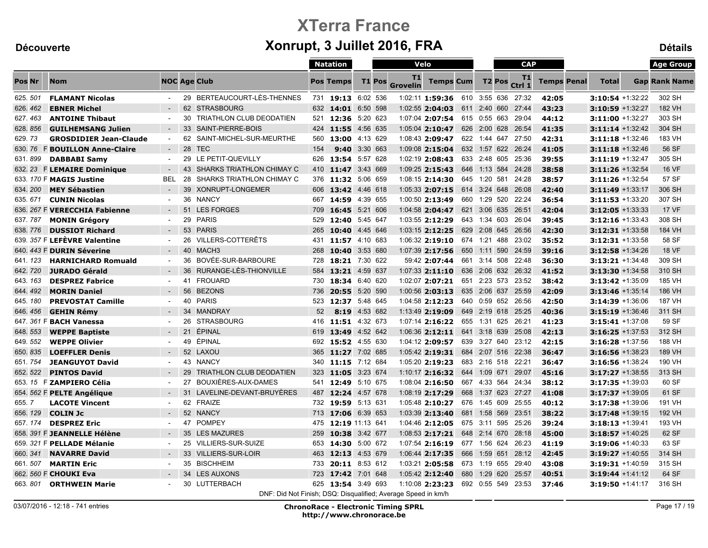|               |                               |                          |    |                                                               |     | <b>Natation</b>      |          |          |                       | Velo                               |              |              | <b>CAP</b>    |                    |                    |                     |                     | <b>Age Group</b>     |
|---------------|-------------------------------|--------------------------|----|---------------------------------------------------------------|-----|----------------------|----------|----------|-----------------------|------------------------------------|--------------|--------------|---------------|--------------------|--------------------|---------------------|---------------------|----------------------|
| <b>Pos Nr</b> | <b>Nom</b>                    |                          |    | <b>NOC Age Club</b>                                           |     | <b>Pos Temps</b>     |          | T1 Pos   | T1<br><b>Grovelin</b> | <b>Temps Cum</b>                   |              |              | <b>T2 Pos</b> | T1<br>Ctrl 1       | <b>Temps Penal</b> | <b>Total</b>        |                     | <b>Gap Rank Name</b> |
| 625.501       | <b>FLAMANT Nicolas</b>        |                          |    | 29 BERTEAUCOURT-LÈS-THENNES                                   |     | 731 19:13 6:02 536   |          |          |                       | 1:02:11 1:59:36 610 3:55 636 27:32 |              |              |               |                    | 42:05              |                     | 3:10:54 +1:32:22    | 302 SH               |
| 626, 462      | <b>EBNER Michel</b>           |                          |    | 62 STRASBOURG                                                 |     | 632 14:01            | 6:50 598 |          |                       | $1:02:55$ 2:04:03                  |              |              |               | 611 2:40 660 27:44 | 43:23              | $3:10:59 + 1:32:27$ |                     | <b>182 VH</b>        |
| 627.463       | <b>ANTOINE Thibaut</b>        | $\blacksquare$           |    | 30 TRIATHLON CLUB DEODATIEN                                   | 521 | 12:36 5:20 623       |          |          |                       | 1:07:04 2:07:54 615 0:55 663 29:04 |              |              |               |                    | 44:12              | 3:11:00 +1:32:27    |                     | 303 SH               |
| 628.856       | <b>GUILHEMSANG Julien</b>     | $\sim$                   |    | 33 SAINT-PIERRE-BOIS                                          | 424 | 11:55 4:56 635       |          |          |                       | $1:05:04$ 2:10:47                  |              |              |               | 626 2:00 628 26:54 | 41:35              |                     | $3:11:14 + 1:32:42$ | 304 SH               |
| 629.73        | <b>GROSDIDIER Jean-Claude</b> | $\sim$                   | 62 | SAINT-MICHEL-SUR-MEURTHE                                      | 560 | 13:00 4:13 629       |          |          |                       | 1:08:43 2:09:47                    |              |              |               | 622 1:44 647 27:50 | 42:31              |                     | $3:11:18 + 1:32:46$ | 183 VH               |
| 630, 76       | <b>F BOUILLON Anne-Claire</b> | $\sim$                   |    | 28 TEC                                                        | 154 | <b>9:40</b> 3:30 663 |          |          |                       | $1:09:08$ 2:15:04                  |              |              |               | 632 1:57 622 26:24 | 41:05              | $3:11:18 + 1:32:46$ |                     | 56 SF                |
| 631.899       | <b>DABBABI Samy</b>           | $\sim$                   |    | 29 LE PETIT-QUEVILLY                                          | 626 | 13:54 5:57 628       |          |          |                       | 1:02:19 2:08:43                    |              |              |               | 633 2:48 605 25:36 | 39:55              |                     | $3:11:19 + 1:32:47$ | 305 SH               |
| 632.23        | <b>F LEMAIRE Dominique</b>    | $\overline{\phantom{a}}$ |    | 43 SHARKS TRIATHLON CHIMAY C                                  | 410 | 11:47 3:43 669       |          |          |                       | 1:09:25 2:15:43                    | 646          |              |               | 1:13 584 24:28     | 38:58              | $3:11:26 + 1:32:54$ |                     | <b>16 VF</b>         |
|               | 633. 170 F MAGIS Justine      | <b>BEL</b>               | 28 | <b>SHARKS TRIATHLON CHIMAY C</b>                              | 376 | 11:32                |          | 5:06 659 |                       | 1:08:15 2:14:30                    |              | 645 1:20 581 |               | 24:28              | 38:57              | 3:11:26 +1:32:54    |                     | 57 SF                |
| 634, 200      | <b>MEY Sébastien</b>          | $\sim$                   |    | 39 XONRUPT-LONGEMER                                           | 606 | 13:42 4:46 618       |          |          |                       | $1:05:33$ 2:07:15                  |              |              |               | 614 3:24 648 26:08 | 42:40              | 3:11:49 +1:33:17    |                     | 306 SH               |
| 635, 671      | <b>CUNIN Nicolas</b>          | $\sim$                   |    | 36 NANCY                                                      | 667 | 14:59 4:39 655       |          |          |                       | 1:00:50 2:13:49                    | 660          |              |               | 1:29 520 22:24     | 36:54              | $3:11:53 + 1:33:20$ |                     | 307 SH               |
|               | 636. 267 F VERECCHIA Fabienne | $\sim$                   |    | 51 LES FORGES                                                 | 709 | 16:45                |          | 5:21 606 |                       | 1:04:58 2:04:47                    |              |              |               | 621 3:06 635 26:51 | 42:04              | 3:12:05 +1:33:33    |                     | <b>17 VF</b>         |
| 637.787       | <b>MONIN Grégory</b>          | $\sim$                   |    | 29 PARIS                                                      | 529 | 12:40 5:45 647       |          |          |                       | 1:03:55 2:12:29                    |              |              |               | 643 1:34 603 26:04 | 39:45              |                     | 3:12:16 +1:33:43    | 308 SH               |
| 638, 776      | <b>DUSSIOT Richard</b>        |                          |    | 53 PARIS                                                      | 265 | 10:40 4:45 646       |          |          |                       | 1:03:15 2:12:25                    |              |              |               | 629 2:08 645 26:56 | 42:30              |                     | $3:12:31 + 1:33:58$ | 184 VH               |
|               | 639. 357 F LEFÈVRE Valentine  | $\sim$                   |    | 26 VILLERS-COTTERÊTS                                          |     | 431 11:57 4:10 683   |          |          |                       | 1:06:32 2:19:10 674 1:21 488 23:02 |              |              |               |                    | 35:52              |                     | 3:12:31 +1:33:58    | 58 SF                |
|               | 640. 443 F DURIN Séverine     | $\sim$                   |    | 40 MACH3                                                      | 268 | 10:40 3:53 680       |          |          |                       | $1:07:39$ 2:17:56                  | 650          |              |               | 1:11 590 24:59     | 39:16              | $3:12:58 + 1:34:26$ |                     | <b>18 VF</b>         |
| 641.123       | <b>HARNICHARD Romuald</b>     | $\blacksquare$           | 36 | BOVÉE-SUR-BARBOURE                                            | 728 | 18:21 7:30 622       |          |          |                       | 59:42 2:07:44                      |              |              |               | 661 3:14 508 22:48 | 36:30              |                     | $3:13:21 + 1:34:48$ | 309 SH               |
| 642.720       | <b>JURADO Gérald</b>          |                          | 36 | RURANGE-LÈS-THIONVILLE                                        | 584 | 13:21                | 4:59 637 |          |                       | $1:07:33$ 2:11:10                  |              |              |               | 636 2:06 632 26:32 | 41:52              | 3:13:30 +1:34:58    |                     | 310 SH               |
| 643.163       | <b>DESPREZ Fabrice</b>        | $\sim$                   |    | 41 FROUARD                                                    | 730 | 18:34 6:40 620       |          |          |                       | 1:02:07 2:07:21                    |              |              |               | 651 2:23 573 23:52 | 38:42              |                     | 3:13:42 +1:35:09    | 185 VH               |
| 644.492       | <b>MORIN Daniel</b>           | $\sim$                   | 56 | <b>BEZONS</b>                                                 | 736 | 20:55                |          | 5:20 590 |                       | $1:00:56$ 2:03:13                  |              | 635 2:06     |               | 637 25:59          | 42:09              | $3:13:46 + 1:35:14$ |                     | 186 VH               |
| 645.180       | <b>PREVOSTAT Camille</b>      | $\sim$                   |    | 40 PARIS                                                      |     | 523 12:37 5:48 645   |          |          |                       | 1:04:58 2:12:23                    |              |              |               | 640 0:59 652 26:56 | 42:50              |                     | $3:14:39 + 1:36:06$ | 187 VH               |
| 646.456       | <b>GEHIN Rémy</b>             | $\sim$                   | 34 | MANDRAY                                                       | 52  | 8:19 4:53 682        |          |          |                       | 1:13:49 2:19:09                    |              |              |               | 649 2:19 618 25:25 | 40:36              |                     | $3:15:19 + 1:36:46$ | 311 SH               |
|               | 647. 361 F BACH Vanessa       | $\sim$                   |    | 26 STRASBOURG                                                 | 416 | 11:51 4:32 673       |          |          |                       | 1:07:14 2:16:22                    |              |              |               | 655 1:31 625 26:21 | 41:23              |                     | 3:15:41 +1:37:08    | 59 SF                |
| 648.553       | <b>WEPPE Baptiste</b>         | $\sim$                   | 21 | ÉPINAL                                                        | 619 | 13:49 4:52 642       |          |          |                       | $1:06:36$ 2:12:11                  |              |              |               | 641 3:18 639 25:08 | 42:13              |                     | $3:16:25 + 1:37:53$ | 312 SH               |
| 649.552       | <b>WEPPE Olivier</b>          | $\blacksquare$           | 49 | ÉPINAL                                                        |     | 692 15:52 4:55 630   |          |          |                       | 1:04:12 2:09:57                    |              |              |               | 639 3:27 640 23:12 | 42:15              |                     | 3:16:28 +1:37:56    | 188 VH               |
| 650, 835      | <b>LOEFFLER Denis</b>         | $\sim$                   |    | 52 LAXOU                                                      | 365 | 11:27 7:02 685       |          |          |                       | 1:05:42 2:19:31                    |              |              |               | 684 2:07 516 22:38 | 36:47              | $3:16:56 + 1:38:23$ |                     | 189 VH               |
| 651.754       | <b>JEANGUYOT David</b>        | $\blacksquare$           |    | 43 NANCY                                                      | 340 | 11:15 7:12 684       |          |          |                       | 1:05:20 2:19:23                    |              |              |               | 683 2:16 518 22:21 | 36:47              |                     | $3:16:56 + 1:38:24$ | 190 VH               |
| 652.522       | <b>PINTOS David</b>           | $\sim$                   |    | 29 TRIATHLON CLUB DEODATIEN                                   | 323 | 11:05 3:23 674       |          |          |                       | 1:10:17 2:16:32                    |              |              |               | 644 1:09 671 29:07 | 45:16              | $3:17:27 + 1:38:55$ |                     | 313 SH               |
|               | 653. 15 F ZAMPIERO Célia      | $\blacksquare$           | 27 | BOUXIÈRES-AUX-DAMES                                           |     | 541 12:49 5:10 675   |          |          |                       | 1:08:04 2:16:50                    |              |              |               | 667 4:33 564 24:34 | 38:12              | 3:17:35 +1:39:03    |                     | 60 SF                |
|               | 654. 562 F PELTE Angélique    | $\sim$                   |    | 31 LAVELINE-DEVANT-BRUYERES                                   | 487 | 12:24 4:57 678       |          |          |                       | $1:08:19$ 2:17:29                  | 668          |              |               | 1:37 623 27:27     | 41:08              |                     | $3:17:37$ +1:39:05  | 61 SF                |
| 655.7         | <b>LACOTE Vincent</b>         | $\overline{\phantom{a}}$ |    | 62 FRAIZE                                                     | 732 | 19:59                | 5:13 631 |          |                       | 1:05:48 2:10:27                    |              | 676 1:45 609 |               | 25:55              | 40:12              |                     | 3:17:38 +1:39:06    | 191 VH               |
| 656, 129      | <b>COLIN Jc</b>               | $\sim$                   |    | 52 NANCY                                                      |     | 713 17:06 6:39 653   |          |          |                       | $1:03:39$ 2:13:40                  |              |              |               | 681 1:58 569 23:51 | 38:22              |                     | $3:17:48 + 1:39:15$ | 192 VH               |
| 657, 174      | <b>DESPREZ Eric</b>           | $\sim$                   |    | 47 POMPEY                                                     | 475 | 12:19 11:13 641      |          |          |                       | 1:04:46 2:12:05 675 3:11 595 25:26 |              |              |               |                    | 39:24              | $3:18:13 + 1:39:41$ |                     | 193 VH               |
|               | 658. 391 F JEANNELLE Hélène   | $\sim$                   |    | 35 LES MAZURES                                                | 259 | 10:38 3:42 677       |          |          |                       | 1:08:53 2:17:21                    |              |              |               | 648 2:14 670 28:18 | 45:00              | $3:18:57$ +1:40:25  |                     | 62 SF                |
|               | 659. 321 F PELLADE Mélanie    | $\sim$                   |    | 25 VILLIERS-SUR-SUIZE                                         | 653 | 14:30 5:00 672       |          |          |                       | $1:07:54$ 2:16:19                  | 677 1:56 624 |              |               | 26:23              | 41:19              |                     | $3:19:06 + 1:40:33$ | 63 SF                |
| 660.341       | <b>NAVARRE David</b>          |                          |    | 33 VILLIERS-SUR-LOIR                                          | 463 | 12:13 4:53 679       |          |          |                       | 1:06:44 2:17:35                    | 666          |              |               | 1:59 651 28:12     | 42:45              |                     | $3:19:27 +1:40:55$  | 314 SH               |
| 661.507       | <b>MARTIN Eric</b>            | $\blacksquare$           |    | 35 BISCHHEIM                                                  | 733 | 20:11 8:53 612       |          |          |                       | 1:03:21 2:05:58 673 1:19 655 29:40 |              |              |               |                    | 43:08              |                     | $3:19:31 + 1:40:59$ | 315 SH               |
|               | 662. 560 F CHOUKI Eva         |                          |    | 34 LES AUXONS                                                 | 723 | 17:42 7:01 648       |          |          |                       | $1:05:42$ 2:12:40                  | 680          |              |               | 1:29 620 25:57     | 40:51              |                     | 3:19:44 +1:41:12    | 64 SF                |
| 663.801       | <b>ORTHWEIN Marie</b>         | $\sim$                   |    | 30 LUTTERBACH                                                 | 625 | 13:54 3:49 693       |          |          |                       | 1:10:08 2:23:23 692 0:55 549 23:53 |              |              |               |                    | 37:46              |                     | $3:19:50 +1:41:17$  | 316 SH               |
|               |                               |                          |    | DNF: Did Not Finish; DSQ: Disqualified; Average Speed in km/h |     |                      |          |          |                       |                                    |              |              |               |                    |                    |                     |                     |                      |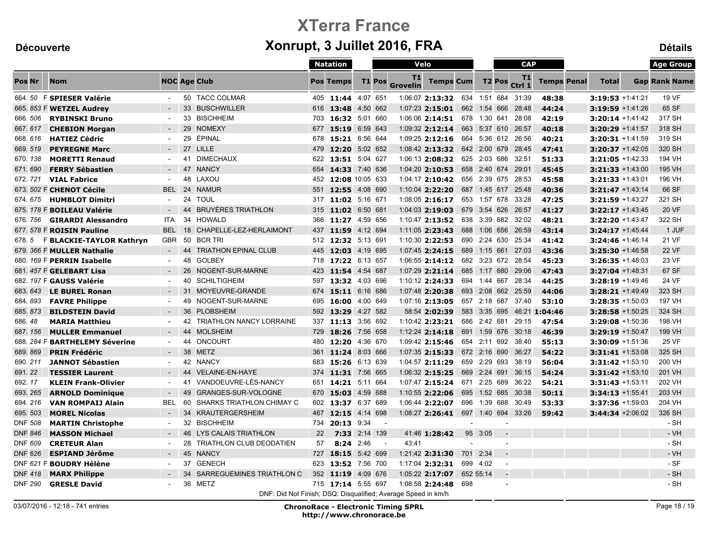|                |                                |                     |    |                                                               |     | <b>Natation</b>     |          | Velo          |                       |                                    |     | <b>CAP</b>   |                          |                    |                            |                     |                     | <b>Age Group</b>     |
|----------------|--------------------------------|---------------------|----|---------------------------------------------------------------|-----|---------------------|----------|---------------|-----------------------|------------------------------------|-----|--------------|--------------------------|--------------------|----------------------------|---------------------|---------------------|----------------------|
| <b>Pos Nr</b>  | <b>Nom</b>                     | <b>NOC Age Club</b> |    |                                                               |     | <b>Pos Temps</b>    |          | <b>T1 Pos</b> | T1<br><b>Grovelin</b> | <b>Temps Cum</b>                   |     |              | T <sub>2</sub> Pos       | T1<br>Ctrl 1       | <b>Temps Penal</b>         | <b>Total</b>        |                     | <b>Gap Rank Name</b> |
|                | 664.50 F SPIESER Valérie       |                     |    | 50 TACC COLMAR                                                |     | 405 11:44 4:07 651  |          |               |                       | 1:06:07 2:13:32 634 1:51 684 31:39 |     |              |                          |                    | 48:38                      | 3:19:53 +1:41:21    |                     | 19 VF                |
|                | 665. 853 F WETZEL Audrey       |                     |    | 33 BUSCHWILLER                                                |     | 616 13:48 4:50 662  |          |               |                       | $1:07:23$ 2:15:01                  |     |              |                          | 662 1:54 666 28:48 | 44:24                      | 3:19:59 +1:41:26    |                     | 65 SF                |
| 666.506        | <b>RYBINSKI Bruno</b>          |                     |    | 33 BISCHHEIM                                                  |     | 703 16:32 5:01 660  |          |               |                       | $1:06:06$ 2:14:51                  |     |              |                          | 678 1:30 641 28:08 | 42:19                      |                     | $3:20:14 + 1:41:42$ | 317 SH               |
| 667.617        | <b>CHEBION Morgan</b>          | $\sim$              |    | 29 NOMEXY                                                     |     | 677 15:19 6:59 643  |          |               |                       | $1:09:32$ 2:12:14                  |     |              |                          | 663 5:37 610 26:57 | 40:18                      |                     | $3:20:29 +1:41:57$  | 318 SH               |
| 668.616        | <b>HATIEZ Cédric</b>           | $\sim$              | 29 | ÉPINAL                                                        |     | 678 15:21 6:56 644  |          |               |                       | $1:09:25$ 2:12:16                  |     |              |                          | 664 5:36 612 26:56 | 40:21                      | $3:20:31 +1:41:59$  |                     | 319 SH               |
| 669.519        | <b>PEYREGNE Marc</b>           | $\sim$              |    | 27 LILLE                                                      |     | 479 12:20 5:02 652  |          |               |                       | $1:08:42$ 2:13:32                  |     |              |                          | 642 2:00 679 28:45 | 47:41                      | $3:20:37 +1:42:05$  |                     | 320 SH               |
| 670.138        | <b>MORETTI Renaud</b>          | $\sim$              |    | 41 DIMECHAUX                                                  |     | 622 13:51 5:04 627  |          |               |                       | 1:06:13 2:08:32                    |     |              |                          | 625 2:03 686 32:51 | 51:33                      |                     | 3:21:05 +1:42:33    | 194 VH               |
| 671.690        | <b>FERRY Sébastien</b>         | $\sim$              |    | 47 NANCY                                                      |     | 654 14:33 7:40 636  |          |               |                       | $1:04:20$ 2:10:53                  |     |              |                          | 658 2:40 674 29:01 | 45:45                      | $3:21:33 + 1:43:00$ |                     | 195 VH               |
| 672.721        | <b>VIAL Fabrice</b>            |                     | 48 | LAXOU                                                         |     | 452 12:08 10:05 633 |          |               |                       | $1:04:17$ 2:10:42                  |     |              |                          | 656 2:39 675 28:53 | 45:58                      | $3:21:33 + 1:43:01$ |                     | 196 VH               |
|                | 673. 502 F CHENOT Cécile       | <b>BEL</b>          |    | 24 NAMUR                                                      | 551 | 12:55 4:08 690      |          |               |                       | 1:10:04 2:22:20                    |     |              |                          | 687 1:45 617 25:48 | 40:36                      | $3:21:47 + 1:43:14$ |                     | 66 SF                |
| 674.675        | <b>HUMBLOT Dimitri</b>         | $\sim$              | 24 | <b>TOUL</b>                                                   |     | 317 11:02 5:16 671  |          |               |                       | 1:08:05 2:16:17                    |     |              |                          | 653 1:57 678 33:28 | 47:25                      | 3:21:59 +1:43:27    |                     | 321 SH               |
|                | 675. 178 F BOILEAU Valérie     |                     | 44 | <b>BRUYÈRES TRIATHLON</b>                                     | 315 | 11:02 6:50 681      |          |               |                       | $1:04:03$ 2:19:03                  |     |              |                          | 679 3:54 626 26:57 | 41:27                      | 3:22:17 +1:43:45    |                     | 20 VF                |
| 676, 756       | <b>GIRARDI Alessandro</b>      | ITA                 |    | 34 HOWALD                                                     | 366 | 11:27 4:59 656      |          |               |                       | $1:10:47$ 2:13:52                  |     |              |                          | 638 3:39 682 32:02 | 48:21                      | 3:22:20 +1:43:47    |                     | 322 SH               |
|                | 677. 578 F ROISIN Pauline      | <b>BEL</b>          | 18 | CHAPELLE-LEZ-HERLAIMONT                                       |     | 437 11:59 4:12 694  |          |               |                       | 1:11:05 2:23:43                    |     |              |                          | 688 1:06 656 26:59 | 43:14                      | $3:24:17 + 1:45:44$ |                     | 1 JUF                |
| 678.5          | F BLACKIE-TAYLOR Kathryn       | <b>GBR</b>          | 50 | <b>BCR TRI</b>                                                |     | 512 12:32 5:13 691  |          |               |                       | 1:10:30 2:22:53                    |     |              |                          | 690 2:24 630 25:34 | 41:42                      | 3:24:46 +1:46:14    |                     | 21 VF                |
|                | 679. 366 F MULLER Nathalie     | $\sim$              | 44 | <b>TRIATHON EPINAL CLUB</b>                                   |     | 445 12:03 4:19 695  |          |               |                       | 1:07:45 2:24:15                    |     |              |                          | 689 1:15 661 27:03 | 43:36                      | $3:25:30 + 1:46:58$ |                     | <b>22 VF</b>         |
|                | 680. 169 F PERRIN Isabelle     | $\sim$              | 48 | <b>GOLBEY</b>                                                 |     | 718 17:22 6:13 657  |          |               |                       | $1:06:55$ 2:14:12                  |     |              |                          | 682 3:23 672 28:54 | 45:23                      | 3:26:35 +1:48:03    |                     | 23 VF                |
|                | 681. 457 F GELEBART Lisa       | $\sim$              | 26 | NOGENT-SUR-MARNE                                              |     | 423 11:54 4:54 687  |          |               |                       | $1:07:29$ 2:21:14                  |     |              |                          | 685 1:17 680 29:06 | 47:43                      | $3:27:04 + 1:48:31$ |                     | 67 SF                |
|                | 682. 197 F GAUSS Valérie       | $\sim$              | 40 | <b>SCHILTIGHEIM</b>                                           | 597 | 13:32 4:03 696      |          |               |                       | $1:10:12$ 2:24:33                  |     | 694 1:44 667 |                          | 28:34              | 44:25                      |                     | $3:28:19 + 1:49:46$ | 24 VF                |
| 683.643        | <b>LE BUREL Ronan</b>          |                     |    | 31 MOYEUVRE-GRANDE                                            |     | 674 15:11 6:16 686  |          |               |                       | 1:07:48 2:20:38                    |     |              |                          | 693 2:08 662 25:59 | 44:06                      | $3:28:21 + 1:49:49$ |                     | 323 SH               |
| 684, 893       | <b>FAVRE Philippe</b>          | $\sim$              |    | 49 NOGENT-SUR-MARNE                                           |     | 695 16:00 4:00 649  |          |               |                       | 1:07:16 2:13:05                    |     |              |                          | 657 2:18 687 37:40 | 53:10                      |                     | $3:28:35 + 1:50:03$ | 197 VH               |
| 685.873        | <b>BILDSTEIN David</b>         |                     | 36 | <b>PLOBSHEIM</b>                                              |     | 592 13:29 4:27 582  |          |               |                       | 58:54 2:02:39                      |     |              |                          |                    | 583 3:35 695 46:21 1:04:46 |                     | $3:28:58 + 1:50:25$ | 324 SH               |
| 686.48         | <b>MARIA Matthieu</b>          | $\blacksquare$      | 42 | <b>TRIATHLON NANCY LORRAINE</b>                               | 337 | 11:13 3:56 692      |          |               |                       | $1:10:42$ 2:23:21                  |     | 686 2:42 681 |                          | 29:15              | 47:54                      |                     | 3:29:08 +1:50:36    | 198 VH               |
| 687.156        | <b>MULLER Emmanuel</b>         | $\sim$              | 44 | <b>MOLSHEIM</b>                                               |     | 729 18:26 7:56 658  |          |               |                       | $1:12:24$ <b>2:14:18</b>           |     |              |                          | 691 1:59 676 30:18 | 46:39                      | 3:29:19 +1:50:47    |                     | 199 VH               |
|                | 688. 284 F BARTHELEMY Séverine | $\sim$              | 44 | <b>ONCOURT</b>                                                |     | 480 12:20 4:36 670  |          |               |                       | 1:09:42 2:15:46                    |     |              |                          | 654 2:11 692 38:40 | 55:13                      |                     | 3:30:09 +1:51:36    | 25 VF                |
| 689.869        | <b>PRIN Frédéric</b>           | $\sim$              |    | 38 METZ                                                       | 361 | 11:24 8:03 666      |          |               |                       | $1:07:35$ 2:15:33                  |     |              |                          | 672 2:16 690 36:27 | 54:22                      | $3:31:41 + 1:53:08$ |                     | 325 SH               |
| 690.211        | <b>JANNOT Sébastien</b>        | $\sim$              |    | 42 NANCY                                                      |     | 683 15:26 6:13 639  |          |               |                       | 1:04:57 2:11:29                    |     | 659 2:29 693 |                          | 38:19              | 56:04                      | 3:31:42 +1:53:10    |                     | 200 VH               |
| 691.22         | <b>TESSIER Laurent</b>         | $\sim$              |    | 44 VELAINE-EN-HAYE                                            |     | 374 11:31 7:56 665  |          |               |                       | 1:06:32 2:15:25                    |     |              |                          | 669 2:24 691 36:15 | 54:24                      | $3:31:42 + 1:53:10$ |                     | 201 VH               |
| 692.17         | <b>KLEIN Frank-Olivier</b>     | $\sim$              | 41 | VANDOEUVRE-LÈS-NANCY                                          | 651 | 14:21 5:11 664      |          |               |                       | 1:07:47 2:15:24 671 2:25 689 36:22 |     |              |                          |                    | 54:21                      | $3:31:43 + 1:53:11$ |                     | 202 VH               |
| 693.265        | <b>ARNOLD Dominique</b>        |                     | 49 | <b>GRANGES-SUR-VOLOGNE</b>                                    | 670 | 15:03 4:59 688      |          |               |                       | $1:10:55$ 2:22:06                  | 695 |              |                          | 1:52 685 30:38     | 50:11                      | $3:34:13 + 1:55:41$ |                     | 203 VH               |
| 694.216        | <b>VAN ROMPAIJ Alain</b>       | <b>BEL</b>          | 60 | <b>SHARKS TRIATHLON CHIMAY C</b>                              | 602 | 13:37 6:37 689      |          |               |                       | 1:06:44 2:22:07                    |     |              |                          | 696 1:39 688 30:49 | 53:33                      | 3:37:36 +1:59:03    |                     | 204 VH               |
| 695.503        | <b>MOREL Nicolas</b>           |                     | 34 | <b>KRAUTERGERSHEIM</b>                                        | 467 | 12:15 4:14 698      |          |               |                       | 1:08:27 2:26:41                    |     |              |                          | 697 1:40 694 33:26 | 59:42                      |                     | $3:44:34 + 2:06:02$ | 326 SH               |
| <b>DNF 508</b> | <b>MARTIN Christophe</b>       | $\sim$              |    | 32 BISCHHEIM                                                  | 734 | 20:13 9:34          |          | $\sim$        |                       |                                    |     |              | $\overline{\phantom{a}}$ |                    |                            |                     |                     | $-SH$                |
| <b>DNF 846</b> | <b>MASSON Michael</b>          |                     |    | 46 LYS CALAIS TRIATHLON                                       | 22  | 7:33                | 2:14 139 |               |                       | 41:46 1:28:42                      |     | 95 3:05      | $\blacksquare$           |                    |                            |                     |                     | $-VH$                |
| <b>DNF 609</b> | <b>CRETEUR Alan</b>            |                     | 28 | TRIATHLON CLUB DEODATIEN                                      | 57  | 8:24 2:46           |          | $\sim$        | 43:41                 |                                    |     |              | $\overline{a}$           |                    |                            |                     |                     | - SH                 |
| <b>DNF 626</b> | <b>ESPIAND Jérôme</b>          | $\sim$              |    | 45 NANCY                                                      |     | 727 18:15 5:42 699  |          |               |                       | $1:21:42$ 2:31:30                  |     | 701 2:34     | $\blacksquare$           |                    |                            |                     |                     | $-VH$                |
|                | DNF 621 F BOUDRY Hélène        | $\sim$              | 37 | GENECH                                                        |     | 623 13:52 7:56 700  |          |               |                       | 1:17:04 2:32:31                    |     | 699 4:02     | $\sim$                   |                    |                            |                     |                     | - SF                 |
| <b>DNF 418</b> | <b>MARX Philippe</b>           |                     | 34 | SARREGUEMINES TRIATHLON C                                     |     | 352 11:19 4:09 676  |          |               |                       | 1:05:22 2:17:07                    |     | 652 55:14    |                          |                    |                            |                     |                     | - SH                 |
| <b>DNF 290</b> | <b>GRESLE David</b>            | $\sim$              |    | 36 METZ                                                       |     | 715 17:14 5:55 697  |          |               |                       | 1:08:58 2:24:48                    | 698 |              | $\overline{a}$           |                    |                            |                     |                     | - SH                 |
|                |                                |                     |    | DNF: Did Not Finish; DSQ: Disqualified; Average Speed in km/h |     |                     |          |               |                       |                                    |     |              |                          |                    |                            |                     |                     |                      |